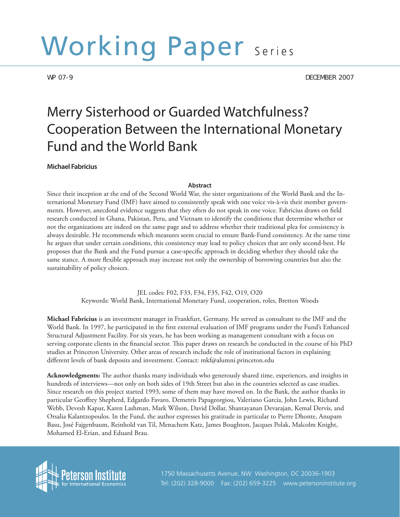# Working Paper Series

WP 07-9 DECEMBER 2007

# Merry Sisterhood or Guarded Watchfulness? Cooperation Between the International Monetary Fund and the World Bank

# **Michael Fabricius**

# **Abstract**

Since their inception at the end of the Second World War, the sister organizations of the World Bank and the International Monetary Fund (IMF) have aimed to consistently speak with one voice vis-à-vis their member governments. However, anecdotal evidence suggests that they often do not speak in one voice. Fabricius draws on field research conducted in Ghana, Pakistan, Peru, and Vietnam to identify the conditions that determine whether or not the organizations are indeed on the same page and to address whether their traditional plea for consistency is always desirable. He recommends which measures seem crucial to ensure Bank-Fund consistency. At the same time he argues that under certain conditions, this consistency may lead to policy choices that are only second-best. He proposes that the Bank and the Fund pursue a case-specific approach in deciding whether they should take the same stance. A more flexible approach may increase not only the ownership of borrowing countries but also the sustainability of policy choices.

> JEL codes: F02, F33, F34, F35, F42, O19, O20 Keywords: World Bank, International Monetary Fund, cooperation, roles, Bretton Woods

**Michael Fabricius** is an investment manager in Frankfurt, Germany. He served as consultant to the IMF and the World Bank. In 1997, he participated in the first external evaluation of IMF programs under the Fund's Enhanced Structural Adjustment Facility. For six years, he has been working as management consultant with a focus on serving corporate clients in the financial sector. This paper draws on research he conducted in the course of his PhD studies at Princeton University. Other areas of research include the role of institutional factors in explaining different levels of bank deposits and investment. Contact: mkf@alumni.princeton.edu

**Acknowledgments:** The author thanks many individuals who generously shared time, experiences, and insights in hundreds of interviews—not only on both sides of 19th Street but also in the countries selected as case studies. Since research on this project started 1993, some of them may have moved on. In the Bank, the author thanks in particular Geoffrey Shepherd, Edgardo Favaro, Demetris Papageorgiou, Valeriano Garcia, John Lewis, Richard Webb, Devesh Kapur, Karen Lashman, Mark Wilson, David Dollar, Shantayanan Devarajan, Kemal Dervis, and Orsalia Kalantzopoulos. In the Fund, the author expresses his gratitude in particular to Pierre Dhonte, Anupam Basu, José Fajgenbaum, Reinhold van Til, Menachem Katz, James Boughton, Jacques Polak, Malcolm Knight, Mohamed El-Erian, and Eduard Brau.



1 Tel: (202) 328-9000 Fax: (202) 659-3225 www.petersoninstitute.org 1750 Massachusetts Avenue, NW Washington, DC 20036-1903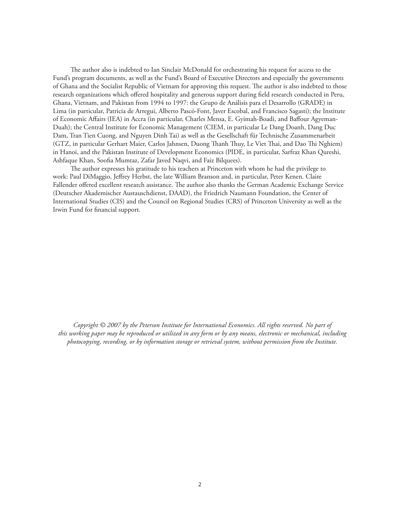The author also is indebted to Ian Sinclair McDonald for orchestrating his request for access to the Fund's program documents, as well as the Fund's Board of Executive Directors and especially the governments of Ghana and the Socialist Republic of Vietnam for approving this request. The author is also indebted to those research organizations which offered hospitality and generous support during field research conducted in Peru, Ghana, Vietnam, and Pakistan from 1994 to 1997: the Grupo de Análisis para el Desarrollo (GRADE) in Lima (in particular, Patricia de Arregui, Alberto Pascó-Font, Javer Escobal, and Francisco Sagasti); the Institute of Economic Affairs (IEA) in Accra (in particular, Charles Mensa, E. Gyimah-Boadi, and Baffour Agyeman-Duah); the Central Institute for Economic Management (CIEM, in particular Le Dang Doanh, Dang Duc Dam, Tran Tien Cuong, and Nguyen Dinh Tai) as well as the Gesellschaft für Technische Zusammenarbeit (GTZ, in particular Gerhart Maier, Carlos Jahnsen, Duong Thanh Thuy, Le Viet Thai, and Dao Thi Nghiem) in Hanoi, and the Pakistan Institute of Development Economics (PIDE, in particular, Sarfraz Khan Qureshi, Ashfaque Khan, Soofia Mumtaz, Zafar Javed Naqvi, and Faiz Bilquees).

The author expresses his gratitude to his teachers at Princeton with whom he had the privilege to work: Paul DiMaggio, Jeffrey Herbst, the late William Branson and, in particular, Peter Kenen. Claire Fallender offered excellent research assistance. The author also thanks the German Academic Exchange Service (Deutscher Akademischer Austauschdienst, DAAD), the Friedrich Naumann Foundation, the Center of International Studies (CIS) and the Council on Regional Studies (CRS) of Princeton University as well as the Irwin Fund for financial support.

*Copyright © 2007 by the Peterson Institute for International Economics. All rights reserved. No part of this working paper may be reproduced or utilized in any form or by any means, electronic or mechanical, including photocopying, recording, or by information storage or retrieval system, without permission from the Institute.*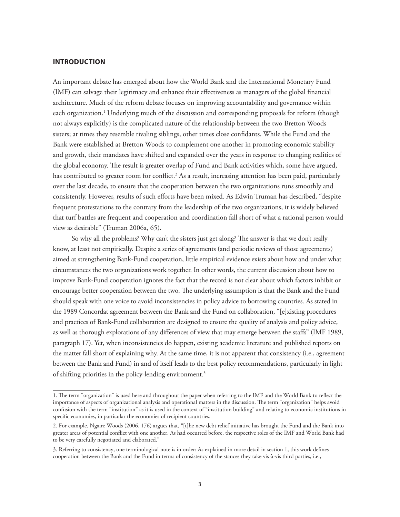# **INTRODUCTION**

An important debate has emerged about how the World Bank and the International Monetary Fund (IMF) can salvage their legitimacy and enhance their effectiveness as managers of the global financial architecture. Much of the reform debate focuses on improving accountability and governance within each organization.<sup>1</sup> Underlying much of the discussion and corresponding proposals for reform (though not always explicitly) is the complicated nature of the relationship between the two Bretton Woods sisters; at times they resemble rivaling siblings, other times close confidants. While the Fund and the Bank were established at Bretton Woods to complement one another in promoting economic stability and growth, their mandates have shifted and expanded over the years in response to changing realities of the global economy. The result is greater overlap of Fund and Bank activities which, some have argued, has contributed to greater room for conflict.<sup>2</sup> As a result, increasing attention has been paid, particularly over the last decade, to ensure that the cooperation between the two organizations runs smoothly and consistently. However, results of such efforts have been mixed. As Edwin Truman has described, "despite frequent protestations to the contrary from the leadership of the two organizations, it is widely believed that turf battles are frequent and cooperation and coordination fall short of what a rational person would view as desirable" (Truman 2006a, 65).

So why all the problems? Why can't the sisters just get along? The answer is that we don't really know, at least not empirically. Despite a series of agreements (and periodic reviews of those agreements) aimed at strengthening Bank-Fund cooperation, little empirical evidence exists about how and under what circumstances the two organizations work together. In other words, the current discussion about how to improve Bank-Fund cooperation ignores the fact that the record is not clear about which factors inhibit or encourage better cooperation between the two. The underlying assumption is that the Bank and the Fund should speak with one voice to avoid inconsistencies in policy advice to borrowing countries. As stated in the 1989 Concordat agreement between the Bank and the Fund on collaboration, "[e]xisting procedures and practices of Bank-Fund collaboration are designed to ensure the quality of analysis and policy advice, as well as thorough explorations of any differences of view that may emerge between the staffs" (IMF 1989, paragraph 17). Yet, when inconsistencies do happen, existing academic literature and published reports on the matter fall short of explaining why. At the same time, it is not apparent that consistency (i.e., agreement between the Bank and Fund) in and of itself leads to the best policy recommendations, particularly in light of shifting priorities in the policy-lending environment.<sup>3</sup>

<sup>1.</sup> The term "organization" is used here and throughout the paper when referring to the IMF and the World Bank to reflect the importance of aspects of organizational analysis and operational matters in the discussion. The term "organization" helps avoid confusion with the term "institution" as it is used in the context of "institution building" and relating to economic institutions in specific economies, in particular the economies of recipient countries.

<sup>2.</sup> For example, Ngaire Woods (2006, 176) argues that, "[t]he new debt relief initiative has brought the Fund and the Bank into greater areas of potential conflict with one another. As had occurred before, the respective roles of the IMF and World Bank had to be very carefully negotiated and elaborated."

<sup>3.</sup> Referring to consistency, one terminological note is in order: As explained in more detail in section 1, this work defines cooperation between the Bank and the Fund in terms of consistency of the stances they take vis-à-vis third parties, i.e.,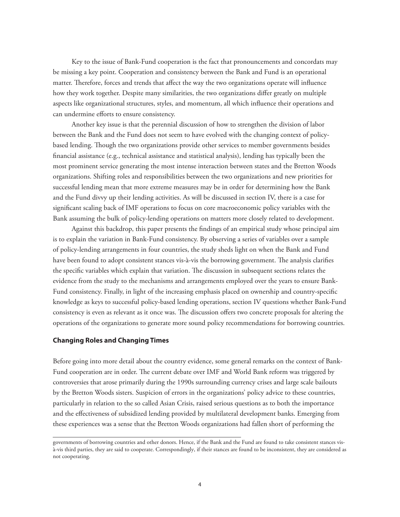Key to the issue of Bank-Fund cooperation is the fact that pronouncements and concordats may be missing a key point. Cooperation and consistency between the Bank and Fund is an operational matter. Therefore, forces and trends that affect the way the two organizations operate will influence how they work together. Despite many similarities, the two organizations differ greatly on multiple aspects like organizational structures, styles, and momentum, all which influence their operations and can undermine efforts to ensure consistency.

Another key issue is that the perennial discussion of how to strengthen the division of labor between the Bank and the Fund does not seem to have evolved with the changing context of policybased lending. Though the two organizations provide other services to member governments besides financial assistance (e.g., technical assistance and statistical analysis), lending has typically been the most prominent service generating the most intense interaction between states and the Bretton Woods organizations. Shifting roles and responsibilities between the two organizations and new priorities for successful lending mean that more extreme measures may be in order for determining how the Bank and the Fund divvy up their lending activities. As will be discussed in section IV, there is a case for significant scaling back of IMF operations to focus on core macroeconomic policy variables with the Bank assuming the bulk of policy-lending operations on matters more closely related to development.

Against this backdrop, this paper presents the findings of an empirical study whose principal aim is to explain the variation in Bank-Fund consistency. By observing a series of variables over a sample of policy-lending arrangements in four countries, the study sheds light on when the Bank and Fund have been found to adopt consistent stances vis-à-vis the borrowing government. The analysis clarifies the specific variables which explain that variation. The discussion in subsequent sections relates the evidence from the study to the mechanisms and arrangements employed over the years to ensure Bank-Fund consistency. Finally, in light of the increasing emphasis placed on ownership and country-specific knowledge as keys to successful policy-based lending operations, section IV questions whether Bank-Fund consistency is even as relevant as it once was. The discussion offers two concrete proposals for altering the operations of the organizations to generate more sound policy recommendations for borrowing countries.

# **Changing Roles and Changing Times**

Before going into more detail about the country evidence, some general remarks on the context of Bank-Fund cooperation are in order. The current debate over IMF and World Bank reform was triggered by controversies that arose primarily during the 1990s surrounding currency crises and large scale bailouts by the Bretton Woods sisters. Suspicion of errors in the organizations' policy advice to these countries, particularly in relation to the so called Asian Crisis, raised serious questions as to both the importance and the effectiveness of subsidized lending provided by multilateral development banks. Emerging from these experiences was a sense that the Bretton Woods organizations had fallen short of performing the

governments of borrowing countries and other donors. Hence, if the Bank and the Fund are found to take consistent stances visà-vis third parties, they are said to cooperate. Correspondingly, if their stances are found to be inconsistent, they are considered as not cooperating.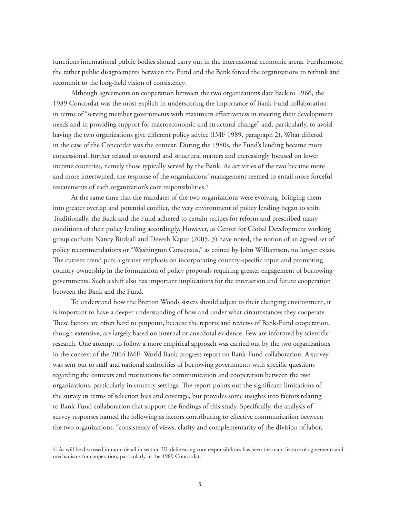functions international public bodies should carry out in the international economic arena. Furthermore, the rather public disagreements between the Fund and the Bank forced the organizations to rethink and recommit to the long-held vision of consistency.

Although agreements on cooperation between the two organizations date back to 1966, the 1989 Concordat was the most explicit in underscoring the importance of Bank-Fund collaboration in terms of "serving member governments with maximum effectiveness in meeting their development needs and in providing support for macroeconomic and structural change" and, particularly, to avoid having the two organizations give different policy advice (IMF 1989, paragraph 2). What differed in the case of the Concordat was the context. During the 1980s, the Fund's lending became more concessional, further related to sectoral and structural matters and increasingly focused on lower income countries, namely those typically served by the Bank. As activities of the two became more and more intertwined, the response of the organizations' management seemed to entail more forceful restatements of each organization's core responsibilities.<sup>4</sup>

At the same time that the mandates of the two organizations were evolving, bringing them into greater overlap and potential conflict, the very environment of policy lending began to shift. Traditionally, the Bank and the Fund adhered to certain recipes for reform and prescribed many conditions of their policy lending accordingly. However, as Center for Global Development working group cochairs Nancy Birdsall and Devesh Kapur (2005, 3) have noted, the notion of an agreed set of policy recommendations or "Washington Consensus," as coined by John Williamson, no longer exists. The current trend puts a greater emphasis on incorporating country-specific input and promoting country ownership in the formulation of policy proposals requiring greater engagement of borrowing governments. Such a shift also has important implications for the interaction and future cooperation between the Bank and the Fund.

To understand how the Bretton Woods sisters should adjust to their changing environment, it is important to have a deeper understanding of how and under what circumstances they cooperate. These factors are often hard to pinpoint, because the reports and reviews of Bank-Fund cooperation, though extensive, are largely based on internal or anecdotal evidence. Few are informed by scientific research. One attempt to follow a more empirical approach was carried out by the two organizations in the context of the 2004 IMF–World Bank progress report on Bank-Fund collaboration. A survey was sent out to staff and national authorities of borrowing governments with specific questions regarding the contexts and motivations for communication and cooperation between the two organizations, particularly in country settings. The report points out the significant limitations of the survey in terms of selection bias and coverage, but provides some insights into factors relating to Bank-Fund collaboration that support the findings of this study. Specifically, the analysis of survey responses named the following as factors contributing to effective communication between the two organizations: "consistency of views, clarity and complementarity of the division of labor,

<sup>4.</sup> As will be discussed in more detail in section III, delineating core responsibilities has been the main feature of agreements and mechanisms for cooperation, particularly in the 1989 Concordat.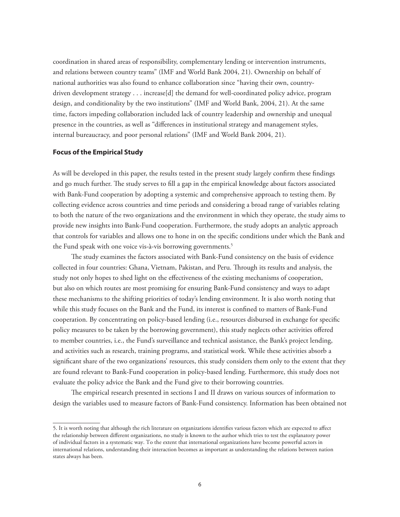coordination in shared areas of responsibility, complementary lending or intervention instruments, and relations between country teams" (IMF and World Bank 2004, 21). Ownership on behalf of national authorities was also found to enhance collaboration since "having their own, countrydriven development strategy . . . increase[d] the demand for well-coordinated policy advice, program design, and conditionality by the two institutions" (IMF and World Bank, 2004, 21). At the same time, factors impeding collaboration included lack of country leadership and ownership and unequal presence in the countries, as well as "differences in institutional strategy and management styles, internal bureaucracy, and poor personal relations" (IMF and World Bank 2004, 21).

# **Focus of the Empirical Study**

As will be developed in this paper, the results tested in the present study largely confirm these findings and go much further. The study serves to fill a gap in the empirical knowledge about factors associated with Bank-Fund cooperation by adopting a systemic and comprehensive approach to testing them. By collecting evidence across countries and time periods and considering a broad range of variables relating to both the nature of the two organizations and the environment in which they operate, the study aims to provide new insights into Bank-Fund cooperation. Furthermore, the study adopts an analytic approach that controls for variables and allows one to hone in on the specific conditions under which the Bank and the Fund speak with one voice vis-à-vis borrowing governments.<sup>5</sup>

The study examines the factors associated with Bank-Fund consistency on the basis of evidence collected in four countries: Ghana, Vietnam, Pakistan, and Peru. Through its results and analysis, the study not only hopes to shed light on the effectiveness of the existing mechanisms of cooperation, but also on which routes are most promising for ensuring Bank-Fund consistency and ways to adapt these mechanisms to the shifting priorities of today's lending environment. It is also worth noting that while this study focuses on the Bank and the Fund, its interest is confined to matters of Bank-Fund cooperation. By concentrating on policy-based lending (i.e., resources disbursed in exchange for specific policy measures to be taken by the borrowing government), this study neglects other activities offered to member countries, i.e., the Fund's surveillance and technical assistance, the Bank's project lending, and activities such as research, training programs, and statistical work. While these activities absorb a significant share of the two organizations' resources, this study considers them only to the extent that they are found relevant to Bank-Fund cooperation in policy-based lending. Furthermore, this study does not evaluate the policy advice the Bank and the Fund give to their borrowing countries.

The empirical research presented in sections I and II draws on various sources of information to design the variables used to measure factors of Bank-Fund consistency. Information has been obtained not

<sup>5.</sup> It is worth noting that although the rich literature on organizations identifies various factors which are expected to affect the relationship between different organizations, no study is known to the author which tries to test the explanatory power of individual factors in a systematic way. To the extent that international organizations have become powerful actors in international relations, understanding their interaction becomes as important as understanding the relations between nation states always has been.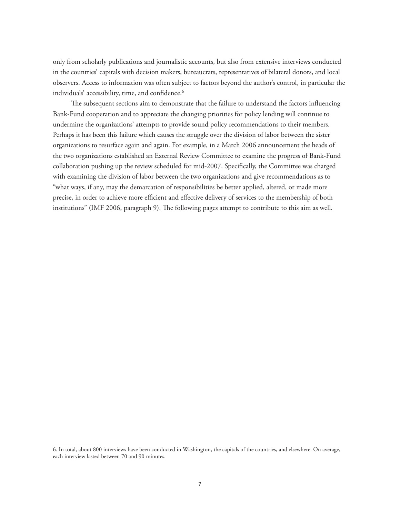only from scholarly publications and journalistic accounts, but also from extensive interviews conducted in the countries' capitals with decision makers, bureaucrats, representatives of bilateral donors, and local observers. Access to information was often subject to factors beyond the author's control, in particular the individuals' accessibility, time, and confidence.<sup>6</sup>

The subsequent sections aim to demonstrate that the failure to understand the factors influencing Bank-Fund cooperation and to appreciate the changing priorities for policy lending will continue to undermine the organizations' attempts to provide sound policy recommendations to their members. Perhaps it has been this failure which causes the struggle over the division of labor between the sister organizations to resurface again and again. For example, in a March 2006 announcement the heads of the two organizations established an External Review Committee to examine the progress of Bank-Fund collaboration pushing up the review scheduled for mid-2007. Specifically, the Committee was charged with examining the division of labor between the two organizations and give recommendations as to "what ways, if any, may the demarcation of responsibilities be better applied, altered, or made more precise, in order to achieve more efficient and effective delivery of services to the membership of both institutions" (IMF 2006, paragraph 9). The following pages attempt to contribute to this aim as well.

<sup>6.</sup> In total, about 800 interviews have been conducted in Washington, the capitals of the countries, and elsewhere. On average, each interview lasted between 70 and 90 minutes.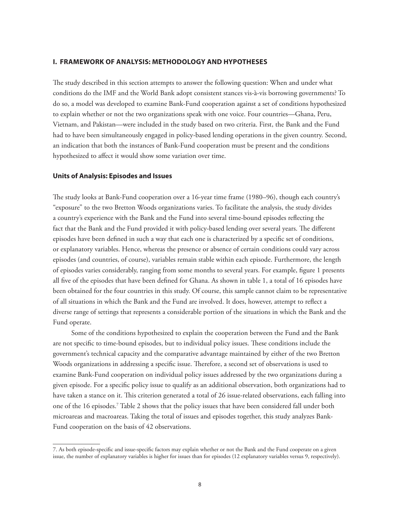# **I. FRAMEWORK OF ANALYSIS: METHODOLOGY AND HYPOTHESES**

The study described in this section attempts to answer the following question: When and under what conditions do the IMF and the World Bank adopt consistent stances vis-à-vis borrowing governments? To do so, a model was developed to examine Bank-Fund cooperation against a set of conditions hypothesized to explain whether or not the two organizations speak with one voice. Four countries—Ghana, Peru, Vietnam, and Pakistan—were included in the study based on two criteria. First, the Bank and the Fund had to have been simultaneously engaged in policy-based lending operations in the given country. Second, an indication that both the instances of Bank-Fund cooperation must be present and the conditions hypothesized to affect it would show some variation over time.

# **Units of Analysis: Episodes and Issues**

The study looks at Bank-Fund cooperation over a 16-year time frame (1980–96), though each country's "exposure" to the two Bretton Woods organizations varies. To facilitate the analysis, the study divides a country's experience with the Bank and the Fund into several time-bound episodes reflecting the fact that the Bank and the Fund provided it with policy-based lending over several years. The different episodes have been defined in such a way that each one is characterized by a specific set of conditions, or explanatory variables. Hence, whereas the presence or absence of certain conditions could vary across episodes (and countries, of course), variables remain stable within each episode. Furthermore, the length of episodes varies considerably, ranging from some months to several years. For example, figure 1 presents all five of the episodes that have been defined for Ghana. As shown in table 1, a total of 16 episodes have been obtained for the four countries in this study. Of course, this sample cannot claim to be representative of all situations in which the Bank and the Fund are involved. It does, however, attempt to reflect a diverse range of settings that represents a considerable portion of the situations in which the Bank and the Fund operate.

Some of the conditions hypothesized to explain the cooperation between the Fund and the Bank are not specific to time-bound episodes, but to individual policy issues. These conditions include the government's technical capacity and the comparative advantage maintained by either of the two Bretton Woods organizations in addressing a specific issue. Therefore, a second set of observations is used to examine Bank-Fund cooperation on individual policy issues addressed by the two organizations during a given episode. For a specific policy issue to qualify as an additional observation, both organizations had to have taken a stance on it. This criterion generated a total of 26 issue-related observations, each falling into one of the 16 episodes.7 Table 2 shows that the policy issues that have been considered fall under both microareas and macroareas. Taking the total of issues and episodes together, this study analyzes Bank-Fund cooperation on the basis of 42 observations.

<sup>7.</sup> As both episode-specific and issue-specific factors may explain whether or not the Bank and the Fund cooperate on a given issue, the number of explanatory variables is higher for issues than for episodes (12 explanatory variables versus 9, respectively).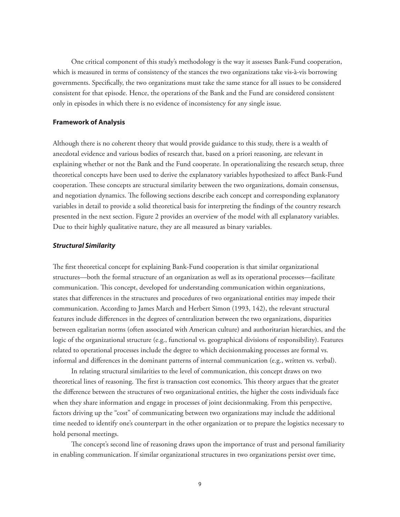One critical component of this study's methodology is the way it assesses Bank-Fund cooperation, which is measured in terms of consistency of the stances the two organizations take vis-à-vis borrowing governments. Specifically, the two organizations must take the same stance for all issues to be considered consistent for that episode. Hence, the operations of the Bank and the Fund are considered consistent only in episodes in which there is no evidence of inconsistency for any single issue.

### **Framework of Analysis**

Although there is no coherent theory that would provide guidance to this study, there is a wealth of anecdotal evidence and various bodies of research that, based on a priori reasoning, are relevant in explaining whether or not the Bank and the Fund cooperate. In operationalizing the research setup, three theoretical concepts have been used to derive the explanatory variables hypothesized to affect Bank-Fund cooperation. These concepts are structural similarity between the two organizations, domain consensus, and negotiation dynamics. The following sections describe each concept and corresponding explanatory variables in detail to provide a solid theoretical basis for interpreting the findings of the country research presented in the next section. Figure 2 provides an overview of the model with all explanatory variables. Due to their highly qualitative nature, they are all measured as binary variables.

### *Structural Similarity*

The first theoretical concept for explaining Bank-Fund cooperation is that similar organizational structures—both the formal structure of an organization as well as its operational processes—facilitate communication. This concept, developed for understanding communication within organizations, states that differences in the structures and procedures of two organizational entities may impede their communication. According to James March and Herbert Simon (1993, 142), the relevant structural features include differences in the degrees of centralization between the two organizations, disparities between egalitarian norms (often associated with American culture) and authoritarian hierarchies, and the logic of the organizational structure (e.g., functional vs. geographical divisions of responsibility). Features related to operational processes include the degree to which decisionmaking processes are formal vs. informal and differences in the dominant patterns of internal communication (e.g., written vs. verbal).

In relating structural similarities to the level of communication, this concept draws on two theoretical lines of reasoning. The first is transaction cost economics. This theory argues that the greater the difference between the structures of two organizational entities, the higher the costs individuals face when they share information and engage in processes of joint decisionmaking. From this perspective, factors driving up the "cost" of communicating between two organizations may include the additional time needed to identify one's counterpart in the other organization or to prepare the logistics necessary to hold personal meetings.

The concept's second line of reasoning draws upon the importance of trust and personal familiarity in enabling communication. If similar organizational structures in two organizations persist over time,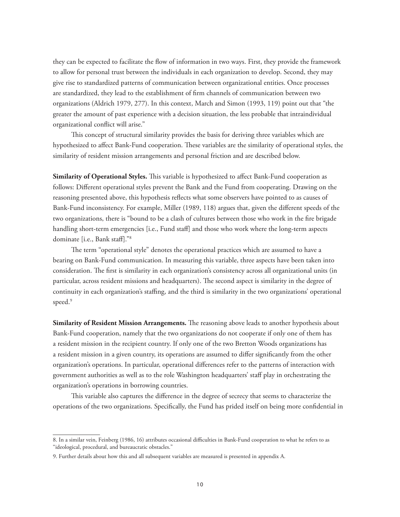they can be expected to facilitate the flow of information in two ways. First, they provide the framework to allow for personal trust between the individuals in each organization to develop. Second, they may give rise to standardized patterns of communication between organizational entities. Once processes are standardized, they lead to the establishment of firm channels of communication between two organizations (Aldrich 1979, 277). In this context, March and Simon (1993, 119) point out that "the greater the amount of past experience with a decision situation, the less probable that intraindividual organizational conflict will arise."

This concept of structural similarity provides the basis for deriving three variables which are hypothesized to affect Bank-Fund cooperation. These variables are the similarity of operational styles, the similarity of resident mission arrangements and personal friction and are described below.

**Similarity of Operational Styles.** This variable is hypothesized to affect Bank-Fund cooperation as follows: Different operational styles prevent the Bank and the Fund from cooperating. Drawing on the reasoning presented above, this hypothesis reflects what some observers have pointed to as causes of Bank-Fund inconsistency. For example, Miller (1989, 118) argues that, given the different speeds of the two organizations, there is "bound to be a clash of cultures between those who work in the fire brigade handling short-term emergencies [i.e., Fund staff] and those who work where the long-term aspects dominate [i.e., Bank staff]."8

The term "operational style" denotes the operational practices which are assumed to have a bearing on Bank-Fund communication. In measuring this variable, three aspects have been taken into consideration. The first is similarity in each organization's consistency across all organizational units (in particular, across resident missions and headquarters). The second aspect is similarity in the degree of continuity in each organization's staffing, and the third is similarity in the two organizations' operational speed.<sup>9</sup>

**Similarity of Resident Mission Arrangements.** The reasoning above leads to another hypothesis about Bank-Fund cooperation, namely that the two organizations do not cooperate if only one of them has a resident mission in the recipient country. If only one of the two Bretton Woods organizations has a resident mission in a given country, its operations are assumed to differ significantly from the other organization's operations. In particular, operational differences refer to the patterns of interaction with government authorities as well as to the role Washington headquarters' staff play in orchestrating the organization's operations in borrowing countries.

This variable also captures the difference in the degree of secrecy that seems to characterize the operations of the two organizations. Specifically, the Fund has prided itself on being more confidential in

<sup>8.</sup> In a similar vein, Feinberg (1986, 16) attributes occasional difficulties in Bank-Fund cooperation to what he refers to as "ideological, procedural, and bureaucratic obstacles."

<sup>9.</sup> Further details about how this and all subsequent variables are measured is presented in appendix A.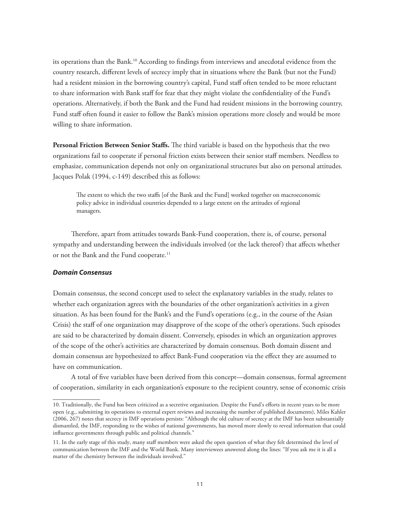its operations than the Bank.<sup>10</sup> According to findings from interviews and anecdotal evidence from the country research, different levels of secrecy imply that in situations where the Bank (but not the Fund) had a resident mission in the borrowing country's capital, Fund staff often tended to be more reluctant to share information with Bank staff for fear that they might violate the confidentiality of the Fund's operations. Alternatively, if both the Bank and the Fund had resident missions in the borrowing country, Fund staff often found it easier to follow the Bank's mission operations more closely and would be more willing to share information.

**Personal Friction Between Senior Staffs.** The third variable is based on the hypothesis that the two organizations fail to cooperate if personal friction exists between their senior staff members*.* Needless to emphasize, communication depends not only on organizational structures but also on personal attitudes. Jacques Polak (1994, c-149) described this as follows:

The extent to which the two staffs [of the Bank and the Fund] worked together on macroeconomic policy advice in individual countries depended to a large extent on the attitudes of regional managers.

Therefore, apart from attitudes towards Bank-Fund cooperation, there is, of course, personal sympathy and understanding between the individuals involved (or the lack thereof) that affects whether or not the Bank and the Fund cooperate.<sup>11</sup>

### *Domain Consensus*

Domain consensus, the second concept used to select the explanatory variables in the study, relates to whether each organization agrees with the boundaries of the other organization's activities in a given situation. As has been found for the Bank's and the Fund's operations (e.g., in the course of the Asian Crisis) the staff of one organization may disapprove of the scope of the other's operations. Such episodes are said to be characterized by domain dissent. Conversely, episodes in which an organization approves of the scope of the other's activities are characterized by domain consensus. Both domain dissent and domain consensus are hypothesized to affect Bank-Fund cooperation via the effect they are assumed to have on communication.

A total of five variables have been derived from this concept—domain consensus, formal agreement of cooperation, similarity in each organization's exposure to the recipient country, sense of economic crisis

<sup>10.</sup> Traditionally, the Fund has been criticized as a secretive organization. Despite the Fund's efforts in recent years to be more open (e.g., submitting its operations to external expert reviews and increasing the number of published documents), Miles Kahler (2006, 267) notes that secrecy in IMF operations persists: "Although the old culture of secrecy at the IMF has been substantially dismantled, the IMF, responding to the wishes of national governments, has moved more slowly to reveal information that could influence governments through public and political channels."

<sup>11.</sup> In the early stage of this study, many staff members were asked the open question of what they felt determined the level of communication between the IMF and the World Bank. Many interviewees answered along the lines: "If you ask me it is all a matter of the chemistry between the individuals involved."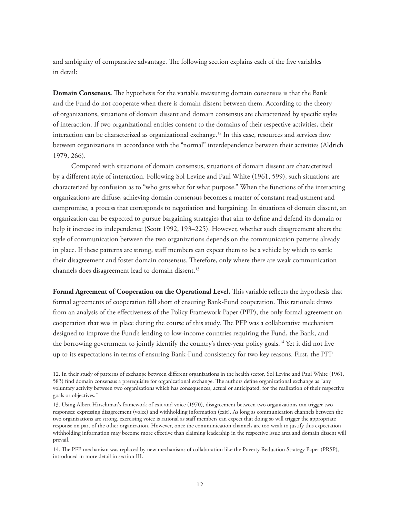and ambiguity of comparative advantage. The following section explains each of the five variables in detail:

**Domain Consensus.** The hypothesis for the variable measuring domain consensus is that the Bank and the Fund do not cooperate when there is domain dissent between them. According to the theory of organizations, situations of domain dissent and domain consensus are characterized by specific styles of interaction. If two organizational entities consent to the domains of their respective activities, their interaction can be characterized as organizational exchange.<sup>12</sup> In this case, resources and services flow between organizations in accordance with the "normal" interdependence between their activities (Aldrich 1979, 266).

Compared with situations of domain consensus, situations of domain dissent are characterized by a different style of interaction. Following Sol Levine and Paul White (1961, 599), such situations are characterized by confusion as to "who gets what for what purpose." When the functions of the interacting organizations are diffuse, achieving domain consensus becomes a matter of constant readjustment and compromise, a process that corresponds to negotiation and bargaining. In situations of domain dissent, an organization can be expected to pursue bargaining strategies that aim to define and defend its domain or help it increase its independence (Scott 1992, 193–225). However, whether such disagreement alters the style of communication between the two organizations depends on the communication patterns already in place. If these patterns are strong, staff members can expect them to be a vehicle by which to settle their disagreement and foster domain consensus. Therefore, only where there are weak communication channels does disagreement lead to domain dissent.13

**Formal Agreement of Cooperation on the Operational Level.** This variable reflects the hypothesis that formal agreements of cooperation fall short of ensuring Bank-Fund cooperation. This rationale draws from an analysis of the effectiveness of the Policy Framework Paper (PFP), the only formal agreement on cooperation that was in place during the course of this study. The PFP was a collaborative mechanism designed to improve the Fund's lending to low-income countries requiring the Fund, the Bank, and the borrowing government to jointly identify the country's three-year policy goals.<sup>14</sup> Yet it did not live up to its expectations in terms of ensuring Bank-Fund consistency for two key reasons. First, the PFP

<sup>12.</sup> In their study of patterns of exchange between different organizations in the health sector, Sol Levine and Paul White (1961, 583) find domain consensus a prerequisite for organizational exchange. The authors define organizational exchange as "any voluntary activity between two organizations which has consequences, actual or anticipated, for the realization of their respective goals or objectives."

<sup>13.</sup> Using Albert Hirschman's framework of exit and voice (1970), disagreement between two organizations can trigger two responses: expressing disagreement (voice) and withholding information (exit). As long as communication channels between the two organizations are strong, exercising voice is rational as staff members can expect that doing so will trigger the appropriate response on part of the other organization. However, once the communication channels are too weak to justify this expectation, withholding information may become more effective than claiming leadership in the respective issue area and domain dissent will prevail.

<sup>14.</sup> The PFP mechanism was replaced by new mechanisms of collaboration like the Poverty Reduction Strategy Paper (PRSP), introduced in more detail in section III.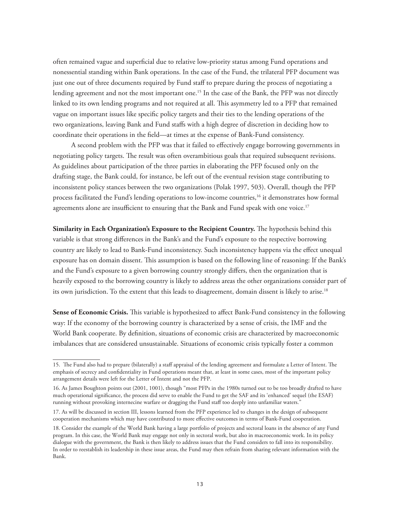often remained vague and superficial due to relative low-priority status among Fund operations and nonessential standing within Bank operations. In the case of the Fund, the trilateral PFP document was just one out of three documents required by Fund staff to prepare during the process of negotiating a lending agreement and not the most important one.<sup>15</sup> In the case of the Bank, the PFP was not directly linked to its own lending programs and not required at all. This asymmetry led to a PFP that remained vague on important issues like specific policy targets and their ties to the lending operations of the two organizations, leaving Bank and Fund staffs with a high degree of discretion in deciding how to coordinate their operations in the field—at times at the expense of Bank-Fund consistency.

A second problem with the PFP was that it failed to effectively engage borrowing governments in negotiating policy targets. The result was often overambitious goals that required subsequent revisions. As guidelines about participation of the three parties in elaborating the PFP focused only on the drafting stage, the Bank could, for instance, be left out of the eventual revision stage contributing to inconsistent policy stances between the two organizations (Polak 1997, 503). Overall, though the PFP process facilitated the Fund's lending operations to low-income countries,<sup>16</sup> it demonstrates how formal agreements alone are insufficient to ensuring that the Bank and Fund speak with one voice.<sup>17</sup>

**Similarity in Each Organization's Exposure to the Recipient Country.** The hypothesis behind this variable is that strong differences in the Bank's and the Fund's exposure to the respective borrowing country are likely to lead to Bank-Fund inconsistency. Such inconsistency happens via the effect unequal exposure has on domain dissent. This assumption is based on the following line of reasoning: If the Bank's and the Fund's exposure to a given borrowing country strongly differs, then the organization that is heavily exposed to the borrowing country is likely to address areas the other organizations consider part of its own jurisdiction. To the extent that this leads to disagreement, domain dissent is likely to arise.<sup>18</sup>

**Sense of Economic Crisis.** This variable is hypothesized to affect Bank-Fund consistency in the following way: If the economy of the borrowing country is characterized by a sense of crisis, the IMF and the World Bank cooperate. By definition, situations of economic crisis are characterized by macroeconomic imbalances that are considered unsustainable. Situations of economic crisis typically foster a common

<sup>15.</sup> The Fund also had to prepare (bilaterally) a staff appraisal of the lending agreement and formulate a Letter of Intent. The emphasis of secrecy and confidentiality in Fund operations meant that, at least in some cases, most of the important policy arrangement details were left for the Letter of Intent and not the PFP.

<sup>16.</sup> As James Boughton points out (2001, 1001), though "most PFPs in the 1980s turned out to be too broadly drafted to have much operational significance, the process did serve to enable the Fund to get the SAF and its 'enhanced' sequel (the ESAF) running without provoking internecine warfare or dragging the Fund staff too deeply into unfamiliar waters."

<sup>17.</sup> As will be discussed in section III, lessons learned from the PFP experience led to changes in the design of subsequent cooperation mechanisms which may have contributed to more effective outcomes in terms of Bank-Fund cooperation.

<sup>18.</sup> Consider the example of the World Bank having a large portfolio of projects and sectoral loans in the absence of any Fund program. In this case, the World Bank may engage not only in sectoral work, but also in macroeconomic work. In its policy dialogue with the government, the Bank is then likely to address issues that the Fund considers to fall into its responsibility. In order to reestablish its leadership in these issue areas, the Fund may then refrain from sharing relevant information with the Bank.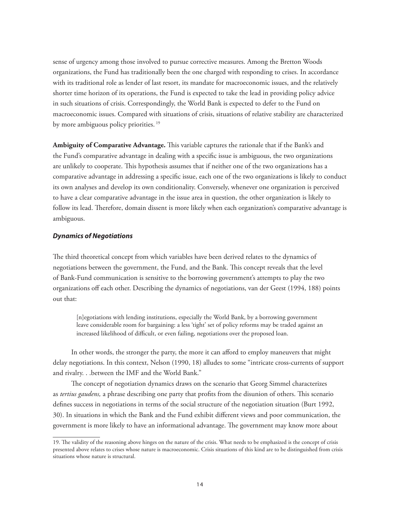sense of urgency among those involved to pursue corrective measures. Among the Bretton Woods organizations, the Fund has traditionally been the one charged with responding to crises. In accordance with its traditional role as lender of last resort, its mandate for macroeconomic issues, and the relatively shorter time horizon of its operations, the Fund is expected to take the lead in providing policy advice in such situations of crisis. Correspondingly, the World Bank is expected to defer to the Fund on macroeconomic issues. Compared with situations of crisis, situations of relative stability are characterized by more ambiguous policy priorities.<sup>19</sup>

**Ambiguity of Comparative Advantage.** This variable captures the rationale that if the Bank's and the Fund's comparative advantage in dealing with a specific issue is ambiguous, the two organizations are unlikely to cooperate. This hypothesis assumes that if neither one of the two organizations has a comparative advantage in addressing a specific issue, each one of the two organizations is likely to conduct its own analyses and develop its own conditionality. Conversely, whenever one organization is perceived to have a clear comparative advantage in the issue area in question, the other organization is likely to follow its lead. Therefore, domain dissent is more likely when each organization's comparative advantage is ambiguous.

# *Dynamics of Negotiations*

The third theoretical concept from which variables have been derived relates to the dynamics of negotiations between the government, the Fund, and the Bank. This concept reveals that the level of Bank-Fund communication is sensitive to the borrowing government's attempts to play the two organizations off each other. Describing the dynamics of negotiations, van der Geest (1994, 188) points out that:

[n]egotiations with lending institutions, especially the World Bank, by a borrowing government leave considerable room for bargaining: a less 'tight' set of policy reforms may be traded against an increased likelihood of difficult, or even failing, negotiations over the proposed loan.

In other words, the stronger the party, the more it can afford to employ maneuvers that might delay negotiations. In this context, Nelson (1990, 18) alludes to some "intricate cross-currents of support and rivalry. . .between the IMF and the World Bank."

The concept of negotiation dynamics draws on the scenario that Georg Simmel characterizes as *tertius gaudens,* a phrase describing one party that profits from the disunion of others. This scenario defines success in negotiations in terms of the social structure of the negotiation situation (Burt 1992, 30). In situations in which the Bank and the Fund exhibit different views and poor communication, the government is more likely to have an informational advantage. The government may know more about

<sup>19.</sup> The validity of the reasoning above hinges on the nature of the crisis. What needs to be emphasized is the concept of crisis presented above relates to crises whose nature is macroeconomic. Crisis situations of this kind are to be distinguished from crisis situations whose nature is structural.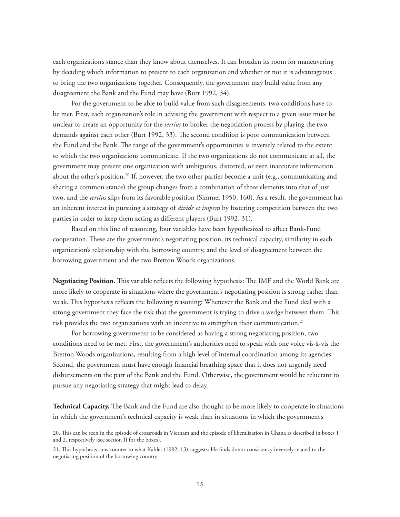each organization's stance than they know about themselves. It can broaden its room for maneuvering by deciding which information to present to each organization and whether or not it is advantageous to bring the two organizations together. Consequently, the government may build value from any disagreement the Bank and the Fund may have (Burt 1992, 34).

For the government to be able to build value from such disagreements, two conditions have to be met. First, each organization's role in advising the government with respect to a given issue must be unclear to create an opportunity for the *tertius* to broker the negotiation process by playing the two demands against each other (Burt 1992, 33). The second condition is poor communication between the Fund and the Bank. The range of the government's opportunities is inversely related to the extent to which the two organizations communicate. If the two organizations do not communicate at all, the government may present one organization with ambiguous, distorted, or even inaccurate information about the other's position.20 If, however, the two other parties become a unit (e.g., communicating and sharing a common stance) the group changes from a combination of three elements into that of just two, and the *tertius* slips from its favorable position (Simmel 1950, 160). As a result, the government has an inherent interest in pursuing a strategy of *divide et impera* by fostering competition between the two parties in order to keep them acting as different players (Burt 1992, 31).

Based on this line of reasoning, four variables have been hypothesized to affect Bank-Fund cooperation. These are the government's negotiating position, its technical capacity, similarity in each organization's relationship with the borrowing country, and the level of disagreement between the borrowing government and the two Bretton Woods organizations.

**Negotiating Position.** This variable reflects the following hypothesis: The IMF and the World Bank are more likely to cooperate in situations where the government's negotiating position is strong rather than weak. This hypothesis reflects the following reasoning: Whenever the Bank and the Fund deal with a strong government they face the risk that the government is trying to drive a wedge between them. This risk provides the two organizations with an incentive to strengthen their communication.<sup>21</sup>

For borrowing governments to be considered as having a strong negotiating position, two conditions need to be met. First, the government's authorities need to speak with one voice vis-à-vis the Bretton Woods organizations, resulting from a high level of internal coordination among its agencies. Second, the government must have enough financial breathing space that it does not urgently need disbursements on the part of the Bank and the Fund. Otherwise, the government would be reluctant to pursue any negotiating strategy that might lead to delay.

**Technical Capacity.** The Bank and the Fund are also thought to be more likely to cooperate in situations in which the government's technical capacity is weak than in situations in which the government's

<sup>20.</sup> This can be seen in the episode of crossroads in Vietnam and the episode of liberalization in Ghana as described in boxes 1 and 2, respectively (see section II for the boxes).

<sup>21.</sup> This hypothesis runs counter to what Kahler (1992, 13) suggests: He finds donor consistency inversely related to the negotiating position of the borrowing country.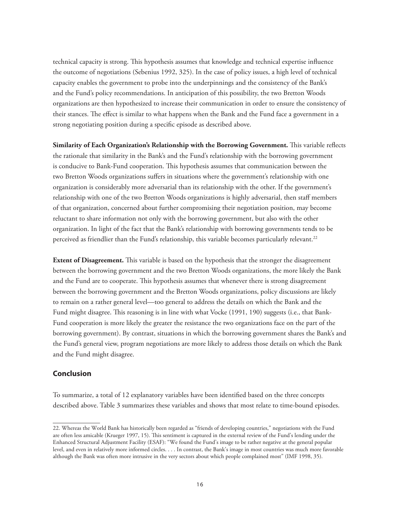technical capacity is strong. This hypothesis assumes that knowledge and technical expertise influence the outcome of negotiations (Sebenius 1992, 325). In the case of policy issues, a high level of technical capacity enables the government to probe into the underpinnings and the consistency of the Bank's and the Fund's policy recommendations. In anticipation of this possibility, the two Bretton Woods organizations are then hypothesized to increase their communication in order to ensure the consistency of their stances. The effect is similar to what happens when the Bank and the Fund face a government in a strong negotiating position during a specific episode as described above.

**Similarity of Each Organization's Relationship with the Borrowing Government.** This variable reflects the rationale that similarity in the Bank's and the Fund's relationship with the borrowing government is conducive to Bank-Fund cooperation. This hypothesis assumes that communication between the two Bretton Woods organizations suffers in situations where the government's relationship with one organization is considerably more adversarial than its relationship with the other. If the government's relationship with one of the two Bretton Woods organizations is highly adversarial, then staff members of that organization, concerned about further compromising their negotiation position, may become reluctant to share information not only with the borrowing government, but also with the other organization. In light of the fact that the Bank's relationship with borrowing governments tends to be perceived as friendlier than the Fund's relationship, this variable becomes particularly relevant.<sup>22</sup>

**Extent of Disagreement.** This variable is based on the hypothesis that the stronger the disagreement between the borrowing government and the two Bretton Woods organizations, the more likely the Bank and the Fund are to cooperate. This hypothesis assumes that whenever there is strong disagreement between the borrowing government and the Bretton Woods organizations, policy discussions are likely to remain on a rather general level—too general to address the details on which the Bank and the Fund might disagree. This reasoning is in line with what Vocke (1991, 190) suggests (i.e., that Bank-Fund cooperation is more likely the greater the resistance the two organizations face on the part of the borrowing government). By contrast, situations in which the borrowing government shares the Bank's and the Fund's general view, program negotiations are more likely to address those details on which the Bank and the Fund might disagree.

# **Conclusion**

To summarize, a total of 12 explanatory variables have been identified based on the three concepts described above. Table 3 summarizes these variables and shows that most relate to time-bound episodes.

<sup>22.</sup> Whereas the World Bank has historically been regarded as "friends of developing countries," negotiations with the Fund are often less amicable (Krueger 1997, 15). This sentiment is captured in the external review of the Fund's lending under the Enhanced Structural Adjustment Facility (ESAF): "We found the Fund's image to be rather negative at the general popular level, and even in relatively more informed circles. . . . In contrast, the Bank's image in most countries was much more favorable although the Bank was often more intrusive in the very sectors about which people complained most" (IMF 1998, 35).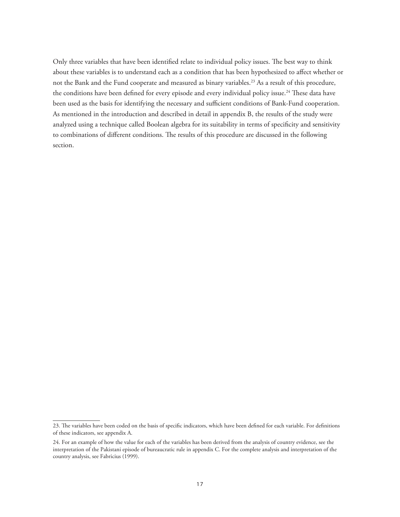Only three variables that have been identified relate to individual policy issues. The best way to think about these variables is to understand each as a condition that has been hypothesized to affect whether or not the Bank and the Fund cooperate and measured as binary variables.<sup>23</sup> As a result of this procedure, the conditions have been defined for every episode and every individual policy issue.<sup>24</sup> These data have been used as the basis for identifying the necessary and sufficient conditions of Bank-Fund cooperation. As mentioned in the introduction and described in detail in appendix B, the results of the study were analyzed using a technique called Boolean algebra for its suitability in terms of specificity and sensitivity to combinations of different conditions. The results of this procedure are discussed in the following section.

<sup>23.</sup> The variables have been coded on the basis of specific indicators, which have been defined for each variable. For definitions of these indicators, see appendix A.

<sup>24.</sup> For an example of how the value for each of the variables has been derived from the analysis of country evidence, see the interpretation of the Pakistani episode of bureaucratic rule in appendix C. For the complete analysis and interpretation of the country analysis, see Fabricius (1999).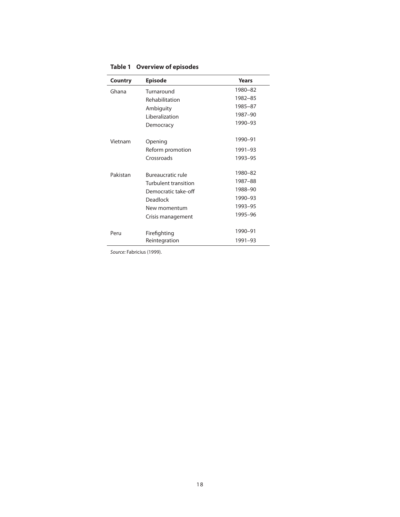| Country  | <b>Episode</b>           | Years   |
|----------|--------------------------|---------|
| Ghana    | Turnaround               | 1980-82 |
|          | Rehabilitation           | 1982-85 |
|          | Ambiguity                | 1985-87 |
|          | Liberalization           | 1987-90 |
|          | Democracy                | 1990-93 |
| Vietnam  | Opening                  | 1990-91 |
|          | Reform promotion         | 1991-93 |
|          | Crossroads               | 1993-95 |
| Pakistan | <b>Bureaucratic rule</b> | 1980-82 |
|          | Turbulent transition     | 1987-88 |
|          | Democratic take-off      | 1988-90 |
|          | <b>Deadlock</b>          | 1990-93 |
|          | New momentum             | 1993-95 |
|          | Crisis management        | 1995-96 |
| Peru     | Firefighting             | 1990-91 |
|          | Reintegration            | 1991-93 |

**Table 1 Overview of episodes**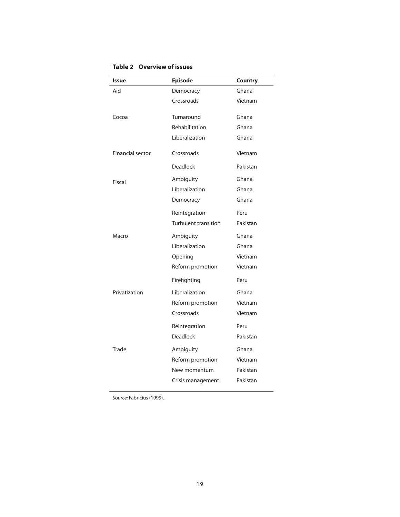| <b>Issue</b>            | <b>Episode</b>       | Country  |
|-------------------------|----------------------|----------|
| Aid                     | Democracy            | Ghana    |
|                         | Crossroads           | Vietnam  |
| Cocoa                   | Turnaround           | Ghana    |
|                         | Rehabilitation       | Ghana    |
|                         | Liberalization       | Ghana    |
| <b>Financial sector</b> | Crossroads           | Vietnam  |
|                         | Deadlock             | Pakistan |
| Fiscal                  | Ambiguity            | Ghana    |
|                         | Liberalization       | Ghana    |
|                         | Democracy            | Ghana    |
|                         | Reintegration        | Peru     |
|                         | Turbulent transition | Pakistan |
| Macro                   | Ambiguity            | Ghana    |
|                         | Liberalization       | Ghana    |
|                         | Opening              | Vietnam  |
|                         | Reform promotion     | Vietnam  |
|                         | Firefighting         | Peru     |
| Privatization           | Liberalization       | Ghana    |
|                         | Reform promotion     | Vietnam  |
|                         | Crossroads           | Vietnam  |
|                         | Reintegration        | Peru     |
|                         | <b>Deadlock</b>      | Pakistan |
| Trade                   | Ambiguity            | Ghana    |
|                         | Reform promotion     | Vietnam  |
|                         | New momentum         | Pakistan |
|                         | Crisis management    | Pakistan |
|                         |                      |          |

**Table 2 Overview of issues**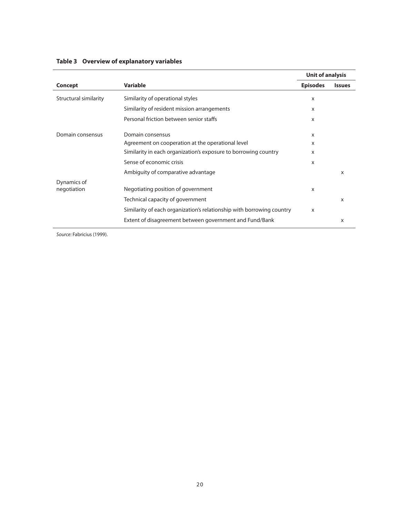|                            |                                                                       | <b>Unit of analysis</b> |                           |  |  |  |
|----------------------------|-----------------------------------------------------------------------|-------------------------|---------------------------|--|--|--|
| Concept                    | <b>Variable</b>                                                       | <b>Episodes</b>         | <b>Issues</b>             |  |  |  |
| Structural similarity      | Similarity of operational styles                                      | x                       |                           |  |  |  |
|                            | Similarity of resident mission arrangements                           | X                       |                           |  |  |  |
|                            | Personal friction between senior staffs                               | x                       |                           |  |  |  |
| Domain consensus           | Domain consensus                                                      | X                       |                           |  |  |  |
|                            | Agreement on cooperation at the operational level                     | X                       |                           |  |  |  |
|                            | Similarity in each organization's exposure to borrowing country       | X                       |                           |  |  |  |
|                            | Sense of economic crisis                                              | X                       |                           |  |  |  |
|                            | Ambiguity of comparative advantage                                    |                         | X                         |  |  |  |
| Dynamics of<br>negotiation | Negotiating position of government                                    | X                       |                           |  |  |  |
|                            | Technical capacity of government                                      |                         | $\boldsymbol{\mathsf{X}}$ |  |  |  |
|                            | Similarity of each organization's relationship with borrowing country | X                       |                           |  |  |  |
|                            | Extent of disagreement between government and Fund/Bank               |                         | X                         |  |  |  |

# **Table 3 Overview of explanatory variables**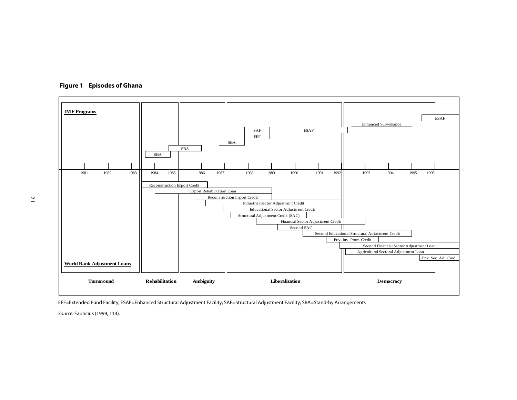

 **Figure 1 Episodes of Ghana** 

EFF=Extended Fund Facility; ESAF=Enhanced Structural Adjustment Facility; SAF=Structural Adjustment Facility; SBA=Stand-by Arrangements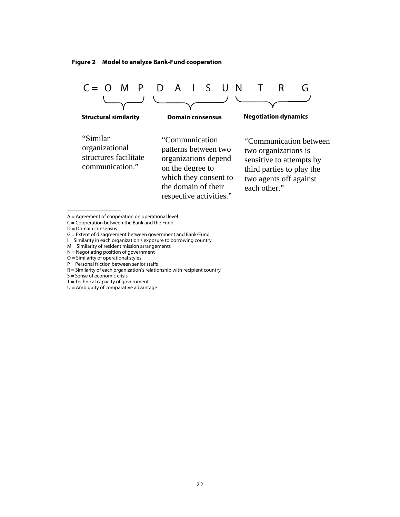



A = Agreement of cooperation on operational level

 $C =$  Cooperation between the Bank and the Fund

- G = Extent of disagreement between government and Bank/Fund
- I = Similarity in each organization's exposure to borrowing country
- $M =$  Similarity of resident mission arrangements
- N = Negotiating position of government
- O = Similarity of operational styles P = Personal friction between senior staffs
- R = Similarity of each organization's relationship with recipient country
- $S =$  Sense of economic crisis
- $T = Technical capacity of government$
- $U =$  Ambiguity of comparative advantage

D = Domain consensus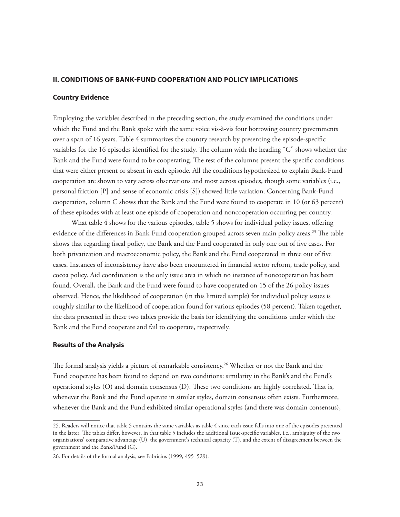# **II. CONDITIONS OF BANK-FUND COOPERATION AND POLICY IMPLICATIONS**

# **Country Evidence**

Employing the variables described in the preceding section, the study examined the conditions under which the Fund and the Bank spoke with the same voice vis-à-vis four borrowing country governments over a span of 16 years. Table 4 summarizes the country research by presenting the episode-specific variables for the 16 episodes identified for the study. The column with the heading "C" shows whether the Bank and the Fund were found to be cooperating. The rest of the columns present the specific conditions that were either present or absent in each episode. All the conditions hypothesized to explain Bank-Fund cooperation are shown to vary across observations and most across episodes, though some variables (i.e., personal friction [P] and sense of economic crisis [S]) showed little variation. Concerning Bank-Fund cooperation, column C shows that the Bank and the Fund were found to cooperate in 10 (or 63 percent) of these episodes with at least one episode of cooperation and noncooperation occurring per country.

What table 4 shows for the various episodes, table 5 shows for individual policy issues, offering evidence of the differences in Bank-Fund cooperation grouped across seven main policy areas.<sup>25</sup> The table shows that regarding fiscal policy, the Bank and the Fund cooperated in only one out of five cases. For both privatization and macroeconomic policy, the Bank and the Fund cooperated in three out of five cases. Instances of inconsistency have also been encountered in financial sector reform, trade policy, and cocoa policy. Aid coordination is the only issue area in which no instance of noncooperation has been found. Overall, the Bank and the Fund were found to have cooperated on 15 of the 26 policy issues observed. Hence, the likelihood of cooperation (in this limited sample) for individual policy issues is roughly similar to the likelihood of cooperation found for various episodes (58 percent). Taken together, the data presented in these two tables provide the basis for identifying the conditions under which the Bank and the Fund cooperate and fail to cooperate, respectively.

### **Results of the Analysis**

The formal analysis yields a picture of remarkable consistency.<sup>26</sup> Whether or not the Bank and the Fund cooperate has been found to depend on two conditions: similarity in the Bank's and the Fund's operational styles (O) and domain consensus (D). These two conditions are highly correlated. That is, whenever the Bank and the Fund operate in similar styles, domain consensus often exists. Furthermore, whenever the Bank and the Fund exhibited similar operational styles (and there was domain consensus),

<sup>25.</sup> Readers will notice that table 5 contains the same variables as table 4 since each issue falls into one of the episodes presented in the latter. The tables differ, however, in that table 5 includes the additional issue-specific variables, i.e., ambiguity of the two organizations' comparative advantage (U), the government's technical capacity (T), and the extent of disagreement between the government and the Bank/Fund (G).

<sup>26.</sup> For details of the formal analysis, see Fabricius (1999, 495–529).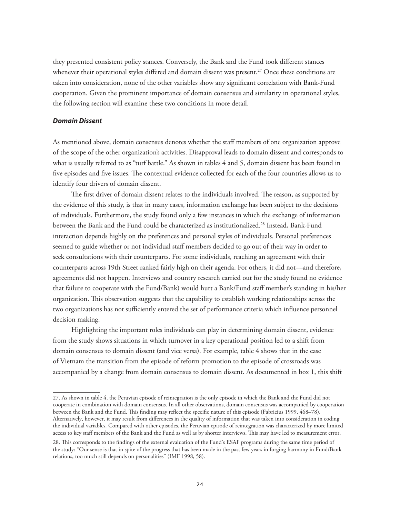they presented consistent policy stances. Conversely, the Bank and the Fund took different stances whenever their operational styles differed and domain dissent was present.<sup>27</sup> Once these conditions are taken into consideration, none of the other variables show any significant correlation with Bank-Fund cooperation. Given the prominent importance of domain consensus and similarity in operational styles, the following section will examine these two conditions in more detail.

# *Domain Dissent*

As mentioned above, domain consensus denotes whether the staff members of one organization approve of the scope of the other organization's activities. Disapproval leads to domain dissent and corresponds to what is usually referred to as "turf battle." As shown in tables 4 and 5, domain dissent has been found in five episodes and five issues. The contextual evidence collected for each of the four countries allows us to identify four drivers of domain dissent.

The first driver of domain dissent relates to the individuals involved. The reason, as supported by the evidence of this study, is that in many cases, information exchange has been subject to the decisions of individuals. Furthermore, the study found only a few instances in which the exchange of information between the Bank and the Fund could be characterized as institutionalized.28 Instead, Bank-Fund interaction depends highly on the preferences and personal styles of individuals. Personal preferences seemed to guide whether or not individual staff members decided to go out of their way in order to seek consultations with their counterparts. For some individuals, reaching an agreement with their counterparts across 19th Street ranked fairly high on their agenda. For others, it did not—and therefore, agreements did not happen. Interviews and country research carried out for the study found no evidence that failure to cooperate with the Fund/Bank) would hurt a Bank/Fund staff member's standing in his/her organization. This observation suggests that the capability to establish working relationships across the two organizations has not sufficiently entered the set of performance criteria which influence personnel decision making.

Highlighting the important roles individuals can play in determining domain dissent, evidence from the study shows situations in which turnover in a key operational position led to a shift from domain consensus to domain dissent (and vice versa). For example, table 4 shows that in the case of Vietnam the transition from the episode of reform promotion to the episode of crossroads was accompanied by a change from domain consensus to domain dissent. As documented in box 1, this shift

<sup>27.</sup> As shown in table 4, the Peruvian episode of reintegration is the only episode in which the Bank and the Fund did not cooperate in combination with domain consensus. In all other observations, domain consensus was accompanied by cooperation between the Bank and the Fund. This finding may reflect the specific nature of this episode (Fabricius 1999, 468–78). Alternatively, however, it may result from differences in the quality of information that was taken into consideration in coding the individual variables. Compared with other episodes, the Peruvian episode of reintegration was characterized by more limited access to key staff members of the Bank and the Fund as well as by shorter interviews. This may have led to measurement error.

<sup>28.</sup> This corresponds to the findings of the external evaluation of the Fund's ESAF programs during the same time period of the study: "Our sense is that in spite of the progress that has been made in the past few years in forging harmony in Fund/Bank relations, too much still depends on personalities" (IMF 1998, 58).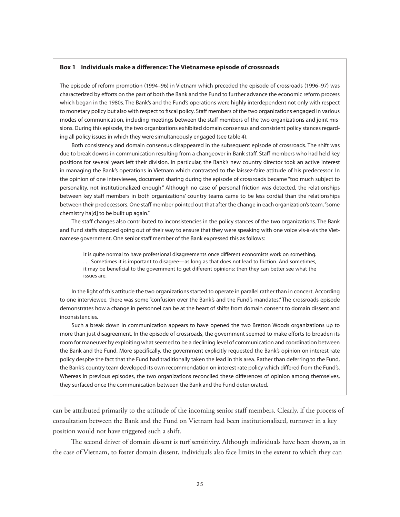#### **Box 1 Individuals make a difference: The Vietnamese episode of crossroads**

The episode of reform promotion (1994–96) in Vietnam which preceded the episode of crossroads (1996–97) was characterized by efforts on the part of both the Bank and the Fund to further advance the economic reform process which began in the 1980s. The Bank's and the Fund's operations were highly interdependent not only with respect to monetary policy but also with respect to fiscal policy. Staff members of the two organizations engaged in various modes of communication, including meetings between the staff members of the two organizations and joint missions. During this episode, the two organizations exhibited domain consensus and consistent policy stances regarding all policy issues in which they were simultaneously engaged (see table 4).

Both consistency and domain consensus disappeared in the subsequent episode of crossroads. The shift was due to break downs in communication resulting from a changeover in Bank staff. Staff members who had held key positions for several years left their division. In particular, the Bank's new country director took an active interest in managing the Bank's operations in Vietnam which contrasted to the laissez-faire attitude of his predecessor. In the opinion of one interviewee, document sharing during the episode of crossroads became "too much subject to personality, not institutionalized enough." Although no case of personal friction was detected, the relationships between key staff members in both organizations' country teams came to be less cordial than the relationships between their predecessors. One staff member pointed out that after the change in each organization's team, "some chemistry ha[d] to be built up again."

The staff changes also contributed to inconsistencies in the policy stances of the two organizations. The Bank and Fund staffs stopped going out of their way to ensure that they were speaking with one voice vis-à-vis the Vietnamese government. One senior staff member of the Bank expressed this as follows:

It is quite normal to have professional disagreements once different economists work on something. . . . Sometimes it is important to disagree—as long as that does not lead to friction. And sometimes, it may be beneficial to the government to get different opinions; then they can better see what the issues are.

In the light of this attitude the two organizations started to operate in parallel rather than in concert. According to one interviewee, there was some "confusion over the Bank's and the Fund's mandates." The crossroads episode demonstrates how a change in personnel can be at the heart of shifts from domain consent to domain dissent and inconsistencies.

Such a break down in communication appears to have opened the two Bretton Woods organizations up to more than just disagreement. In the episode of crossroads, the government seemed to make efforts to broaden its room for maneuver by exploiting what seemed to be a declining level of communication and coordination between the Bank and the Fund. More specifically, the government explicitly requested the Bank's opinion on interest rate policy despite the fact that the Fund had traditionally taken the lead in this area. Rather than deferring to the Fund, the Bank's country team developed its own recommendation on interest rate policy which differed from the Fund's. Whereas in previous episodes, the two organizations reconciled these differences of opinion among themselves, they surfaced once the communication between the Bank and the Fund deteriorated.

can be attributed primarily to the attitude of the incoming senior staff members. Clearly, if the process of consultation between the Bank and the Fund on Vietnam had been institutionalized, turnover in a key position would not have triggered such a shift.

The second driver of domain dissent is turf sensitivity. Although individuals have been shown, as in the case of Vietnam, to foster domain dissent, individuals also face limits in the extent to which they can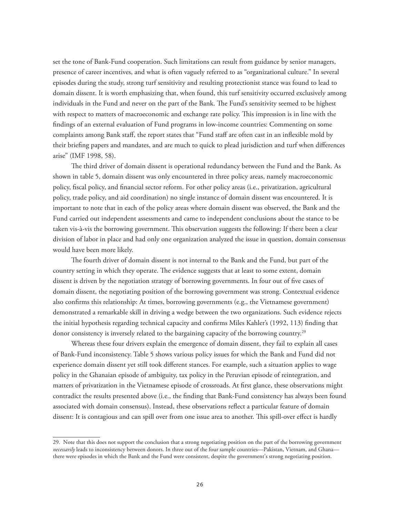set the tone of Bank-Fund cooperation. Such limitations can result from guidance by senior managers, presence of career incentives, and what is often vaguely referred to as "organizational culture." In several episodes during the study, strong turf sensitivity and resulting protectionist stance was found to lead to domain dissent. It is worth emphasizing that, when found, this turf sensitivity occurred exclusively among individuals in the Fund and never on the part of the Bank. The Fund's sensitivity seemed to be highest with respect to matters of macroeconomic and exchange rate policy. This impression is in line with the findings of an external evaluation of Fund programs in low-income countries: Commenting on some complaints among Bank staff, the report states that "Fund staff are often cast in an inflexible mold by their briefing papers and mandates, and are much to quick to plead jurisdiction and turf when differences arise" (IMF 1998, 58).

The third driver of domain dissent is operational redundancy between the Fund and the Bank. As shown in table 5, domain dissent was only encountered in three policy areas, namely macroeconomic policy, fiscal policy, and financial sector reform. For other policy areas (i.e., privatization, agricultural policy, trade policy, and aid coordination) no single instance of domain dissent was encountered. It is important to note that in each of the policy areas where domain dissent was observed, the Bank and the Fund carried out independent assessments and came to independent conclusions about the stance to be taken vis-à-vis the borrowing government. This observation suggests the following: If there been a clear division of labor in place and had only one organization analyzed the issue in question, domain consensus would have been more likely.

The fourth driver of domain dissent is not internal to the Bank and the Fund, but part of the country setting in which they operate. The evidence suggests that at least to some extent, domain dissent is driven by the negotiation strategy of borrowing governments. In four out of five cases of domain dissent, the negotiating position of the borrowing government was strong. Contextual evidence also confirms this relationship: At times, borrowing governments (e.g., the Vietnamese government) demonstrated a remarkable skill in driving a wedge between the two organizations. Such evidence rejects the initial hypothesis regarding technical capacity and confirms Miles Kahler's (1992, 113) finding that donor consistency is inversely related to the bargaining capacity of the borrowing country.<sup>29</sup>

Whereas these four drivers explain the emergence of domain dissent, they fail to explain all cases of Bank-Fund inconsistency. Table 5 shows various policy issues for which the Bank and Fund did not experience domain dissent yet still took different stances. For example, such a situation applies to wage policy in the Ghanaian episode of ambiguity, tax policy in the Peruvian episode of reintegration, and matters of privatization in the Vietnamese episode of crossroads. At first glance, these observations might contradict the results presented above (i.e., the finding that Bank-Fund consistency has always been found associated with domain consensus). Instead, these observations reflect a particular feature of domain dissent: It is contagious and can spill over from one issue area to another. This spill-over effect is hardly

<sup>29.</sup> Note that this does not support the conclusion that a strong negotiating position on the part of the borrowing government *necessarily* leads to inconsistency between donors. In three out of the four sample countries—Pakistan, Vietnam, and Ghana there were episodes in which the Bank and the Fund were consistent, despite the government's strong negotiating position.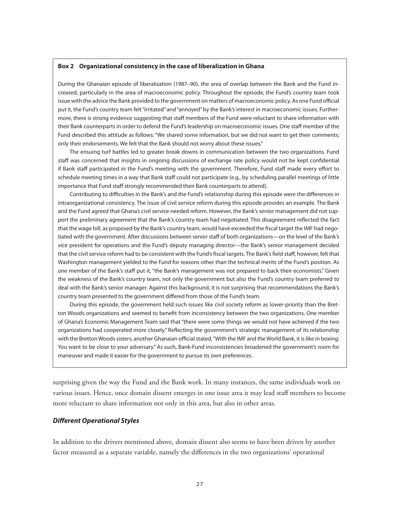#### **Box 2 Organizational consistency in the case of liberalization in Ghana**

During the Ghanaian episode of liberalization (1987–90), the area of overlap between the Bank and the Fund increased, particularly in the area of macroeconomic policy. Throughout the episode, the Fund's country team took issue with the advice the Bank provided to the government on matters of macroeconomic policy. As one Fund official put it, the Fund's country team felt "irritated" and "annoyed" by the Bank's interest in macroeconomic issues. Furthermore, there is strong evidence suggesting that staff members of the Fund were reluctant to share information with their Bank counterparts in order to defend the Fund's leadership on macroeconomic issues. One staff member of the Fund described this attitude as follows: "We shared some information, but we did not want to get their comments; only their endorsements. We felt that the Bank should not worry about these issues."

The ensuing turf battles led to greater break downs in communication between the two organizations. Fund staff was concerned that insights in ongoing discussions of exchange rate policy would not be kept confidential if Bank staff participated in the Fund's meeting with the government. Therefore, Fund staff made every effort to schedule meeting times in a way that Bank staff could not participate (e.g., by scheduling parallel meetings of little importance that Fund staff strongly recommended their Bank counterparts to attend).

Contributing to difficulties in the Bank's and the Fund's relationship during this episode were the differences in intraorganizational consistency. The issue of civil service reform during this episode provides an example. The Bank and the Fund agreed that Ghana's civil service needed reform. However, the Bank's senior management did not support the preliminary agreement that the Bank's country team had negotiated. This disagreement reflected the fact that the wage bill, as proposed by the Bank's country team, would have exceeded the fiscal target the IMF had negotiated with the government. After discussions between senior staff of both organizations—on the level of the Bank's vice president for operations and the Fund's deputy managing director—the Bank's senior management decided that the civil service reform had to be consistent with the Fund's fiscal targets. The Bank's field staff, however, felt that Washington management yielded to the Fund for reasons other than the technical merits of the Fund's position. As one member of the Bank's staff put it, "the Bank's management was not prepared to back their economists." Given the weakness of the Bank's country team, not only the government but also the Fund's country team preferred to deal with the Bank's senior manager. Against this background, it is not surprising that recommendations the Bank's country team presented to the government differed from those of the Fund's team.

During this episode, the government held such issues like civil society reform as lower-priority than the Bretton Woods organizations and seemed to benefit from inconsistency between the two organizations. One member of Ghana's Economic Management Team said that "there were some things we would not have achieved if the two organizations had cooperated more closely." Reflecting the government's strategic management of its relationship with the Bretton Woods sisters, another Ghanaian official stated, "With the IMF and the World Bank, it is like in boxing: You want to be close to your adversary." As such, Bank-Fund inconsistencies broadened the government's room for maneuver and made it easier for the government to pursue its own preferences.

surprising given the way the Fund and the Bank work. In many instances, the same individuals work on various issues. Hence, once domain dissent emerges in one issue area it may lead staff members to become more reluctant to share information not only in this area, but also in other areas.

# *Different Operational Styles*

In addition to the drivers mentioned above, domain dissent also seems to have been driven by another factor measured as a separate variable, namely the differences in the two organizations' operational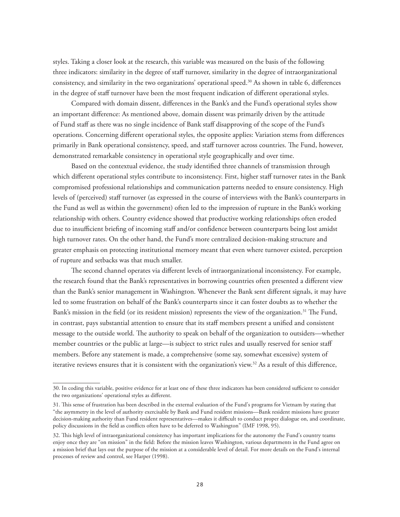styles. Taking a closer look at the research, this variable was measured on the basis of the following three indicators: similarity in the degree of staff turnover, similarity in the degree of intraorganizational consistency, and similarity in the two organizations' operational speed.<sup>30</sup> As shown in table 6, differences in the degree of staff turnover have been the most frequent indication of different operational styles.

Compared with domain dissent, differences in the Bank's and the Fund's operational styles show an important difference: As mentioned above, domain dissent was primarily driven by the attitude of Fund staff as there was no single incidence of Bank staff disapproving of the scope of the Fund's operations. Concerning different operational styles, the opposite applies: Variation stems from differences primarily in Bank operational consistency, speed, and staff turnover across countries. The Fund, however, demonstrated remarkable consistency in operational style geographically and over time.

Based on the contextual evidence, the study identified three channels of transmission through which different operational styles contribute to inconsistency. First, higher staff turnover rates in the Bank compromised professional relationships and communication patterns needed to ensure consistency. High levels of (perceived) staff turnover (as expressed in the course of interviews with the Bank's counterparts in the Fund as well as within the government) often led to the impression of rupture in the Bank's working relationship with others. Country evidence showed that productive working relationships often eroded due to insufficient briefing of incoming staff and/or confidence between counterparts being lost amidst high turnover rates. On the other hand, the Fund's more centralized decision-making structure and greater emphasis on protecting institutional memory meant that even where turnover existed, perception of rupture and setbacks was that much smaller.

The second channel operates via different levels of intraorganizational inconsistency. For example, the research found that the Bank's representatives in borrowing countries often presented a different view than the Bank's senior management in Washington. Whenever the Bank sent different signals, it may have led to some frustration on behalf of the Bank's counterparts since it can foster doubts as to whether the Bank's mission in the field (or its resident mission) represents the view of the organization.<sup>31</sup> The Fund, in contrast, pays substantial attention to ensure that its staff members present a unified and consistent message to the outside world. The authority to speak on behalf of the organization to outsiders—whether member countries or the public at large—is subject to strict rules and usually reserved for senior staff members. Before any statement is made, a comprehensive (some say, somewhat excessive) system of iterative reviews ensures that it is consistent with the organization's view.<sup>32</sup> As a result of this difference,

<sup>30.</sup> In coding this variable, positive evidence for at least one of these three indicators has been considered sufficient to consider the two organizations' operational styles as different.

<sup>31.</sup> This sense of frustration has been described in the external evaluation of the Fund's programs for Vietnam by stating that "the asymmetry in the level of authority exercisable by Bank and Fund resident missions—Bank resident missions have greater decision-making authority than Fund resident representatives—makes it difficult to conduct proper dialogue on, and coordinate, policy discussions in the field as conflicts often have to be deferred to Washington" (IMF 1998, 95).

<sup>32.</sup> This high level of intraorganizational consistency has important implications for the autonomy the Fund's country teams enjoy once they are "on mission" in the field: Before the mission leaves Washington, various departments in the Fund agree on a mission brief that lays out the purpose of the mission at a considerable level of detail. For more details on the Fund's internal processes of review and control, see Harper (1998).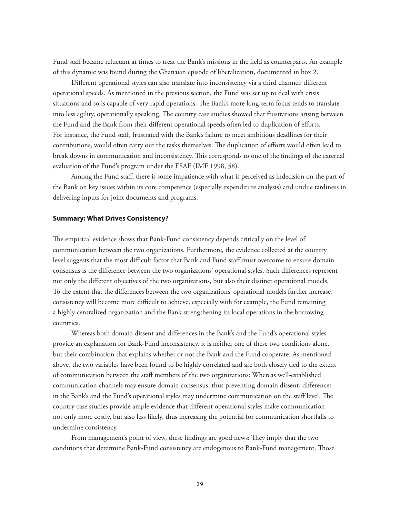Fund staff became reluctant at times to treat the Bank's missions in the field as counterparts. An example of this dynamic was found during the Ghanaian episode of liberalization, documented in box 2.

Different operational styles can also translate into inconsistency via a third channel: different operational speeds. As mentioned in the previous section, the Fund was set up to deal with crisis situations and so is capable of very rapid operations. The Bank's more long-term focus tends to translate into less agility, operationally speaking. The country case studies showed that frustrations arising between the Fund and the Bank from their different operational speeds often led to duplication of efforts. For instance, the Fund staff, frustrated with the Bank's failure to meet ambitious deadlines for their contributions, would often carry out the tasks themselves. The duplication of efforts would often lead to break downs in communication and inconsistency. This corresponds to one of the findings of the external evaluation of the Fund's program under the ESAF (IMF 1998, 58).

Among the Fund staff, there is some impatience with what is perceived as indecision on the part of the Bank on key issues within its core competence (especially expenditure analysis) and undue tardiness in delivering inputs for joint documents and programs.

### **Summary: What Drives Consistency?**

The empirical evidence shows that Bank-Fund consistency depends critically on the level of communication between the two organizations. Furthermore, the evidence collected at the country level suggests that the most difficult factor that Bank and Fund staff must overcome to ensure domain consensus is the difference between the two organizations' operational styles. Such differences represent not only the different objectives of the two organizations, but also their distinct operational models. To the extent that the differences between the two organizations' operational models further increase, consistency will become more difficult to achieve, especially with for example, the Fund remaining a highly centralized organization and the Bank strengthening its local operations in the borrowing countries.

Whereas both domain dissent and differences in the Bank's and the Fund's operational styles provide an explanation for Bank-Fund inconsistency, it is neither one of these two conditions alone, but their combination that explains whether or not the Bank and the Fund cooperate. As mentioned above, the two variables have been found to be highly correlated and are both closely tied to the extent of communication between the staff members of the two organizations: Whereas well-established communication channels may ensure domain consensus, thus preventing domain dissent, differences in the Bank's and the Fund's operational styles may undermine communication on the staff level. The country case studies provide ample evidence that different operational styles make communication not only more costly, but also less likely, thus increasing the potential for communication shortfalls to undermine consistency.

From management's point of view, these findings are good news: They imply that the two conditions that determine Bank-Fund consistency are endogenous to Bank-Fund management. Those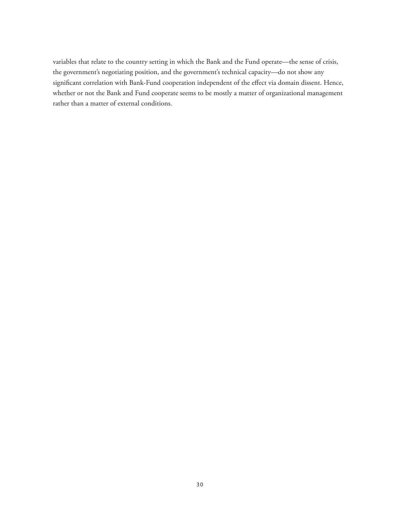variables that relate to the country setting in which the Bank and the Fund operate—the sense of crisis, the government's negotiating position, and the government's technical capacity—do not show any significant correlation with Bank-Fund cooperation independent of the effect via domain dissent. Hence, whether or not the Bank and Fund cooperate seems to be mostly a matter of organizational management rather than a matter of external conditions.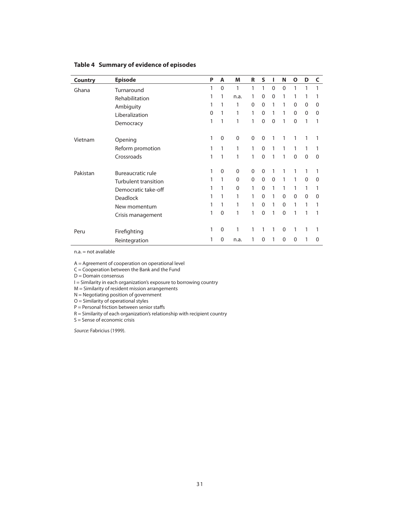| <b>Country</b> | <b>Episode</b>              | P        | A        | M            | R            | S            | ı            | N            | $\mathbf{o}$ | D        | C        |
|----------------|-----------------------------|----------|----------|--------------|--------------|--------------|--------------|--------------|--------------|----------|----------|
| Ghana          | Turnaround                  | 1        | $\Omega$ | 1            | 1            | 1            | $\mathbf{0}$ | $\Omega$     | 1            | 1        | 1        |
|                | Rehabilitation              | 1        |          | n.a.         | 1            | 0            | $\Omega$     | 1            | 1            |          |          |
|                | Ambiguity                   | 1        |          | 1            | $\Omega$     | $\mathbf{0}$ | 1            | 1            | $\Omega$     | $\Omega$ | 0        |
|                | Liberalization              | $\Omega$ | 1        | 1            | 1            | $\mathbf{0}$ | 1            | 1            | $\Omega$     | $\Omega$ | 0        |
|                | Democracy                   | 1        | 1        | 1            | 1            | 0            | $\Omega$     | 1            | $\mathbf{0}$ | 1        | 1        |
| Vietnam        | Opening                     | 1        | $\Omega$ | $\mathbf 0$  | $\mathbf 0$  | $\mathbf 0$  | 1            | 1            | 1            | 1        | 1        |
|                | Reform promotion            | 1        | 1        | 1            | 1            | $\mathbf{0}$ | 1            | 1            | 1            | 1        |          |
|                | Crossroads                  | 1        | 1        | 1            | 1            | $\mathbf{0}$ | 1            | 1            | $\Omega$     | $\Omega$ | $\Omega$ |
| Pakistan       | <b>Bureaucratic rule</b>    | 1        | $\Omega$ | $\mathbf 0$  | $\mathbf{0}$ | 0            | 1            | 1            | 1            |          |          |
|                | <b>Turbulent transition</b> | 1        | 1        | $\mathbf{0}$ | $\Omega$     | $\Omega$     | $\Omega$     | 1            | 1            | $\Omega$ | 0        |
|                | Democratic take-off         | 1        |          | $\Omega$     | 1            | $\mathbf{0}$ | 1            | 1            | 1            | 1        |          |
|                | <b>Deadlock</b>             | 1        |          | 1            | 1            | $\Omega$     | 1            | $\Omega$     | $\Omega$     | $\Omega$ | 0        |
|                | New momentum                | 1        | 1        | 1            | 1            | $\mathbf{0}$ | 1            | $\Omega$     | 1            | 1        |          |
|                | Crisis management           | 1        | $\Omega$ | 1            | 1            | 0            | 1            | $\mathbf{0}$ | 1            |          |          |
| Peru           | Firefighting                | 1        | $\Omega$ | 1            | $\mathbf{1}$ | 1            | 1            | $\mathbf 0$  | 1            | 1        | 1        |
|                | Reintegration               |          | $\Omega$ | n.a.         |              | 0            | 1            | 0            | $\Omega$     |          | 0        |

# **Table 4 Summary of evidence of episodes**

n.a. = not available

A = Agreement of cooperation on operational level

 $C =$  Cooperation between the Bank and the Fund

 $D =$ Domain consensus

I = Similarity in each organization's exposure to borrowing country

M = Similarity of resident mission arrangements

N = Negotiating position of government

 $O =$  Similarity of operational styles

P = Personal friction between senior staffs

R = Similarity of each organization's relationship with recipient country

 $S =$  Sense of economic crisis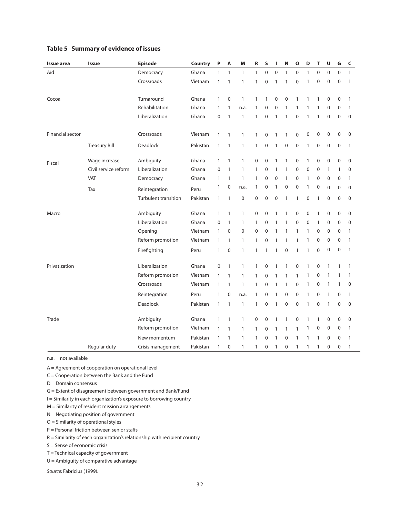| <b>Issue area</b> | Issue                       | <b>Episode</b>              | <b>Country</b> | P            | A            | M            | ${\sf R}$         | S           | J.           | N            | $\mathbf{o}$ | D                | T              | U                | G                | $\mathsf{C}$     |
|-------------------|-----------------------------|-----------------------------|----------------|--------------|--------------|--------------|-------------------|-------------|--------------|--------------|--------------|------------------|----------------|------------------|------------------|------------------|
| Aid               |                             | Democracy                   | Ghana          | $\mathbf{1}$ | $\mathbf{1}$ | $\mathbf{1}$ | $\mathbf{1}$      | $\mathbf 0$ | $\mathbf 0$  | $\mathbf{1}$ | $\mathbf 0$  | $\mathbf{1}$     | $\overline{0}$ | $\mathbf 0$      | $\mathbf 0$      | $\mathbf{1}$     |
|                   |                             | Crossroads                  | Vietnam        | $\mathbf{1}$ | $\mathbf{1}$ | $\mathbf{1}$ | $\mathbf{1}$      | $\mathbf 0$ | $\mathbf{1}$ | $\mathbf{1}$ | $\mathbf 0$  | 1                | $\mathbf 0$    | $\mathbf 0$      | $\mathbf 0$      | 1                |
|                   |                             |                             |                |              |              |              |                   |             |              |              |              |                  |                |                  |                  |                  |
| Cocoa             |                             | Turnaround                  | Ghana          | 1            | $\mathbf 0$  | $\mathbf{1}$ | $\mathbf{1}$      | 1           | 0            | $\pmb{0}$    | 1            | 1                | 1              | $\mathbf 0$      | $\mathbf 0$      | 1                |
|                   |                             | Rehabilitation              | Ghana          | 1            | 1            | n.a.         | 1                 | $\mathbf 0$ | 0            | 1            | $\mathbf{1}$ | 1                | 1              | $\mathbf 0$      | 0                | 1                |
|                   |                             | Liberalization              | Ghana          | 0            | $\mathbf{1}$ | $\mathbf{1}$ | $\mathbf{1}$      | $\mathbf 0$ | $\mathbf{1}$ | $\mathbf{1}$ | $\mathbf 0$  | 1                | 1              | 0                | $\mathbf 0$      | $\mathbf 0$      |
|                   |                             |                             |                |              |              |              |                   |             |              |              |              |                  |                |                  |                  |                  |
| Financial sector  |                             | Crossroads                  | Vietnam        | $\mathbf{1}$ | 1            | $\mathbf{1}$ | $\mathbf{1}$      | 0           | $\mathbf{1}$ | $\mathbf{1}$ | $\mathbf 0$  | $\pmb{0}$        | $\mathbf 0$    | $\mathbf 0$      | $\mathbf 0$      | 0                |
|                   | <b>Treasury Bill</b>        | Deadlock                    | Pakistan       | 1            | 1            | 1            | 1                 | 0           | $\mathbf{1}$ | $\mathbf 0$  | $\mathbf 0$  | 1                | $\mathbf 0$    | $\pmb{0}$        | $\boldsymbol{0}$ | 1                |
|                   |                             |                             |                |              |              |              |                   |             |              |              |              |                  |                |                  |                  |                  |
| Fiscal            | Wage increase               | Ambiguity                   | Ghana          | 1            | 1            | 1            | 0                 | 0           | 1            | 1            | $\mathbf 0$  | 1                | $\mathbf 0$    | $\mathbf 0$      | $\boldsymbol{0}$ | 0                |
|                   | Civil service reform<br>VAT | Liberalization              | Ghana          | 0            | 1            | 1<br>1       | $\mathbf{1}$<br>1 | 0<br>0      | 1            | 1<br>1       | 0            | $\mathbf 0$<br>1 | 0              | 1<br>$\pmb{0}$   | 1                | $\mathbf 0$<br>1 |
|                   |                             | Democracy                   | Ghana          | 1<br>1       | 1<br>0       |              | 1                 | 0           | 0<br>1       | 0            | 0<br>0       | 1                | 0<br>0         |                  | 0                |                  |
|                   | Tax                         | Reintegration               | Peru           |              |              | n.a.         |                   |             |              |              |              |                  |                | $\mathbf 0$      | $\mathbf 0$      | $\mathbf 0$      |
|                   |                             | <b>Turbulent transition</b> | Pakistan       | 1            | 1            | $\pmb{0}$    | 0                 | 0           | 0            | $\mathbf{1}$ | 1            | 0                | 1              | $\boldsymbol{0}$ | 0                | 0                |
| Macro             |                             | Ambiguity                   | Ghana          | $\mathbf{1}$ | $\mathbf{1}$ | $\mathbf{1}$ | 0                 | 0           | 1            | 1            | $\mathbf 0$  | $\mathbf 0$      | 1              | $\mathbf 0$      | $\boldsymbol{0}$ | $\mathbf 0$      |
|                   |                             | Liberalization              | Ghana          | 0            | 1            | 1            | 1                 | $\mathbf 0$ | 1            | 1            | $\mathbf 0$  | $\mathbf 0$      | 1              | $\mathbf 0$      | $\mathbf 0$      | $\mathbf 0$      |
|                   |                             | Opening                     | Vietnam        | 1            | $\pmb{0}$    | 0            | 0                 | 0           | $\mathbf{1}$ | 1            | 1            | 1                | $\mathbf 0$    | $\mathbf 0$      | 0                | 1                |
|                   |                             | Reform promotion            | Vietnam        | 1            | $\mathbf{1}$ | $\mathbf{1}$ | $\mathbf{1}$      | $\mathbf 0$ | 1            | 1            | $\mathbf{1}$ | 1                | 0              | $\mathbf 0$      | $\mathbf 0$      | 1                |
|                   |                             | Firefighting                | Peru           | 1            | $\mathbf 0$  | $\mathbf{1}$ | $\mathbf{1}$      | 1           | $\mathbf{1}$ | $\mathbf 0$  | $\mathbf{1}$ | 1                | $\mathbf 0$    | $\mathbf 0$      | $\mathbf 0$      | 1                |
|                   |                             |                             |                |              |              |              |                   |             |              |              |              |                  |                |                  |                  |                  |
| Privatization     |                             | Liberalization              | Ghana          | 0            | $\mathbf{1}$ | 1            | $\mathbf{1}$      | 0           | 1            | 1            | $\mathbf 0$  | 1                | 0              | 1                | 1                | 1                |
|                   |                             | Reform promotion            | Vietnam        | 1            | $\mathbf{1}$ | 1            | 1                 | 0           | 1            | 1            | 1            | 1                | 0              | 1                | 1                | 1                |
|                   |                             | Crossroads                  | Vietnam        | $\mathbf{1}$ | 1            | 1            | $\mathbf{1}$      | 0           | 1            | 1            | $\mathbf 0$  | 1                | 0              | 1                | 1                | 0                |
|                   |                             | Reintegration               | Peru           | 1            | $\mathbf 0$  | n.a.         | 1                 | 0           | 1            | $\pmb{0}$    | $\mathbf 0$  | 1                | $\mathbf 0$    | 1                | $\mathbf 0$      | 1                |
|                   |                             | Deadlock                    | Pakistan       | 1            | 1            | 1            | 1                 | 0           | 1            | $\mathbf 0$  | $\mathbf 0$  | 1                | $\mathbf 0$    | 1                | 0                | 0                |
|                   |                             |                             |                |              |              |              |                   |             |              |              |              |                  |                |                  |                  |                  |
| Trade             |                             | Ambiguity                   | Ghana          | 1            | 1            | 1            | 0                 | 0           | 1            | 1            | 0            | 1                | 1              | 0                | 0                | 0                |
|                   |                             | Reform promotion            | Vietnam        | 1            | 1            | 1            | 1                 | 0           | 1            | 1            | $\mathbf{1}$ | 1                | 0              | 0                | 0                | 1                |
|                   |                             | New momentum                | Pakistan       | 1            | 1            | 1            | 1                 | 0           | 1            | 0            | 1            | 1                | 1              | 0                | 0                | 1                |
|                   | Regular duty                | Crisis management           | Pakistan       | 1            | 0            | 1            | 1                 | 0           | 1            | 0            | 1            | 1                | 1              | 0                | 0                | 1                |

# **Table 5 Summary of evidence of issues**

n.a. = not available

A = Agreement of cooperation on operational level

 $C =$  Cooperation between the Bank and the Fund

- D = Domain consensus
- G = Extent of disagreement between government and Bank/Fund
- I = Similarity in each organization's exposure to borrowing country
- M = Similarity of resident mission arrangements
- N = Negotiating position of government
- O = Similarity of operational styles
- P = Personal friction between senior staffs
- R = Similarity of each organization's relationship with recipient country
- S = Sense of economic crisis
- T = Technical capacity of government
- U = Ambiguity of comparative advantage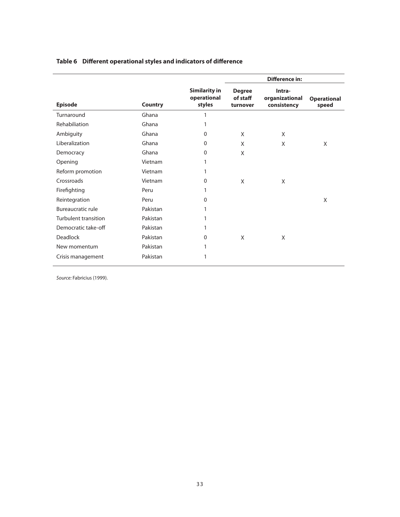# **Table 6 Different operational styles and indicators of difference**

|                      |                |                                               |                                       | <b>Difference in:</b>                   |                             |
|----------------------|----------------|-----------------------------------------------|---------------------------------------|-----------------------------------------|-----------------------------|
| <b>Episode</b>       | <b>Country</b> | <b>Similarity in</b><br>operational<br>styles | <b>Degree</b><br>of staff<br>turnover | Intra-<br>organizational<br>consistency | <b>Operational</b><br>speed |
| Turnaround           | Ghana          | 1                                             |                                       |                                         |                             |
| Rehabiliation        | Ghana          |                                               |                                       |                                         |                             |
| Ambiguity            | Ghana          | $\Omega$                                      | X                                     | X                                       |                             |
| Liberalization       | Ghana          | $\mathbf{0}$                                  | X                                     | X                                       | X                           |
| Democracy            | Ghana          | $\Omega$                                      | X                                     |                                         |                             |
| Opening              | Vietnam        | 1                                             |                                       |                                         |                             |
| Reform promotion     | Vietnam        | 1                                             |                                       |                                         |                             |
| Crossroads           | Vietnam        | $\Omega$                                      | X                                     | X                                       |                             |
| Firefighting         | Peru           |                                               |                                       |                                         |                             |
| Reintegration        | Peru           | $\Omega$                                      |                                       |                                         | X                           |
| Bureaucratic rule    | Pakistan       |                                               |                                       |                                         |                             |
| Turbulent transition | Pakistan       |                                               |                                       |                                         |                             |
| Democratic take-off  | Pakistan       | 1                                             |                                       |                                         |                             |
| Deadlock             | Pakistan       | $\Omega$                                      | X                                     | X                                       |                             |
| New momentum         | Pakistan       | 1                                             |                                       |                                         |                             |
| Crisis management    | Pakistan       |                                               |                                       |                                         |                             |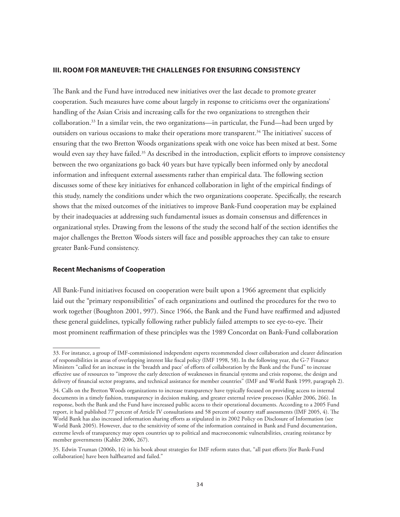# **III. ROOM FOR MANEUVER: THE CHALLENGES FOR ENSURING CONSISTENCY**

The Bank and the Fund have introduced new initiatives over the last decade to promote greater cooperation. Such measures have come about largely in response to criticisms over the organizations' handling of the Asian Crisis and increasing calls for the two organizations to strengthen their collaboration.33 In a similar vein, the two organizations—in particular, the Fund—had been urged by outsiders on various occasions to make their operations more transparent.<sup>34</sup> The initiatives' success of ensuring that the two Bretton Woods organizations speak with one voice has been mixed at best. Some would even say they have failed.<sup>35</sup> As described in the introduction, explicit efforts to improve consistency between the two organizations go back 40 years but have typically been informed only by anecdotal information and infrequent external assessments rather than empirical data. The following section discusses some of these key initiatives for enhanced collaboration in light of the empirical findings of this study, namely the conditions under which the two organizations cooperate. Specifically, the research shows that the mixed outcomes of the initiatives to improve Bank-Fund cooperation may be explained by their inadequacies at addressing such fundamental issues as domain consensus and differences in organizational styles. Drawing from the lessons of the study the second half of the section identifies the major challenges the Bretton Woods sisters will face and possible approaches they can take to ensure greater Bank-Fund consistency.

# **Recent Mechanisms of Cooperation**

All Bank-Fund initiatives focused on cooperation were built upon a 1966 agreement that explicitly laid out the "primary responsibilities" of each organizations and outlined the procedures for the two to work together (Boughton 2001, 997). Since 1966, the Bank and the Fund have reaffirmed and adjusted these general guidelines, typically following rather publicly failed attempts to see eye-to-eye. Their most prominent reaffirmation of these principles was the 1989 Concordat on Bank-Fund collaboration

<sup>33.</sup> For instance, a group of IMF-commissioned independent experts recommended closer collaboration and clearer delineation of responsibilities in areas of overlapping interest like fiscal policy (IMF 1998, 58). In the following year, the G-7 Finance Ministers "called for an increase in the 'breadth and pace' of efforts of collaboration by the Bank and the Fund" to increase effective use of resources to "improve the early detection of weaknesses in financial systems and crisis response, the design and delivery of financial sector programs, and technical assistance for member countries" (IMF and World Bank 1999, paragraph 2).

<sup>34.</sup> Calls on the Bretton Woods organizations to increase transparency have typically focused on providing access to internal documents in a timely fashion, transparency in decision making, and greater external review processes (Kahler 2006, 266). In response, both the Bank and the Fund have increased public access to their operational documents. According to a 2005 Fund report, it had published 77 percent of Article IV consultations and 58 percent of country staff assessments (IMF 2005, 4). The World Bank has also increased information sharing efforts as stipulated in its 2002 Policy on Disclosure of Information (see World Bank 2005). However, due to the sensitivity of some of the information contained in Bank and Fund documentation, extreme levels of transparency may open countries up to political and macroeconomic vulnerabilities, creating resistance by member governments (Kahler 2006, 267).

<sup>35.</sup> Edwin Truman (2006b, 16) in his book about strategies for IMF reform states that, "all past efforts [for Bank-Fund collaboration] have been halfhearted and failed."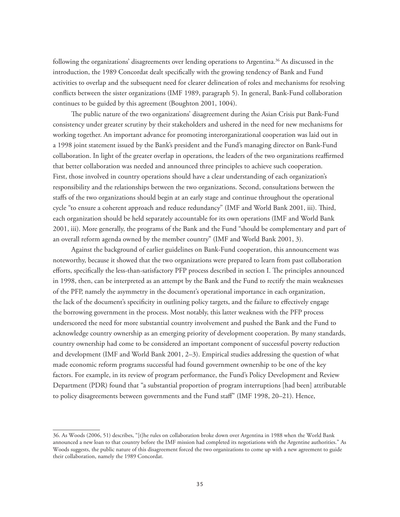following the organizations' disagreements over lending operations to Argentina.36 As discussed in the introduction, the 1989 Concordat dealt specifically with the growing tendency of Bank and Fund activities to overlap and the subsequent need for clearer delineation of roles and mechanisms for resolving conflicts between the sister organizations (IMF 1989, paragraph 5). In general, Bank-Fund collaboration continues to be guided by this agreement (Boughton 2001, 1004).

The public nature of the two organizations' disagreement during the Asian Crisis put Bank-Fund consistency under greater scrutiny by their stakeholders and ushered in the need for new mechanisms for working together. An important advance for promoting interorganizational cooperation was laid out in a 1998 joint statement issued by the Bank's president and the Fund's managing director on Bank-Fund collaboration. In light of the greater overlap in operations, the leaders of the two organizations reaffirmed that better collaboration was needed and announced three principles to achieve such cooperation. First, those involved in country operations should have a clear understanding of each organization's responsibility and the relationships between the two organizations. Second, consultations between the staffs of the two organizations should begin at an early stage and continue throughout the operational cycle "to ensure a coherent approach and reduce redundancy" (IMF and World Bank 2001, iii). Third, each organization should be held separately accountable for its own operations (IMF and World Bank 2001, iii). More generally, the programs of the Bank and the Fund "should be complementary and part of an overall reform agenda owned by the member country" (IMF and World Bank 2001, 3).

Against the background of earlier guidelines on Bank-Fund cooperation, this announcement was noteworthy, because it showed that the two organizations were prepared to learn from past collaboration efforts, specifically the less-than-satisfactory PFP process described in section I. The principles announced in 1998, then, can be interpreted as an attempt by the Bank and the Fund to rectify the main weaknesses of the PFP, namely the asymmetry in the document's operational importance in each organization, the lack of the document's specificity in outlining policy targets, and the failure to effectively engage the borrowing government in the process. Most notably, this latter weakness with the PFP process underscored the need for more substantial country involvement and pushed the Bank and the Fund to acknowledge country ownership as an emerging priority of development cooperation. By many standards, country ownership had come to be considered an important component of successful poverty reduction and development (IMF and World Bank 2001, 2–3). Empirical studies addressing the question of what made economic reform programs successful had found government ownership to be one of the key factors. For example, in its review of program performance, the Fund's Policy Development and Review Department (PDR) found that "a substantial proportion of program interruptions [had been] attributable to policy disagreements between governments and the Fund staff" (IMF 1998, 20–21). Hence,

<sup>36.</sup> As Woods (2006, 51) describes, "[t]he rules on collaboration broke down over Argentina in 1988 when the World Bank announced a new loan to that country before the IMF mission had completed its negotiations with the Argentine authorities." As Woods suggests, the public nature of this disagreement forced the two organizations to come up with a new agreement to guide their collaboration, namely the 1989 Concordat.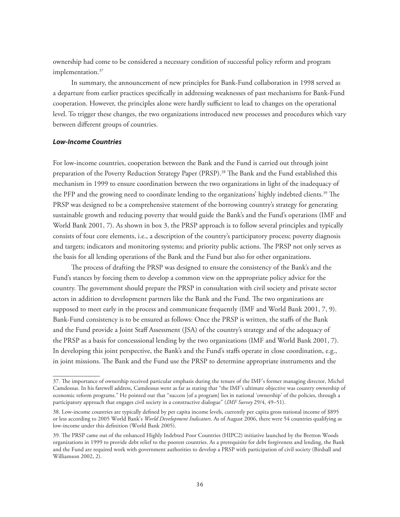ownership had come to be considered a necessary condition of successful policy reform and program implementation.<sup>37</sup>

In summary, the announcement of new principles for Bank-Fund collaboration in 1998 served as a departure from earlier practices specifically in addressing weaknesses of past mechanisms for Bank-Fund cooperation. However, the principles alone were hardly sufficient to lead to changes on the operational level. To trigger these changes, the two organizations introduced new processes and procedures which vary between different groups of countries.

# *Low-Income Countries*

For low-income countries, cooperation between the Bank and the Fund is carried out through joint preparation of the Poverty Reduction Strategy Paper (PRSP).<sup>38</sup> The Bank and the Fund established this mechanism in 1999 to ensure coordination between the two organizations in light of the inadequacy of the PFP and the growing need to coordinate lending to the organizations' highly indebted clients.39 The PRSP was designed to be a comprehensive statement of the borrowing country's strategy for generating sustainable growth and reducing poverty that would guide the Bank's and the Fund's operations (IMF and World Bank 2001, 7). As shown in box 3, the PRSP approach is to follow several principles and typically consists of four core elements, i.e., a description of the country's participatory process; poverty diagnosis and targets; indicators and monitoring systems; and priority public actions. The PRSP not only serves as the basis for all lending operations of the Bank and the Fund but also for other organizations.

The process of drafting the PRSP was designed to ensure the consistency of the Bank's and the Fund's stances by forcing them to develop a common view on the appropriate policy advice for the country. The government should prepare the PRSP in consultation with civil society and private sector actors in addition to development partners like the Bank and the Fund. The two organizations are supposed to meet early in the process and communicate frequently (IMF and World Bank 2001, 7, 9). Bank-Fund consistency is to be ensured as follows: Once the PRSP is written, the staffs of the Bank and the Fund provide a Joint Staff Assessment (JSA) of the country's strategy and of the adequacy of the PRSP as a basis for concesssional lending by the two organizations (IMF and World Bank 2001, 7). In developing this joint perspective, the Bank's and the Fund's staffs operate in close coordination, e.g., in joint missions. The Bank and the Fund use the PRSP to determine appropriate instruments and the

<sup>37.</sup> The importance of ownership received particular emphasis during the tenure of the IMF's former managing director, Michel Camdessus. In his farewell address, Camdessus went as far as stating that "the IMF's ultimate objective was country ownership of economic reform programs." He pointed out that "success [of a program] lies in national 'ownership' of the policies, through a participatory approach that engages civil society in a constructive dialogue" (*IMF Survey* 29/4, 49–51).

<sup>38.</sup> Low-income countries are typically defined by per capita income levels, currently per capita gross national income of \$895 or less according to 2005 World Bank's *World Development Indicators*. As of August 2006, there were 54 countries qualifying as low-income under this definition (World Bank 2005).

<sup>39.</sup> The PRSP came out of the enhanced Highly Indebted Poor Countries (HIPC2) initiative launched by the Bretton Woods organizations in 1999 to provide debt relief to the poorest countries. As a prerequisite for debt forgiveness and lending, the Bank and the Fund are required work with government authorities to develop a PRSP with participation of civil society (Birdsall and Williamson 2002, 2).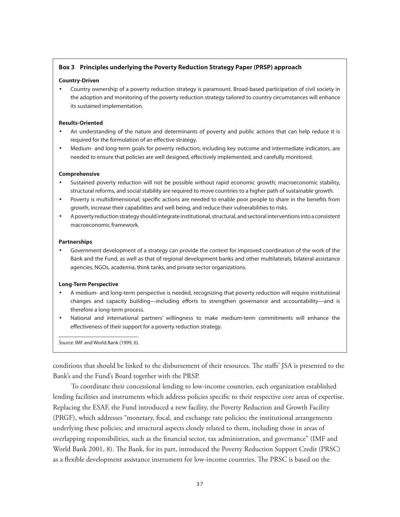## **Box 3 Principles underlying the Poverty Reduction Strategy Paper (PRSP) approach**

#### **Country-Driven**

• Country ownership of a poverty reduction strategy is paramount. Broad-based participation of civil society in the adoption and monitoring of the poverty reduction strategy tailored to country circumstances will enhance its sustained implementation.

#### **Results-Oriented**

- An understanding of the nature and determinants of poverty and public actions that can help reduce it is required for the formulation of an effective strategy.
- Medium- and long-term goals for poverty reduction, including key outcome and intermediate indicators, are needed to ensure that policies are well designed, effectively implemented, and carefully monitored.

#### **Comprehensive**

- Sustained poverty reduction will not be possible without rapid economic growth; macroeconomic stability, structural reforms, and social stability are required to move countries to a higher path of sustainable growth.
- Poverty is multidimensional; specific actions are needed to enable poor people to share in the benefits from growth, increase their capabilities and well being, and reduce their vulnerabilities to risks.
- A poverty reduction strategy should integrate institutional, structural, and sectoral interventions into a consistent macroeconomic framework.

#### **Partnerships**

• Government development of a strategy can provide the context for improved coordination of the work of the Bank and the Fund, as well as that of regional development banks and other multilaterals, bilateral assistance agencies, NGOs, academia, think tanks, and private sector organizations.

### **Long-Term Perspective**

- A medium- and long-term perspective is needed, recognizing that poverty reduction will require institutional changes and capacity building—including efforts to strengthen governance and accountability—and is therefore a long-term process.
- National and international partners' willingness to make medium-term commitments will enhance the effectiveness of their support for a poverty reduction strategy.

Source: IMF and World Bank (1999, 6).

conditions that should be linked to the disbursement of their resources. The staffs' JSA is presented to the Bank's and the Fund's Board together with the PRSP.

To coordinate their concessional lending to low-income countries, each organization established lending facilities and instruments which address policies specific to their respective core areas of expertise. Replacing the ESAF, the Fund introduced a new facility, the Poverty Reduction and Growth Facility (PRGF), which addresses "monetary, fiscal, and exchange rate policies; the institutional arrangements underlying these policies; and structural aspects closely related to them, including those in areas of overlapping responsibilities, such as the financial sector, tax administration, and governance" (IMF and World Bank 2001, 8). The Bank, for its part, introduced the Poverty Reduction Support Credit (PRSC) as a flexible development assistance instrument for low-income countries. The PRSC is based on the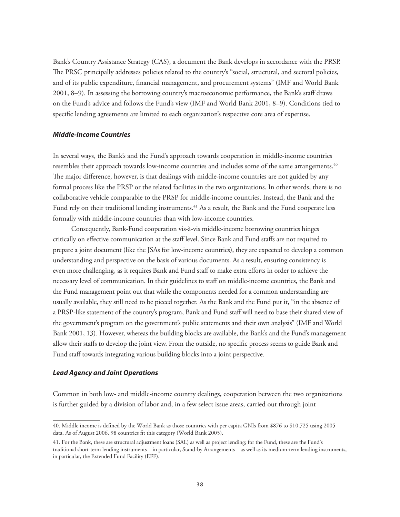Bank's Country Assistance Strategy (CAS), a document the Bank develops in accordance with the PRSP. The PRSC principally addresses policies related to the country's "social, structural, and sectoral policies, and of its public expenditure, financial management, and procurement systems" (IMF and World Bank 2001, 8–9). In assessing the borrowing country's macroeconomic performance, the Bank's staff draws on the Fund's advice and follows the Fund's view (IMF and World Bank 2001, 8–9). Conditions tied to specific lending agreements are limited to each organization's respective core area of expertise.

#### *Middle-Income Countries*

In several ways, the Bank's and the Fund's approach towards cooperation in middle-income countries resembles their approach towards low-income countries and includes some of the same arrangements.<sup>40</sup> The major difference, however, is that dealings with middle-income countries are not guided by any formal process like the PRSP or the related facilities in the two organizations. In other words, there is no collaborative vehicle comparable to the PRSP for middle-income countries. Instead, the Bank and the Fund rely on their traditional lending instruments.<sup>41</sup> As a result, the Bank and the Fund cooperate less formally with middle-income countries than with low-income countries.

Consequently, Bank-Fund cooperation vis-à-vis middle-income borrowing countries hinges critically on effective communication at the staff level. Since Bank and Fund staffs are not required to prepare a joint document (like the JSAs for low-income countries), they are expected to develop a common understanding and perspective on the basis of various documents. As a result, ensuring consistency is even more challenging, as it requires Bank and Fund staff to make extra efforts in order to achieve the necessary level of communication. In their guidelines to staff on middle-income countries, the Bank and the Fund management point out that while the components needed for a common understanding are usually available, they still need to be pieced together. As the Bank and the Fund put it, "in the absence of a PRSP-like statement of the country's program, Bank and Fund staff will need to base their shared view of the government's program on the government's public statements and their own analysis" (IMF and World Bank 2001, 13). However, whereas the building blocks are available, the Bank's and the Fund's management allow their staffs to develop the joint view. From the outside, no specific process seems to guide Bank and Fund staff towards integrating various building blocks into a joint perspective.

#### *Lead Agency and Joint Operations*

Common in both low- and middle-income country dealings, cooperation between the two organizations is further guided by a division of labor and, in a few select issue areas, carried out through joint

<sup>40.</sup> Middle income is defined by the World Bank as those countries with per capita GNIs from \$876 to \$10,725 using 2005 data. As of August 2006, 98 countries fit this category (World Bank 2005).

<sup>41.</sup> For the Bank, these are structural adjustment loans (SAL) as well as project lending; for the Fund, these are the Fund's traditional short-term lending instruments—in particular, Stand-by Arrangements—as well as its medium-term lending instruments, in particular, the Extended Fund Facility (EFF).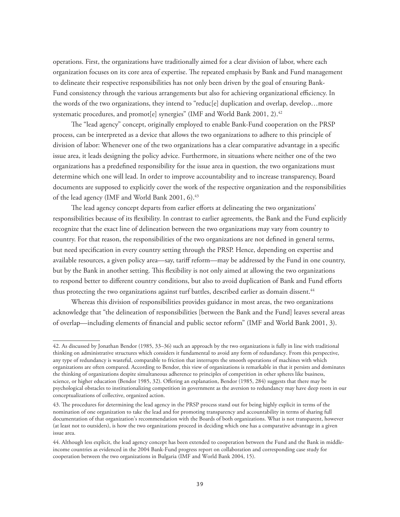operations. First, the organizations have traditionally aimed for a clear division of labor, where each organization focuses on its core area of expertise. The repeated emphasis by Bank and Fund management to delineate their respective responsibilities has not only been driven by the goal of ensuring Bank-Fund consistency through the various arrangements but also for achieving organizational efficiency. In the words of the two organizations, they intend to "reduc[e] duplication and overlap, develop…more systematic procedures, and promot[e] synergies" (IMF and World Bank 2001, 2).<sup>42</sup>

The "lead agency" concept, originally employed to enable Bank-Fund cooperation on the PRSP process, can be interpreted as a device that allows the two organizations to adhere to this principle of division of labor: Whenever one of the two organizations has a clear comparative advantage in a specific issue area, it leads designing the policy advice. Furthermore, in situations where neither one of the two organizations has a predefined responsibility for the issue area in question, the two organizations must determine which one will lead. In order to improve accountability and to increase transparency, Board documents are supposed to explicitly cover the work of the respective organization and the responsibilities of the lead agency (IMF and World Bank 2001, 6).<sup>43</sup>

The lead agency concept departs from earlier efforts at delineating the two organizations' responsibilities because of its flexibility. In contrast to earlier agreements, the Bank and the Fund explicitly recognize that the exact line of delineation between the two organizations may vary from country to country. For that reason, the responsibilities of the two organizations are not defined in general terms, but need specification in every country setting through the PRSP. Hence, depending on expertise and available resources, a given policy area—say, tariff reform—may be addressed by the Fund in one country, but by the Bank in another setting. This flexibility is not only aimed at allowing the two organizations to respond better to different country conditions, but also to avoid duplication of Bank and Fund efforts thus protecting the two organizations against turf battles, described earlier as domain dissent.<sup>44</sup>

Whereas this division of responsibilities provides guidance in most areas, the two organizations acknowledge that "the delineation of responsibilities [between the Bank and the Fund] leaves several areas of overlap—including elements of financial and public sector reform" (IMF and World Bank 2001, 3).

<sup>42.</sup> As discussed by Jonathan Bendor (1985, 33–36) such an approach by the two organizations is fully in line with traditional thinking on administrative structures which considers it fundamental to avoid any form of redundancy. From this perspective, any type of redundancy is wasteful, comparable to friction that interrupts the smooth operations of machines with which organizations are often compared. According to Bendor, this view of organizations is remarkable in that it persists and dominates the thinking of organizations despite simultaneous adherence to principles of competition in other spheres like business, science, or higher education (Bendor 1985, 32). Offering an explanation, Bendor (1985, 284) suggests that there may be psychological obstacles to institutionalizing competition in government as the aversion to redundancy may have deep roots in our conceptualizations of collective, organized action.

<sup>43.</sup> The procedures for determining the lead agency in the PRSP process stand out for being highly explicit in terms of the nomination of one organization to take the lead and for promoting transparency and accountability in terms of sharing full documentation of that organization's recommendation with the Boards of both organizations. What is not transparent, however (at least not to outsiders), is how the two organizations proceed in deciding which one has a comparative advantage in a given issue area.

<sup>44.</sup> Although less explicit, the lead agency concept has been extended to cooperation between the Fund and the Bank in middleincome countries as evidenced in the 2004 Bank-Fund progress report on collaboration and corresponding case study for cooperation between the two organizations in Bulgaria (IMF and World Bank 2004, 15).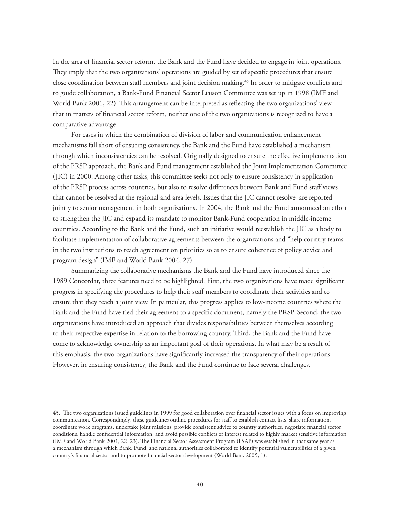In the area of financial sector reform, the Bank and the Fund have decided to engage in joint operations. They imply that the two organizations' operations are guided by set of specific procedures that ensure close coordination between staff members and joint decision making.<sup>45</sup> In order to mitigate conflicts and to guide collaboration, a Bank-Fund Financial Sector Liaison Committee was set up in 1998 (IMF and World Bank 2001, 22). This arrangement can be interpreted as reflecting the two organizations' view that in matters of financial sector reform, neither one of the two organizations is recognized to have a comparative advantage.

For cases in which the combination of division of labor and communication enhancement mechanisms fall short of ensuring consistency, the Bank and the Fund have established a mechanism through which inconsistencies can be resolved. Originally designed to ensure the effective implementation of the PRSP approach, the Bank and Fund management established the Joint Implementation Committee (JIC) in 2000. Among other tasks, this committee seeks not only to ensure consistency in application of the PRSP process across countries, but also to resolve differences between Bank and Fund staff views that cannot be resolved at the regional and area levels. Issues that the JIC cannot resolve are reported jointly to senior management in both organizations. In 2004, the Bank and the Fund announced an effort to strengthen the JIC and expand its mandate to monitor Bank-Fund cooperation in middle-income countries. According to the Bank and the Fund, such an initiative would reestablish the JIC as a body to facilitate implementation of collaborative agreements between the organizations and "help country teams in the two institutions to reach agreement on priorities so as to ensure coherence of policy advice and program design" (IMF and World Bank 2004, 27).

Summarizing the collaborative mechanisms the Bank and the Fund have introduced since the 1989 Concordat, three features need to be highlighted. First, the two organizations have made significant progress in specifying the procedures to help their staff members to coordinate their activities and to ensure that they reach a joint view. In particular, this progress applies to low-income countries where the Bank and the Fund have tied their agreement to a specific document, namely the PRSP. Second, the two organizations have introduced an approach that divides responsibilities between themselves according to their respective expertise in relation to the borrowing country. Third, the Bank and the Fund have come to acknowledge ownership as an important goal of their operations. In what may be a result of this emphasis, the two organizations have significantly increased the transparency of their operations. However, in ensuring consistency, the Bank and the Fund continue to face several challenges.

<sup>45.</sup> The two organizations issued guidelines in 1999 for good collaboration over financial sector issues with a focus on improving communication. Correspondingly, these guidelines outline procedures for staff to establish contact lists, share information, coordinate work programs, undertake joint missions, provide consistent advice to country authorities, negotiate financial sector conditions, handle confidential information, and avoid possible conflicts of interest related to highly market sensitive information (IMF and World Bank 2001, 22–23). The Financial Sector Assessment Program (FSAP) was established in that same year as a mechanism through which Bank, Fund, and national authorities collaborated to identify potential vulnerabilities of a given country's financial sector and to promote financial-sector development (World Bank 2005, 1).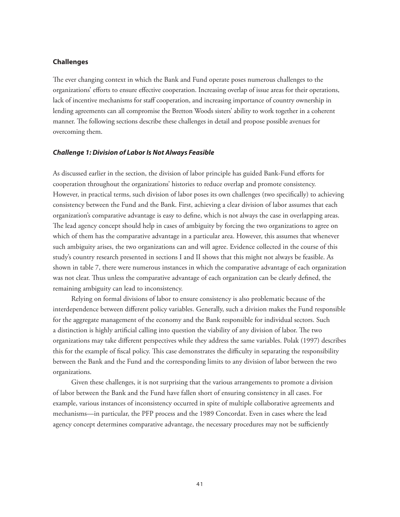#### **Challenges**

The ever changing context in which the Bank and Fund operate poses numerous challenges to the organizations' efforts to ensure effective cooperation. Increasing overlap of issue areas for their operations, lack of incentive mechanisms for staff cooperation, and increasing importance of country ownership in lending agreements can all compromise the Bretton Woods sisters' ability to work together in a coherent manner. The following sections describe these challenges in detail and propose possible avenues for overcoming them.

#### *Challenge 1: Division of Labor Is Not Always Feasible*

As discussed earlier in the section, the division of labor principle has guided Bank-Fund efforts for cooperation throughout the organizations' histories to reduce overlap and promote consistency. However, in practical terms, such division of labor poses its own challenges (two specifically) to achieving consistency between the Fund and the Bank. First, achieving a clear division of labor assumes that each organization's comparative advantage is easy to define, which is not always the case in overlapping areas. The lead agency concept should help in cases of ambiguity by forcing the two organizations to agree on which of them has the comparative advantage in a particular area. However, this assumes that whenever such ambiguity arises, the two organizations can and will agree. Evidence collected in the course of this study's country research presented in sections I and II shows that this might not always be feasible. As shown in table 7, there were numerous instances in which the comparative advantage of each organization was not clear. Thus unless the comparative advantage of each organization can be clearly defined, the remaining ambiguity can lead to inconsistency.

Relying on formal divisions of labor to ensure consistency is also problematic because of the interdependence between different policy variables. Generally, such a division makes the Fund responsible for the aggregate management of the economy and the Bank responsible for individual sectors. Such a distinction is highly artificial calling into question the viability of any division of labor. The two organizations may take different perspectives while they address the same variables. Polak (1997) describes this for the example of fiscal policy. This case demonstrates the difficulty in separating the responsibility between the Bank and the Fund and the corresponding limits to any division of labor between the two organizations.

Given these challenges, it is not surprising that the various arrangements to promote a division of labor between the Bank and the Fund have fallen short of ensuring consistency in all cases. For example, various instances of inconsistency occurred in spite of multiple collaborative agreements and mechanisms—in particular, the PFP process and the 1989 Concordat. Even in cases where the lead agency concept determines comparative advantage, the necessary procedures may not be sufficiently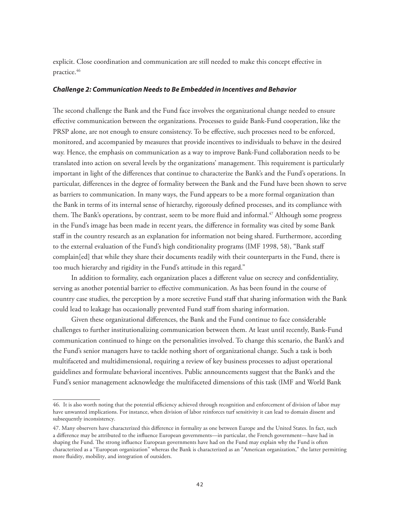explicit. Close coordination and communication are still needed to make this concept effective in practice.<sup>46</sup>

# *Challenge 2: Communication Needs to Be Embedded in Incentives and Behavior*

The second challenge the Bank and the Fund face involves the organizational change needed to ensure effective communication between the organizations. Processes to guide Bank-Fund cooperation, like the PRSP alone, are not enough to ensure consistency. To be effective, such processes need to be enforced, monitored, and accompanied by measures that provide incentives to individuals to behave in the desired way. Hence, the emphasis on communication as a way to improve Bank-Fund collaboration needs to be translated into action on several levels by the organizations' management. This requirement is particularly important in light of the differences that continue to characterize the Bank's and the Fund's operations. In particular, differences in the degree of formality between the Bank and the Fund have been shown to serve as barriers to communication. In many ways, the Fund appears to be a more formal organization than the Bank in terms of its internal sense of hierarchy, rigorously defined processes, and its compliance with them. The Bank's operations, by contrast, seem to be more fluid and informal.<sup>47</sup> Although some progress in the Fund's image has been made in recent years, the difference in formality was cited by some Bank staff in the country research as an explanation for information not being shared. Furthermore, according to the external evaluation of the Fund's high conditionality programs (IMF 1998, 58), "Bank staff complain[ed] that while they share their documents readily with their counterparts in the Fund, there is too much hierarchy and rigidity in the Fund's attitude in this regard."

In addition to formality, each organization places a different value on secrecy and confidentiality, serving as another potential barrier to effective communication. As has been found in the course of country case studies, the perception by a more secretive Fund staff that sharing information with the Bank could lead to leakage has occasionally prevented Fund staff from sharing information.

Given these organizational differences, the Bank and the Fund continue to face considerable challenges to further institutionalizing communication between them. At least until recently, Bank-Fund communication continued to hinge on the personalities involved. To change this scenario, the Bank's and the Fund's senior managers have to tackle nothing short of organizational change. Such a task is both multifaceted and multidimensional, requiring a review of key business processes to adjust operational guidelines and formulate behavioral incentives. Public announcements suggest that the Bank's and the Fund's senior management acknowledge the multifaceted dimensions of this task (IMF and World Bank

<sup>46.</sup> It is also worth noting that the potential efficiency achieved through recognition and enforcement of division of labor may have unwanted implications. For instance, when division of labor reinforces turf sensitivity it can lead to domain dissent and subsequently inconsistency.

<sup>47.</sup> Many observers have characterized this difference in formality as one between Europe and the United States. In fact, such a difference may be attributed to the influence European governments—in particular, the French government—have had in shaping the Fund. The strong influence European governments have had on the Fund may explain why the Fund is often characterized as a "European organization" whereas the Bank is characterized as an "American organization," the latter permitting more fluidity, mobility, and integration of outsiders.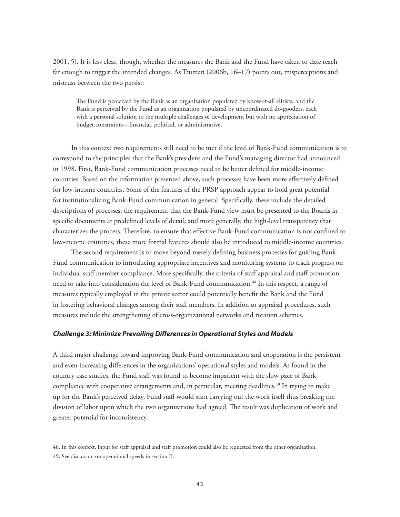2001, 5). It is less clear, though, whether the measures the Bank and the Fund have taken to date reach far enough to trigger the intended changes. As Truman (2006b, 16–17) points out, misperceptions and mistrust between the two persist:

The Fund is perceived by the Bank as an organization populated by know-it-all elitists, and the Bank is perceived by the Fund as an organization populated by uncoordinated do-gooders, each with a personal solution to the multiple challenges of development but with no appreciation of budget constraints—financial, political, or administrative.

In this context two requirements still need to be met if the level of Bank-Fund communication is to correspond to the principles that the Bank's president and the Fund's managing director had announced in 1998. First, Bank-Fund communication processes need to be better defined for middle-income countries. Based on the information presented above, such processes have been more effectively defined for low-income countries. Some of the features of the PRSP approach appear to hold great potential for institutionalizing Bank-Fund communication in general. Specifically, these include the detailed descriptions of processes; the requirement that the Bank-Fund view must be presented to the Boards in specific documents at predefined levels of detail; and more generally, the high-level transparency that characterizes the process. Therefore, to ensure that effective Bank-Fund communication is not confined to low-income countries, these more formal features should also be introduced to middle-income countries.

The second requirement is to move beyond merely defining business processes for guiding Bank-Fund communication to introducing appropriate incentives and monitoring systems to track progress on individual staff member compliance. More specifically, the criteria of staff appraisal and staff promotion need to take into consideration the level of Bank-Fund communication.<sup>48</sup> In this respect, a range of measures typically employed in the private sector could potentially benefit the Bank and the Fund in fostering behavioral changes among their staff members. In addition to appraisal procedures, such measures include the strengthening of cross-organizational networks and rotation schemes.

#### *Challenge 3: Minimize Prevailing Differences in Operational Styles and Models*

A third major challenge toward improving Bank-Fund communication and cooperation is the persistent and even increasing differences in the organizations' operational styles and models. As found in the country case studies, the Fund staff was found to become impatient with the slow pace of Bank compliance with cooperative arrangements and, in particular, meeting deadlines.49 In trying to make up for the Bank's perceived delay, Fund staff would start carrying out the work itself thus breaking the division of labor upon which the two organizations had agreed. The result was duplication of work and greater potential for inconsistency.

<sup>48.</sup> In this context, input for staff appraisal and staff promotion could also be requested from the other organization. 49. See discussion on operational speeds in section II.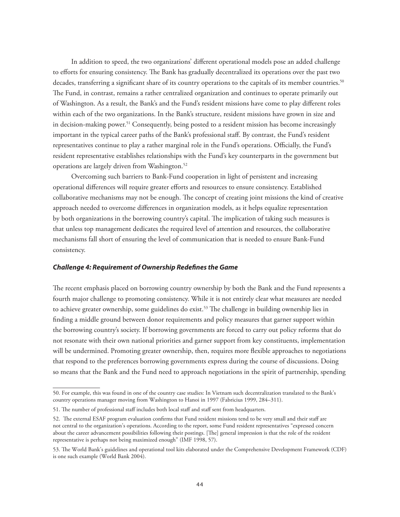In addition to speed, the two organizations' different operational models pose an added challenge to efforts for ensuring consistency. The Bank has gradually decentralized its operations over the past two decades, transferring a significant share of its country operations to the capitals of its member countries.<sup>50</sup> The Fund, in contrast, remains a rather centralized organization and continues to operate primarily out of Washington. As a result, the Bank's and the Fund's resident missions have come to play different roles within each of the two organizations. In the Bank's structure, resident missions have grown in size and in decision-making power.<sup>51</sup> Consequently, being posted to a resident mission has become increasingly important in the typical career paths of the Bank's professional staff. By contrast, the Fund's resident representatives continue to play a rather marginal role in the Fund's operations. Officially, the Fund's resident representative establishes relationships with the Fund's key counterparts in the government but operations are largely driven from Washington.52

Overcoming such barriers to Bank-Fund cooperation in light of persistent and increasing operational differences will require greater efforts and resources to ensure consistency. Established collaborative mechanisms may not be enough. The concept of creating joint missions the kind of creative approach needed to overcome differences in organization models, as it helps equalize representation by both organizations in the borrowing country's capital. The implication of taking such measures is that unless top management dedicates the required level of attention and resources, the collaborative mechanisms fall short of ensuring the level of communication that is needed to ensure Bank-Fund consistency.

#### *Challenge 4: Requirement of Ownership Redefines the Game*

The recent emphasis placed on borrowing country ownership by both the Bank and the Fund represents a fourth major challenge to promoting consistency. While it is not entirely clear what measures are needed to achieve greater ownership, some guidelines do exist.<sup>53</sup> The challenge in building ownership lies in finding a middle ground between donor requirements and policy measures that garner support within the borrowing country's society. If borrowing governments are forced to carry out policy reforms that do not resonate with their own national priorities and garner support from key constituents, implementation will be undermined. Promoting greater ownership, then, requires more flexible approaches to negotiations that respond to the preferences borrowing governments express during the course of discussions. Doing so means that the Bank and the Fund need to approach negotiations in the spirit of partnership, spending

<sup>50.</sup> For example, this was found in one of the country case studies: In Vietnam such decentralization translated to the Bank's country operations manager moving from Washington to Hanoi in 1997 (Fabricius 1999, 284–311).

<sup>51.</sup> The number of professional staff includes both local staff and staff sent from headquarters.

<sup>52.</sup> The external ESAF program evaluation confirms that Fund resident missions tend to be very small and their staff are not central to the organization's operations. According to the report, some Fund resident representatives "expressed concern about the career advancement possibilities following their postings. [The] general impression is that the role of the resident representative is perhaps not being maximized enough" (IMF 1998, 57).

<sup>53.</sup> The World Bank's guidelines and operational tool kits elaborated under the Comprehensive Development Framework (CDF) is one such example (World Bank 2004).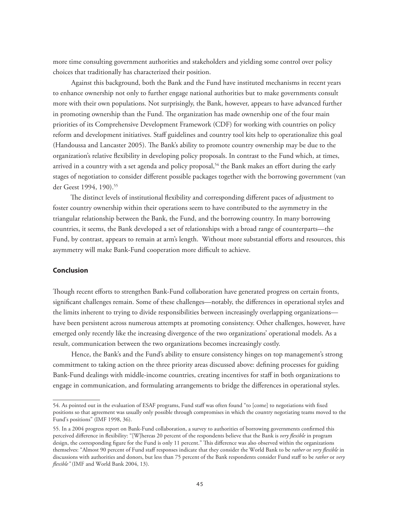more time consulting government authorities and stakeholders and yielding some control over policy choices that traditionally has characterized their position.

Against this background, both the Bank and the Fund have instituted mechanisms in recent years to enhance ownership not only to further engage national authorities but to make governments consult more with their own populations. Not surprisingly, the Bank, however, appears to have advanced further in promoting ownership than the Fund. The organization has made ownership one of the four main priorities of its Comprehensive Development Framework (CDF) for working with countries on policy reform and development initiatives. Staff guidelines and country tool kits help to operationalize this goal (Handoussa and Lancaster 2005). The Bank's ability to promote country ownership may be due to the organization's relative flexibility in developing policy proposals. In contrast to the Fund which, at times, arrived in a country with a set agenda and policy proposal,<sup>54</sup> the Bank makes an effort during the early stages of negotiation to consider different possible packages together with the borrowing government (van der Geest 1994, 190).<sup>55</sup>

The distinct levels of institutional flexibility and corresponding different paces of adjustment to foster country ownership within their operations seem to have contributed to the asymmetry in the triangular relationship between the Bank, the Fund, and the borrowing country. In many borrowing countries, it seems, the Bank developed a set of relationships with a broad range of counterparts—the Fund, by contrast, appears to remain at arm's length. Without more substantial efforts and resources, this asymmetry will make Bank-Fund cooperation more difficult to achieve.

#### **Conclusion**

Though recent efforts to strengthen Bank-Fund collaboration have generated progress on certain fronts, significant challenges remain. Some of these challenges—notably, the differences in operational styles and the limits inherent to trying to divide responsibilities between increasingly overlapping organizations have been persistent across numerous attempts at promoting consistency. Other challenges, however, have emerged only recently like the increasing divergence of the two organizations' operational models. As a result, communication between the two organizations becomes increasingly costly.

Hence, the Bank's and the Fund's ability to ensure consistency hinges on top management's strong commitment to taking action on the three priority areas discussed above: defining processes for guiding Bank-Fund dealings with middle-income countries, creating incentives for staff in both organizations to engage in communication, and formulating arrangements to bridge the differences in operational styles.

<sup>54.</sup> As pointed out in the evaluation of ESAF programs, Fund staff was often found "to [come] to negotiations with fixed positions so that agreement was usually only possible through compromises in which the country negotiating teams moved to the Fund's positions" (IMF 1998, 36).

<sup>55.</sup> In a 2004 progress report on Bank-Fund collaboration, a survey to authorities of borrowing governments confirmed this perceived difference in flexibility: "[W]hereas 20 percent of the respondents believe that the Bank is *very flexible* in program design, the corresponding figure for the Fund is only 11 percent." This difference was also observed within the organizations themselves: "Almost 90 percent of Fund staff responses indicate that they consider the World Bank to be *rather* or *very flexible* in discussions with authorities and donors, but less than 75 percent of the Bank respondents consider Fund staff to be *rather* or *very flexible"* (IMF and World Bank 2004, 13).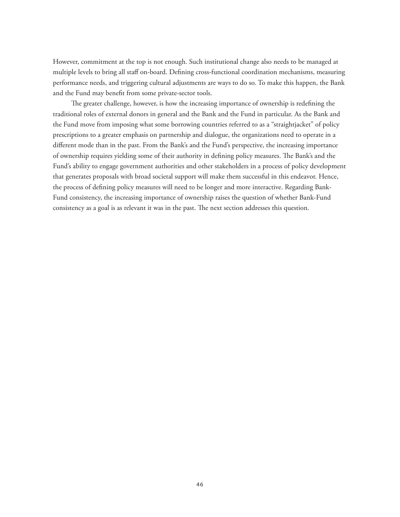However, commitment at the top is not enough. Such institutional change also needs to be managed at multiple levels to bring all staff on-board. Defining cross-functional coordination mechanisms, measuring performance needs, and triggering cultural adjustments are ways to do so. To make this happen, the Bank and the Fund may benefit from some private-sector tools.

The greater challenge, however, is how the increasing importance of ownership is redefining the traditional roles of external donors in general and the Bank and the Fund in particular. As the Bank and the Fund move from imposing what some borrowing countries referred to as a "straightjacket" of policy prescriptions to a greater emphasis on partnership and dialogue, the organizations need to operate in a different mode than in the past. From the Bank's and the Fund's perspective, the increasing importance of ownership requires yielding some of their authority in defining policy measures. The Bank's and the Fund's ability to engage government authorities and other stakeholders in a process of policy development that generates proposals with broad societal support will make them successful in this endeavor. Hence, the process of defining policy measures will need to be longer and more interactive. Regarding Bank-Fund consistency, the increasing importance of ownership raises the question of whether Bank-Fund consistency as a goal is as relevant it was in the past. The next section addresses this question.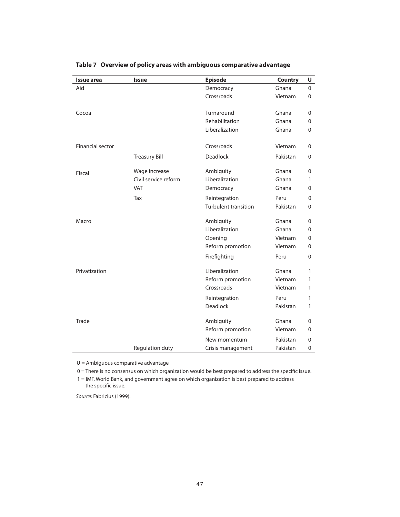| <b>Issue area</b>       | <b>Issue</b>         | <b>Episode</b>              | <b>Country</b> | U        |
|-------------------------|----------------------|-----------------------------|----------------|----------|
| Aid                     |                      | Democracy                   | Ghana          | $\Omega$ |
|                         |                      | Crossroads                  | Vietnam        | $\Omega$ |
|                         |                      |                             |                |          |
| Cocoa                   |                      | Turnaround                  | Ghana          | 0        |
|                         |                      | Rehabilitation              | Ghana          | 0        |
|                         |                      | Liberalization              | Ghana          | 0        |
| <b>Financial sector</b> |                      | Crossroads                  | Vietnam        | $\Omega$ |
|                         | <b>Treasury Bill</b> | <b>Deadlock</b>             | Pakistan       | 0        |
| Fiscal                  | Wage increase        | Ambiguity                   | Ghana          | 0        |
|                         | Civil service reform | Liberalization              | Ghana          | 1        |
|                         | <b>VAT</b>           | Democracy                   | Ghana          | 0        |
|                         | Tax                  | Reintegration               | Peru           | 0        |
|                         |                      | <b>Turbulent transition</b> | Pakistan       | 0        |
| Macro                   |                      | Ambiguity                   | Ghana          | 0        |
|                         |                      | Liberalization              | Ghana          | 0        |
|                         |                      | Opening                     | Vietnam        | 0        |
|                         |                      | Reform promotion            | Vietnam        | 0        |
|                         |                      | Firefighting                | Peru           | 0        |
| Privatization           |                      | Liberalization              | Ghana          | 1        |
|                         |                      | Reform promotion            | Vietnam        | 1        |
|                         |                      | Crossroads                  | Vietnam        | 1        |
|                         |                      | Reintegration               | Peru           | 1        |
|                         |                      | <b>Deadlock</b>             | Pakistan       | 1        |
| Trade                   |                      | Ambiguity                   | Ghana          | 0        |
|                         |                      | Reform promotion            | Vietnam        | 0        |
|                         |                      | New momentum                | Pakistan       | $\Omega$ |
|                         | Regulation duty      | Crisis management           | Pakistan       | 0        |

**Table 7 Overview of policy areas with ambiguous comparative advantage**

U = Ambiguous comparative advantage

0 = There is no consensus on which organization would be best prepared to address the specific issue.

1 = IMF, World Bank, and government agree on which organization is best prepared to address the specific issue.

Source: Fabricius (1999).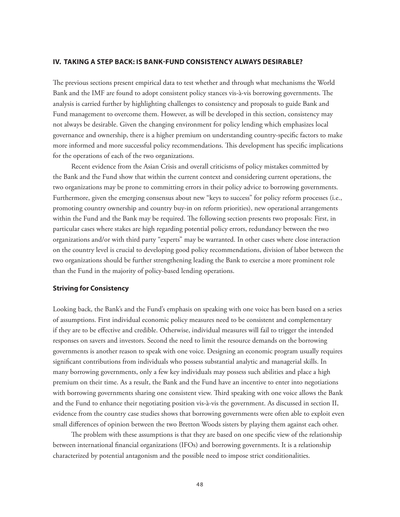### **IV. TAKING A STEP BACK: IS BANK-FUND CONSISTENCY ALWAYS DESIRABLE?**

The previous sections present empirical data to test whether and through what mechanisms the World Bank and the IMF are found to adopt consistent policy stances vis-à-vis borrowing governments. The analysis is carried further by highlighting challenges to consistency and proposals to guide Bank and Fund management to overcome them. However, as will be developed in this section, consistency may not always be desirable. Given the changing environment for policy lending which emphasizes local governance and ownership, there is a higher premium on understanding country-specific factors to make more informed and more successful policy recommendations. This development has specific implications for the operations of each of the two organizations.

Recent evidence from the Asian Crisis and overall criticisms of policy mistakes committed by the Bank and the Fund show that within the current context and considering current operations, the two organizations may be prone to committing errors in their policy advice to borrowing governments. Furthermore, given the emerging consensus about new "keys to success" for policy reform processes (i.e., promoting country ownership and country buy-in on reform priorities), new operational arrangements within the Fund and the Bank may be required. The following section presents two proposals: First, in particular cases where stakes are high regarding potential policy errors, redundancy between the two organizations and/or with third party "experts" may be warranted. In other cases where close interaction on the country level is crucial to developing good policy recommendations, division of labor between the two organizations should be further strengthening leading the Bank to exercise a more prominent role than the Fund in the majority of policy-based lending operations.

#### **Striving for Consistency**

Looking back, the Bank's and the Fund's emphasis on speaking with one voice has been based on a series of assumptions. First individual economic policy measures need to be consistent and complementary if they are to be effective and credible. Otherwise, individual measures will fail to trigger the intended responses on savers and investors. Second the need to limit the resource demands on the borrowing governments is another reason to speak with one voice. Designing an economic program usually requires significant contributions from individuals who possess substantial analytic and managerial skills. In many borrowing governments, only a few key individuals may possess such abilities and place a high premium on their time. As a result, the Bank and the Fund have an incentive to enter into negotiations with borrowing governments sharing one consistent view. Third speaking with one voice allows the Bank and the Fund to enhance their negotiating position vis-à-vis the government. As discussed in section II, evidence from the country case studies shows that borrowing governments were often able to exploit even small differences of opinion between the two Bretton Woods sisters by playing them against each other.

The problem with these assumptions is that they are based on one specific view of the relationship between international financial organizations (IFOs) and borrowing governments. It is a relationship characterized by potential antagonism and the possible need to impose strict conditionalities.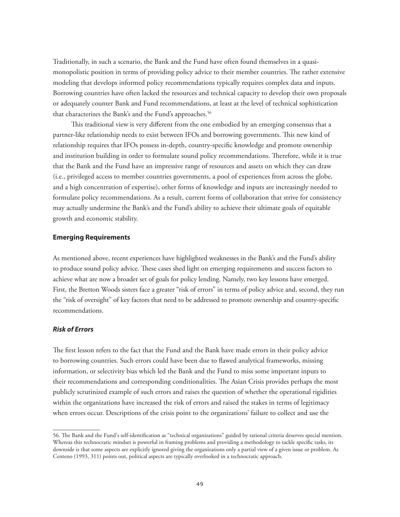Traditionally, in such a scenario, the Bank and the Fund have often found themselves in a quasimonopolistic position in terms of providing policy advice to their member countries. The rather extensive modeling that develops informed policy recommendations typically requires complex data and inputs. Borrowing countries have often lacked the resources and technical capacity to develop their own proposals or adequately counter Bank and Fund recommendations, at least at the level of technical sophistication that characterizes the Bank's and the Fund's approaches.<sup>56</sup>

This traditional view is very different from the one embodied by an emerging consensus that a partner-like relationship needs to exist between IFOs and borrowing governments. This new kind of relationship requires that IFOs possess in-depth, country-specific knowledge and promote ownership and institution building in order to formulate sound policy recommendations. Therefore, while it is true that the Bank and the Fund have an impressive range of resources and assets on which they can draw (i.e., privileged access to member countries governments, a pool of experiences from across the globe, and a high concentration of expertise), other forms of knowledge and inputs are increasingly needed to formulate policy recommendations. As a result, current forms of collaboration that strive for consistency may actually undermine the Bank's and the Fund's ability to achieve their ultimate goals of equitable growth and economic stability.

## **Emerging Requirements**

As mentioned above, recent experiences have highlighted weaknesses in the Bank's and the Fund's ability to produce sound policy advice. These cases shed light on emerging requirements and success factors to achieve what are now a broader set of goals for policy lending. Namely, two key lessons have emerged. First, the Bretton Woods sisters face a greater "risk of errors" in terms of policy advice and, second, they run the "risk of oversight" of key factors that need to be addressed to promote ownership and country-specific recommendations.

#### *Risk of Errors*

The first lesson refers to the fact that the Fund and the Bank have made errors in their policy advice to borrowing countries. Such errors could have been due to flawed analytical frameworks, missing information, or selectivity bias which led the Bank and the Fund to miss some important inputs to their recommendations and corresponding conditionalities. The Asian Crisis provides perhaps the most publicly scrutinized example of such errors and raises the question of whether the operational rigidities within the organizations have increased the risk of errors and raised the stakes in terms of legitimacy when errors occur. Descriptions of the crisis point to the organizations' failure to collect and use the

<sup>56.</sup> The Bank and the Fund's self-identification as "technical organizations" guided by rational criteria deserves special mention. Whereas this technocratic mindset is powerful in framing problems and providing a methodology to tackle specific tasks, its downside is that some aspects are explicitly ignored giving the organizations only a partial view of a given issue or problem. As Centeno (1993, 311) points out, political aspects are typically overlooked in a technocratic approach.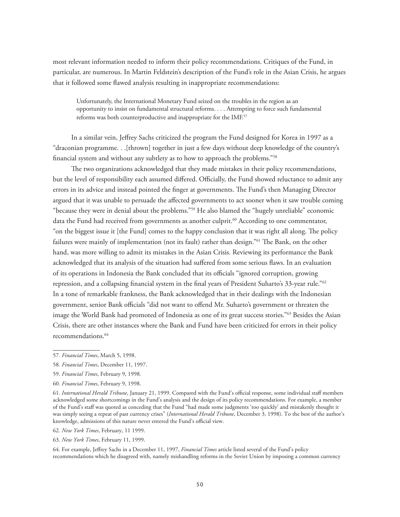most relevant information needed to inform their policy recommendations. Critiques of the Fund, in particular, are numerous. In Martin Feldstein's description of the Fund's role in the Asian Crisis, he argues that it followed some flawed analysis resulting in inappropriate recommendations:

Unfortunately, the International Monetary Fund seized on the troubles in the region as an opportunity to insist on fundamental structural reforms. . . . Attempting to force such fundamental reforms was both counterproductive and inappropriate for the IMF.<sup>57</sup>

In a similar vein, Jeffrey Sachs criticized the program the Fund designed for Korea in 1997 as a "draconian programme. . .[thrown] together in just a few days without deep knowledge of the country's financial system and without any subtlety as to how to approach the problems."58

The two organizations acknowledged that they made mistakes in their policy recommendations, but the level of responsibility each assumed differed. Officially, the Fund showed reluctance to admit any errors in its advice and instead pointed the finger at governments. The Fund's then Managing Director argued that it was unable to persuade the affected governments to act sooner when it saw trouble coming "because they were in denial about the problems."59 He also blamed the "hugely unreliable" economic data the Fund had received from governments as another culprit.<sup>60</sup> According to one commentator, "on the biggest issue it [the Fund] comes to the happy conclusion that it was right all along. The policy failures were mainly of implementation (not its fault) rather than design."<sup>61</sup> The Bank, on the other hand, was more willing to admit its mistakes in the Asian Crisis. Reviewing its performance the Bank acknowledged that its analysis of the situation had suffered from some serious flaws. In an evaluation of its operations in Indonesia the Bank concluded that its officials "ignored corruption, growing repression, and a collapsing financial system in the final years of President Suharto's 33-year rule."62 In a tone of remarkable frankness, the Bank acknowledged that in their dealings with the Indonesian government, senior Bank officials "did not want to offend Mr. Suharto's government or threaten the image the World Bank had promoted of Indonesia as one of its great success stories."63 Besides the Asian Crisis, there are other instances where the Bank and Fund have been criticized for errors in their policy recommendations.<sup>64</sup>

64. For example, Jeffrey Sachs in a December 11, 1997, *Financial Times* article listed several of the Fund's policy recommendations which he disagreed with, namely mishandling reforms in the Soviet Union by imposing a common currency

<sup>57</sup>*. Financial Times*, March 5, 1998.

<sup>58</sup>*. Financial Times*, December 11, 1997.

<sup>59.</sup> *Financial Times*, February 9, 1998.

<sup>60</sup>*. Financial Times*, February 9, 1998.

<sup>61</sup>*. International Herald Tribune*, January 21, 1999. Compared with the Fund's official response, some individual staff members acknowledged some shortcomings in the Fund's analysis and the design of its policy recommendations. For example, a member of the Fund's staff was quoted as conceding that the Fund "had made some judgments 'too quickly' and mistakenly thought it was simply seeing a repeat of past currency crises" (*International Herald Tribune*, December 3, 1998). To the best of the author's knowledge, admissions of this nature never entered the Fund's official view.

<sup>62</sup>*. New York Times*, February, 11 1999.

<sup>63</sup>*. New York Times*, February 11, 1999.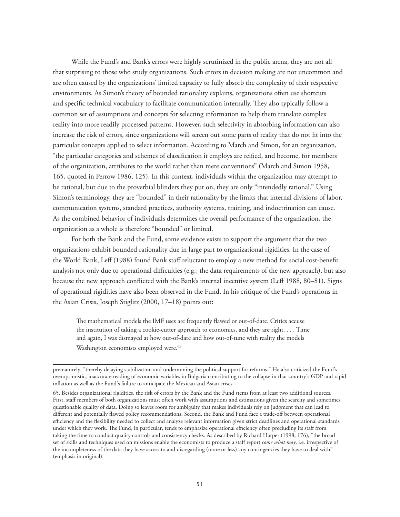While the Fund's and Bank's errors were highly scrutinized in the public arena, they are not all that surprising to those who study organizations. Such errors in decision making are not uncommon and are often caused by the organizations' limited capacity to fully absorb the complexity of their respective environments. As Simon's theory of bounded rationality explains, organizations often use shortcuts and specific technical vocabulary to facilitate communication internally. They also typically follow a common set of assumptions and concepts for selecting information to help them translate complex reality into more readily processed patterns. However, such selectivity in absorbing information can also increase the risk of errors, since organizations will screen out some parts of reality that do not fit into the particular concepts applied to select information. According to March and Simon, for an organization, "the particular categories and schemes of classification it employs are reified, and become, for members of the organization, attributes to the world rather than mere conventions" (March and Simon 1958, 165, quoted in Perrow 1986, 125). In this context, individuals within the organization may attempt to be rational, but due to the proverbial blinders they put on, they are only "intendedly rational." Using Simon's terminology, they are "bounded" in their rationality by the limits that internal divisions of labor, communication systems, standard practices, authority systems, training, and indoctrination can cause. As the combined behavior of individuals determines the overall performance of the organization, the organization as a whole is therefore "bounded" or limited.

For both the Bank and the Fund, some evidence exists to support the argument that the two organizations exhibit bounded rationality due in large part to organizational rigidities. In the case of the World Bank, Leff (1988) found Bank staff reluctant to employ a new method for social cost-benefit analysis not only due to operational difficulties (e.g., the data requirements of the new approach), but also because the new approach conflicted with the Bank's internal incentive system (Leff 1988, 80–81). Signs of operational rigidities have also been observed in the Fund. In his critique of the Fund's operations in the Asian Crisis, Joseph Stiglitz (2000, 17–18) points out:

The mathematical models the IMF uses are frequently flawed or out-of-date. Critics accuse the institution of taking a cookie-cutter approach to economics, and they are right. . . . Time and again, I was dismayed at how out-of-date and how out-of-tune with reality the models Washington economists employed were.<sup>65</sup>

prematurely, "thereby delaying stabilization and undermining the political support for reforms." He also criticized the Fund's overoptimistic, inaccurate reading of economic variables in Bulgaria contributing to the collapse in that country's GDP and rapid inflation as well as the Fund's failure to anticipate the Mexican and Asian crises.

<sup>65.</sup> Besides organizational rigidities, the risk of errors by the Bank and the Fund stems from at least two additional sources. First, staff members of both organizations must often work with assumptions and estimations given the scarcity and sometimes questionable quality of data. Doing so leaves room for ambiguity that makes individuals rely on judgment that can lead to different and potentially flawed policy recommendations. Second, the Bank and Fund face a trade-off between operational efficiency and the flexibility needed to collect and analyze relevant information given strict deadlines and operational standards under which they work. The Fund, in particular, tends to emphasize operational efficiency often precluding its staff from taking the time to conduct quality controls and consistency checks. As described by Richard Harper (1998, 176), "the broad set of skills and techniques used on missions enable the economists to produce a staff report *come what may*, i.e. irrespective of the incompleteness of the data they have access to and disregarding (more or less) any contingencies they have to deal with" (emphasis in original).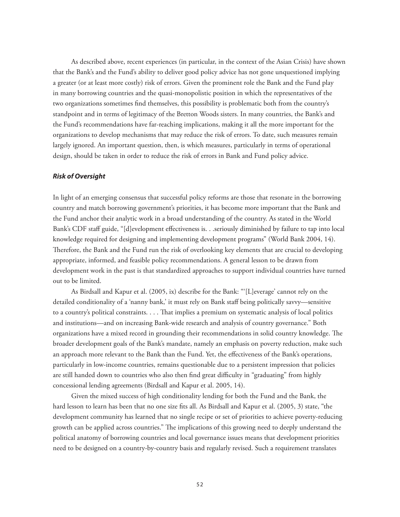As described above, recent experiences (in particular, in the context of the Asian Crisis) have shown that the Bank's and the Fund's ability to deliver good policy advice has not gone unquestioned implying a greater (or at least more costly) risk of errors. Given the prominent role the Bank and the Fund play in many borrowing countries and the quasi-monopolistic position in which the representatives of the two organizations sometimes find themselves, this possibility is problematic both from the country's standpoint and in terms of legitimacy of the Bretton Woods sisters. In many countries, the Bank's and the Fund's recommendations have far-reaching implications, making it all the more important for the organizations to develop mechanisms that may reduce the risk of errors. To date, such measures remain largely ignored. An important question, then, is which measures, particularly in terms of operational design, should be taken in order to reduce the risk of errors in Bank and Fund policy advice.

#### *Risk of Oversight*

In light of an emerging consensus that successful policy reforms are those that resonate in the borrowing country and match borrowing government's priorities, it has become more important that the Bank and the Fund anchor their analytic work in a broad understanding of the country. As stated in the World Bank's CDF staff guide, "[d]evelopment effectiveness is. . .seriously diminished by failure to tap into local knowledge required for designing and implementing development programs" (World Bank 2004, 14). Therefore, the Bank and the Fund run the risk of overlooking key elements that are crucial to developing appropriate, informed, and feasible policy recommendations. A general lesson to be drawn from development work in the past is that standardized approaches to support individual countries have turned out to be limited.

As Birdsall and Kapur et al. (2005, ix) describe for the Bank: "'[L]everage' cannot rely on the detailed conditionality of a 'nanny bank,' it must rely on Bank staff being politically savvy—sensitive to a country's political constraints. . . . That implies a premium on systematic analysis of local politics and institutions—and on increasing Bank-wide research and analysis of country governance." Both organizations have a mixed record in grounding their recommendations in solid country knowledge. The broader development goals of the Bank's mandate, namely an emphasis on poverty reduction, make such an approach more relevant to the Bank than the Fund. Yet, the effectiveness of the Bank's operations, particularly in low-income countries, remains questionable due to a persistent impression that policies are still handed down to countries who also then find great difficulty in "graduating" from highly concessional lending agreements (Birdsall and Kapur et al. 2005, 14).

Given the mixed success of high conditionality lending for both the Fund and the Bank, the hard lesson to learn has been that no one size fits all. As Birdsall and Kapur et al. (2005, 3) state, "the development community has learned that no single recipe or set of priorities to achieve poverty-reducing growth can be applied across countries." The implications of this growing need to deeply understand the political anatomy of borrowing countries and local governance issues means that development priorities need to be designed on a country-by-country basis and regularly revised. Such a requirement translates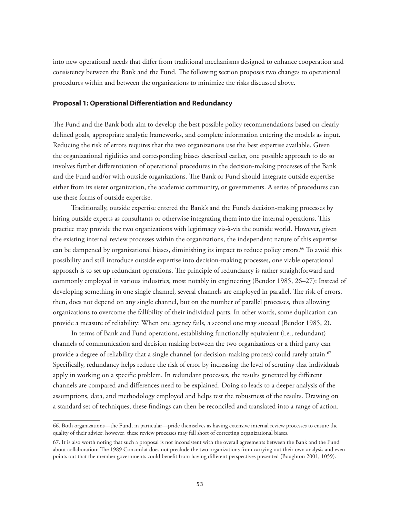into new operational needs that differ from traditional mechanisms designed to enhance cooperation and consistency between the Bank and the Fund. The following section proposes two changes to operational procedures within and between the organizations to minimize the risks discussed above.

#### **Proposal 1: Operational Differentiation and Redundancy**

The Fund and the Bank both aim to develop the best possible policy recommendations based on clearly defined goals, appropriate analytic frameworks, and complete information entering the models as input. Reducing the risk of errors requires that the two organizations use the best expertise available. Given the organizational rigidities and corresponding biases described earlier, one possible approach to do so involves further differentiation of operational procedures in the decision-making processes of the Bank and the Fund and/or with outside organizations. The Bank or Fund should integrate outside expertise either from its sister organization, the academic community, or governments. A series of procedures can use these forms of outside expertise.

Traditionally, outside expertise entered the Bank's and the Fund's decision-making processes by hiring outside experts as consultants or otherwise integrating them into the internal operations. This practice may provide the two organizations with legitimacy vis-à-vis the outside world. However, given the existing internal review processes within the organizations, the independent nature of this expertise can be dampened by organizational biases, diminishing its impact to reduce policy errors.<sup>66</sup> To avoid this possibility and still introduce outside expertise into decision-making processes, one viable operational approach is to set up redundant operations. The principle of redundancy is rather straightforward and commonly employed in various industries, most notably in engineering (Bendor 1985, 26–27): Instead of developing something in one single channel, several channels are employed in parallel. The risk of errors, then, does not depend on any single channel, but on the number of parallel processes, thus allowing organizations to overcome the fallibility of their individual parts. In other words, some duplication can provide a measure of reliability: When one agency fails, a second one may succeed (Bendor 1985, 2).

In terms of Bank and Fund operations, establishing functionally equivalent (i.e., redundant) channels of communication and decision making between the two organizations or a third party can provide a degree of reliability that a single channel (or decision-making process) could rarely attain.<sup>67</sup> Specifically, redundancy helps reduce the risk of error by increasing the level of scrutiny that individuals apply in working on a specific problem. In redundant processes, the results generated by different channels are compared and differences need to be explained. Doing so leads to a deeper analysis of the assumptions, data, and methodology employed and helps test the robustness of the results. Drawing on a standard set of techniques, these findings can then be reconciled and translated into a range of action.

<sup>66.</sup> Both organizations—the Fund, in particular—pride themselves as having extensive internal review processes to ensure the quality of their advice; however, these review processes may fall short of correcting organizational biases.

<sup>67.</sup> It is also worth noting that such a proposal is not inconsistent with the overall agreements between the Bank and the Fund about collaboration: The 1989 Concordat does not preclude the two organizations from carrying out their own analysis and even points out that the member governments could benefit from having different perspectives presented (Boughton 2001, 1059).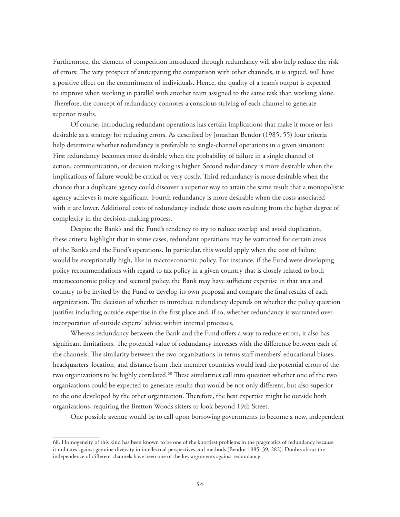Furthermore, the element of competition introduced through redundancy will also help reduce the risk of errors: The very prospect of anticipating the comparison with other channels, it is argued, will have a positive effect on the commitment of individuals. Hence, the quality of a team's output is expected to improve when working in parallel with another team assigned to the same task than working alone. Therefore, the concept of redundancy connotes a conscious striving of each channel to generate superior results.

Of course, introducing redundant operations has certain implications that make it more or less desirable as a strategy for reducing errors. As described by Jonathan Bendor (1985, 55) four criteria help determine whether redundancy is preferable to single-channel operations in a given situation: First redundancy becomes more desirable when the probability of failure in a single channel of action, communication, or decision making is higher. Second redundancy is more desirable when the implications of failure would be critical or very costly. Third redundancy is more desirable when the chance that a duplicate agency could discover a superior way to attain the same result that a monopolistic agency achieves is more significant. Fourth redundancy is more desirable when the costs associated with it are lower. Additional costs of redundancy include those costs resulting from the higher degree of complexity in the decision-making process.

Despite the Bank's and the Fund's tendency to try to reduce overlap and avoid duplication, these criteria highlight that in some cases, redundant operations may be warranted for certain areas of the Bank's and the Fund's operations. In particular, this would apply when the cost of failure would be exceptionally high, like in macroeconomic policy. For instance, if the Fund were developing policy recommendations with regard to tax policy in a given country that is closely related to both macroeconomic policy and sectoral policy, the Bank may have sufficient expertise in that area and country to be invited by the Fund to develop its own proposal and compare the final results of each organization. The decision of whether to introduce redundancy depends on whether the policy question justifies including outside expertise in the first place and, if so, whether redundancy is warranted over incorporation of outside experts' advice within internal processes.

Whereas redundancy between the Bank and the Fund offers a way to reduce errors, it also has significant limitations. The potential value of redundancy increases with the difference between each of the channels. The similarity between the two organizations in terms staff members' educational biases, headquarters' location, and distance from their member countries would lead the potential errors of the two organizations to be highly correlated.<sup>68</sup> These similarities call into question whether one of the two organizations could be expected to generate results that would be not only different, but also superior to the one developed by the other organization. Therefore, the best expertise might lie outside both organizations, requiring the Bretton Woods sisters to look beyond 19th Street.

One possible avenue would be to call upon borrowing governments to become a new, independent

<sup>68.</sup> Homogeneity of this kind has been known to be one of the knottiest problems in the pragmatics of redundancy because it militates against genuine diversity in intellectual perspectives and methods (Bendor 1985, 39, 282). Doubts about the independence of different channels have been one of the key arguments against redundancy.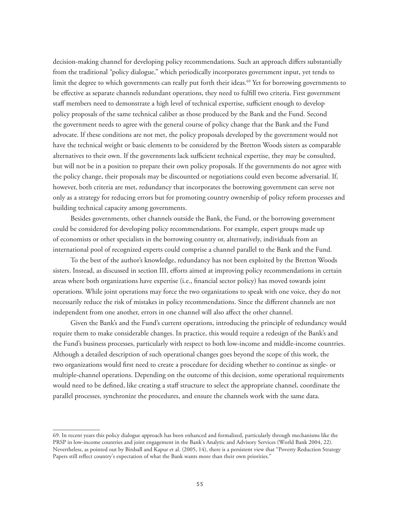decision-making channel for developing policy recommendations. Such an approach differs substantially from the traditional "policy dialogue," which periodically incorporates government input, yet tends to limit the degree to which governments can really put forth their ideas.<sup>69</sup> Yet for borrowing governments to be effective as separate channels redundant operations, they need to fulfill two criteria. First government staff members need to demonstrate a high level of technical expertise, sufficient enough to develop policy proposals of the same technical caliber as those produced by the Bank and the Fund. Second the government needs to agree with the general course of policy change that the Bank and the Fund advocate. If these conditions are not met, the policy proposals developed by the government would not have the technical weight or basic elements to be considered by the Bretton Woods sisters as comparable alternatives to their own. If the governments lack sufficient technical expertise, they may be consulted, but will not be in a position to prepare their own policy proposals. If the governments do not agree with the policy change, their proposals may be discounted or negotiations could even become adversarial. If, however, both criteria are met, redundancy that incorporates the borrowing government can serve not only as a strategy for reducing errors but for promoting country ownership of policy reform processes and building technical capacity among governments.

Besides governments, other channels outside the Bank, the Fund, or the borrowing government could be considered for developing policy recommendations. For example, expert groups made up of economists or other specialists in the borrowing country or, alternatively, individuals from an international pool of recognized experts could comprise a channel parallel to the Bank and the Fund.

To the best of the author's knowledge, redundancy has not been exploited by the Bretton Woods sisters. Instead, as discussed in section III, efforts aimed at improving policy recommendations in certain areas where both organizations have expertise (i.e., financial sector policy) has moved towards joint operations. While joint operations may force the two organizations to speak with one voice, they do not necessarily reduce the risk of mistakes in policy recommendations. Since the different channels are not independent from one another, errors in one channel will also affect the other channel.

Given the Bank's and the Fund's current operations, introducing the principle of redundancy would require them to make considerable changes. In practice, this would require a redesign of the Bank's and the Fund's business processes, particularly with respect to both low-income and middle-income countries. Although a detailed description of such operational changes goes beyond the scope of this work, the two organizations would first need to create a procedure for deciding whether to continue as single- or multiple-channel operations. Depending on the outcome of this decision, some operational requirements would need to be defined, like creating a staff structure to select the appropriate channel, coordinate the parallel processes, synchronize the procedures, and ensure the channels work with the same data.

<sup>69.</sup> In recent years this policy dialogue approach has been enhanced and formalized, particularly through mechanisms like the PRSP in low-income countries and joint engagement in the Bank's Analytic and Advisory Services (World Bank 2004, 22). Nevertheless, as pointed out by Birdsall and Kapur et al. (2005, 14), there is a persistent view that "Poverty Reduction Strategy Papers still reflect country's expectation of what the Bank wants more than their own priorities."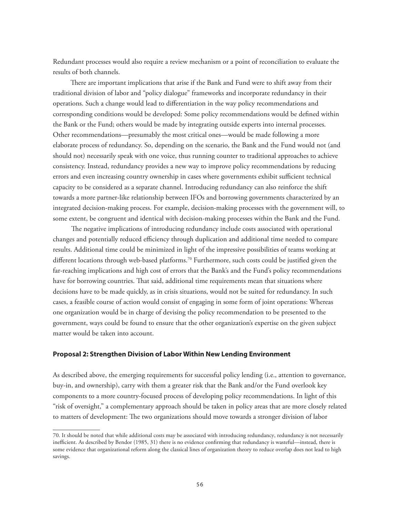Redundant processes would also require a review mechanism or a point of reconciliation to evaluate the results of both channels.

There are important implications that arise if the Bank and Fund were to shift away from their traditional division of labor and "policy dialogue" frameworks and incorporate redundancy in their operations. Such a change would lead to differentiation in the way policy recommendations and corresponding conditions would be developed: Some policy recommendations would be defined within the Bank or the Fund; others would be made by integrating outside experts into internal processes. Other recommendations—presumably the most critical ones—would be made following a more elaborate process of redundancy. So, depending on the scenario, the Bank and the Fund would not (and should not) necessarily speak with one voice, thus running counter to traditional approaches to achieve consistency. Instead, redundancy provides a new way to improve policy recommendations by reducing errors and even increasing country ownership in cases where governments exhibit sufficient technical capacity to be considered as a separate channel. Introducing redundancy can also reinforce the shift towards a more partner-like relationship between IFOs and borrowing governments characterized by an integrated decision-making process. For example, decision-making processes with the government will, to some extent, be congruent and identical with decision-making processes within the Bank and the Fund.

The negative implications of introducing redundancy include costs associated with operational changes and potentially reduced efficiency through duplication and additional time needed to compare results. Additional time could be minimized in light of the impressive possibilities of teams working at different locations through web-based platforms.<sup>70</sup> Furthermore, such costs could be justified given the far-reaching implications and high cost of errors that the Bank's and the Fund's policy recommendations have for borrowing countries. That said, additional time requirements mean that situations where decisions have to be made quickly, as in crisis situations, would not be suited for redundancy. In such cases, a feasible course of action would consist of engaging in some form of joint operations: Whereas one organization would be in charge of devising the policy recommendation to be presented to the government, ways could be found to ensure that the other organization's expertise on the given subject matter would be taken into account.

#### **Proposal 2: Strengthen Division of Labor Within New Lending Environment**

As described above, the emerging requirements for successful policy lending (i.e., attention to governance, buy-in, and ownership), carry with them a greater risk that the Bank and/or the Fund overlook key components to a more country-focused process of developing policy recommendations. In light of this "risk of oversight," a complementary approach should be taken in policy areas that are more closely related to matters of development: The two organizations should move towards a stronger division of labor

<sup>70.</sup> It should be noted that while additional costs may be associated with introducing redundancy, redundancy is not necessarily inefficient. As described by Bendor (1985, 31) there is no evidence confirming that redundancy is wasteful—instead, there is some evidence that organizational reform along the classical lines of organization theory to reduce overlap does not lead to high savings.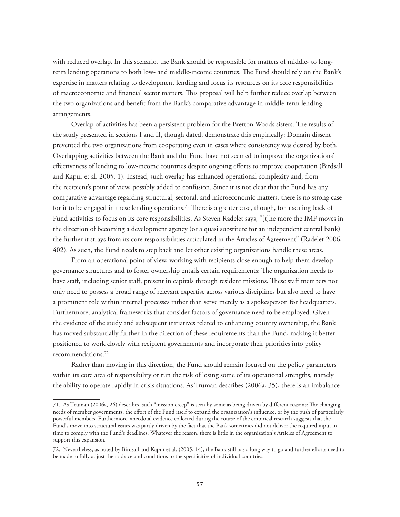with reduced overlap. In this scenario, the Bank should be responsible for matters of middle- to longterm lending operations to both low- and middle-income countries. The Fund should rely on the Bank's expertise in matters relating to development lending and focus its resources on its core responsibilities of macroeconomic and financial sector matters. This proposal will help further reduce overlap between the two organizations and benefit from the Bank's comparative advantage in middle-term lending arrangements.

Overlap of activities has been a persistent problem for the Bretton Woods sisters. The results of the study presented in sections I and II, though dated, demonstrate this empirically: Domain dissent prevented the two organizations from cooperating even in cases where consistency was desired by both. Overlapping activities between the Bank and the Fund have not seemed to improve the organizations' effectiveness of lending to low-income countries despite ongoing efforts to improve cooperation (Birdsall and Kapur et al. 2005, 1). Instead, such overlap has enhanced operational complexity and, from the recipient's point of view, possibly added to confusion. Since it is not clear that the Fund has any comparative advantage regarding structural, sectoral, and microeconomic matters, there is no strong case for it to be engaged in these lending operations.<sup>71</sup> There is a greater case, though, for a scaling back of Fund activities to focus on its core responsibilities. As Steven Radelet says, "[t]he more the IMF moves in the direction of becoming a development agency (or a quasi substitute for an independent central bank) the further it strays from its core responsibilities articulated in the Articles of Agreement" (Radelet 2006, 402). As such, the Fund needs to step back and let other existing organizations handle these areas.

From an operational point of view, working with recipients close enough to help them develop governance structures and to foster ownership entails certain requirements: The organization needs to have staff, including senior staff, present in capitals through resident missions. These staff members not only need to possess a broad range of relevant expertise across various disciplines but also need to have a prominent role within internal processes rather than serve merely as a spokesperson for headquarters. Furthermore, analytical frameworks that consider factors of governance need to be employed. Given the evidence of the study and subsequent initiatives related to enhancing country ownership, the Bank has moved substantially further in the direction of these requirements than the Fund, making it better positioned to work closely with recipient governments and incorporate their priorities into policy recommendations.72

Rather than moving in this direction, the Fund should remain focused on the policy parameters within its core area of responsibility or run the risk of losing some of its operational strengths, namely the ability to operate rapidly in crisis situations. As Truman describes (2006a, 35), there is an imbalance

<sup>71.</sup> As Truman (2006a, 26) describes, such "mission creep" is seen by some as being driven by different reasons: The changing needs of member governments, the effort of the Fund itself to expand the organization's influence, or by the push of particularly powerful members. Furthermore, anecdotal evidence collected during the course of the empirical research suggests that the Fund's move into structural issues was partly driven by the fact that the Bank sometimes did not deliver the required input in time to comply with the Fund's deadlines. Whatever the reason, there is little in the organization's Articles of Agreement to support this expansion.

<sup>72.</sup> Nevertheless, as noted by Birdsall and Kapur et al. (2005, 14), the Bank still has a long way to go and further efforts need to be made to fully adjust their advice and conditions to the specificities of individual countries.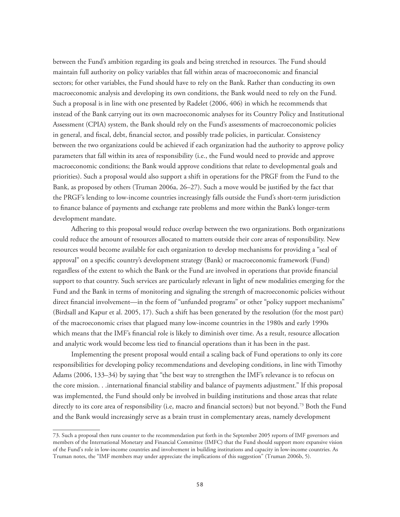between the Fund's ambition regarding its goals and being stretched in resources. The Fund should maintain full authority on policy variables that fall within areas of macroeconomic and financial sectors; for other variables, the Fund should have to rely on the Bank. Rather than conducting its own macroeconomic analysis and developing its own conditions, the Bank would need to rely on the Fund. Such a proposal is in line with one presented by Radelet (2006, 406) in which he recommends that instead of the Bank carrying out its own macroeconomic analyses for its Country Policy and Institutional Assessment (CPIA) system, the Bank should rely on the Fund's assessments of macroeconomic policies in general, and fiscal, debt, financial sector, and possibly trade policies, in particular. Consistency between the two organizations could be achieved if each organization had the authority to approve policy parameters that fall within its area of responsibility (i.e., the Fund would need to provide and approve macroeconomic conditions; the Bank would approve conditions that relate to developmental goals and priorities). Such a proposal would also support a shift in operations for the PRGF from the Fund to the Bank, as proposed by others (Truman 2006a, 26–27). Such a move would be justified by the fact that the PRGF's lending to low-income countries increasingly falls outside the Fund's short-term jurisdiction to finance balance of payments and exchange rate problems and more within the Bank's longer-term development mandate.

Adhering to this proposal would reduce overlap between the two organizations. Both organizations could reduce the amount of resources allocated to matters outside their core areas of responsibility. New resources would become available for each organization to develop mechanisms for providing a "seal of approval" on a specific country's development strategy (Bank) or macroeconomic framework (Fund) regardless of the extent to which the Bank or the Fund are involved in operations that provide financial support to that country. Such services are particularly relevant in light of new modalities emerging for the Fund and the Bank in terms of monitoring and signaling the strength of macroeconomic policies without direct financial involvement—in the form of "unfunded programs" or other "policy support mechanisms" (Birdsall and Kapur et al. 2005, 17). Such a shift has been generated by the resolution (for the most part) of the macroeconomic crises that plagued many low-income countries in the 1980s and early 1990s which means that the IMF's financial role is likely to diminish over time. As a result, resource allocation and analytic work would become less tied to financial operations than it has been in the past.

Implementing the present proposal would entail a scaling back of Fund operations to only its core responsibilities for developing policy recommendations and developing conditions, in line with Timothy Adams (2006, 133–34) by saying that "the best way to strengthen the IMF's relevance is to refocus on the core mission. . .international financial stability and balance of payments adjustment." If this proposal was implemented, the Fund should only be involved in building institutions and those areas that relate directly to its core area of responsibility (i.e, macro and financial sectors) but not beyond.73 Both the Fund and the Bank would increasingly serve as a brain trust in complementary areas, namely development

<sup>73.</sup> Such a proposal then runs counter to the recommendation put forth in the September 2005 reports of IMF governors and members of the International Monetary and Financial Committee (IMFC) that the Fund should support more expansive vision of the Fund's role in low-income countries and involvement in building institutions and capacity in low-income countries. As Truman notes, the "IMF members may under appreciate the implications of this suggestion" (Truman 2006b, 5).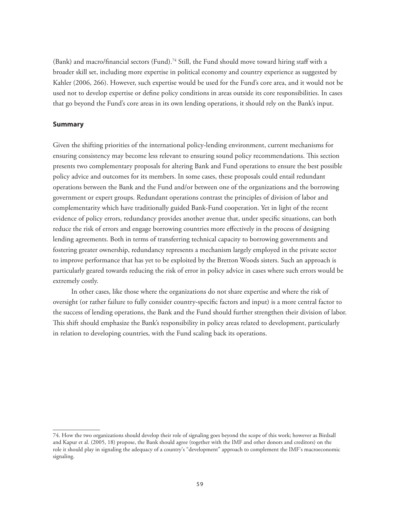(Bank) and macro/financial sectors (Fund).<sup>74</sup> Still, the Fund should move toward hiring staff with a broader skill set, including more expertise in political economy and country experience as suggested by Kahler (2006, 266). However, such expertise would be used for the Fund's core area, and it would not be used not to develop expertise or define policy conditions in areas outside its core responsibilities. In cases that go beyond the Fund's core areas in its own lending operations, it should rely on the Bank's input.

#### **Summary**

Given the shifting priorities of the international policy-lending environment, current mechanisms for ensuring consistency may become less relevant to ensuring sound policy recommendations. This section presents two complementary proposals for altering Bank and Fund operations to ensure the best possible policy advice and outcomes for its members. In some cases, these proposals could entail redundant operations between the Bank and the Fund and/or between one of the organizations and the borrowing government or expert groups. Redundant operations contrast the principles of division of labor and complementarity which have traditionally guided Bank-Fund cooperation. Yet in light of the recent evidence of policy errors, redundancy provides another avenue that, under specific situations, can both reduce the risk of errors and engage borrowing countries more effectively in the process of designing lending agreements. Both in terms of transferring technical capacity to borrowing governments and fostering greater ownership, redundancy represents a mechanism largely employed in the private sector to improve performance that has yet to be exploited by the Bretton Woods sisters. Such an approach is particularly geared towards reducing the risk of error in policy advice in cases where such errors would be extremely costly.

In other cases, like those where the organizations do not share expertise and where the risk of oversight (or rather failure to fully consider country-specific factors and input) is a more central factor to the success of lending operations, the Bank and the Fund should further strengthen their division of labor. This shift should emphasize the Bank's responsibility in policy areas related to development, particularly in relation to developing countries, with the Fund scaling back its operations.

<sup>74.</sup> How the two organizations should develop their role of signaling goes beyond the scope of this work; however as Birdsall and Kapur et al. (2005, 18) propose, the Bank should agree (together with the IMF and other donors and creditors) on the role it should play in signaling the adequacy of a country's "development" approach to complement the IMF's macroeconomic signaling.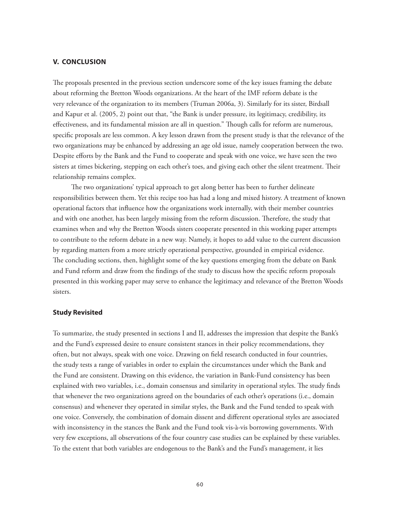#### **V. CONCLUSION**

The proposals presented in the previous section underscore some of the key issues framing the debate about reforming the Bretton Woods organizations. At the heart of the IMF reform debate is the very relevance of the organization to its members (Truman 2006a, 3). Similarly for its sister, Birdsall and Kapur et al. (2005, 2) point out that, "the Bank is under pressure, its legitimacy, credibility, its effectiveness, and its fundamental mission are all in question." Though calls for reform are numerous, specific proposals are less common. A key lesson drawn from the present study is that the relevance of the two organizations may be enhanced by addressing an age old issue, namely cooperation between the two. Despite efforts by the Bank and the Fund to cooperate and speak with one voice, we have seen the two sisters at times bickering, stepping on each other's toes, and giving each other the silent treatment. Their relationship remains complex.

The two organizations' typical approach to get along better has been to further delineate responsibilities between them. Yet this recipe too has had a long and mixed history. A treatment of known operational factors that influence how the organizations work internally, with their member countries and with one another, has been largely missing from the reform discussion. Therefore, the study that examines when and why the Bretton Woods sisters cooperate presented in this working paper attempts to contribute to the reform debate in a new way. Namely, it hopes to add value to the current discussion by regarding matters from a more strictly operational perspective, grounded in empirical evidence. The concluding sections, then, highlight some of the key questions emerging from the debate on Bank and Fund reform and draw from the findings of the study to discuss how the specific reform proposals presented in this working paper may serve to enhance the legitimacy and relevance of the Bretton Woods sisters.

### **Study Revisited**

To summarize, the study presented in sections I and II, addresses the impression that despite the Bank's and the Fund's expressed desire to ensure consistent stances in their policy recommendations, they often, but not always, speak with one voice. Drawing on field research conducted in four countries, the study tests a range of variables in order to explain the circumstances under which the Bank and the Fund are consistent. Drawing on this evidence, the variation in Bank-Fund consistency has been explained with two variables, i.e., domain consensus and similarity in operational styles. The study finds that whenever the two organizations agreed on the boundaries of each other's operations (i.e., domain consensus) and whenever they operated in similar styles, the Bank and the Fund tended to speak with one voice. Conversely, the combination of domain dissent and different operational styles are associated with inconsistency in the stances the Bank and the Fund took vis-à-vis borrowing governments. With very few exceptions, all observations of the four country case studies can be explained by these variables. To the extent that both variables are endogenous to the Bank's and the Fund's management, it lies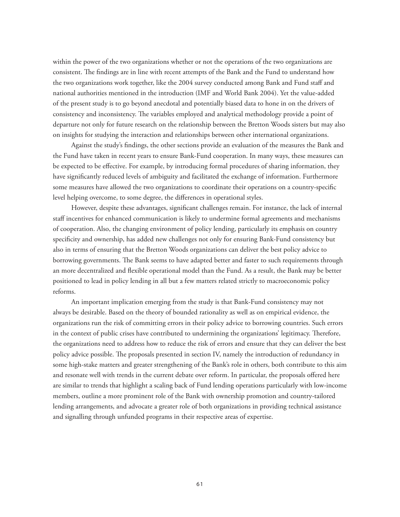within the power of the two organizations whether or not the operations of the two organizations are consistent. The findings are in line with recent attempts of the Bank and the Fund to understand how the two organizations work together, like the 2004 survey conducted among Bank and Fund staff and national authorities mentioned in the introduction (IMF and World Bank 2004). Yet the value-added of the present study is to go beyond anecdotal and potentially biased data to hone in on the drivers of consistency and inconsistency. The variables employed and analytical methodology provide a point of departure not only for future research on the relationship between the Bretton Woods sisters but may also on insights for studying the interaction and relationships between other international organizations.

Against the study's findings, the other sections provide an evaluation of the measures the Bank and the Fund have taken in recent years to ensure Bank-Fund cooperation. In many ways, these measures can be expected to be effective. For example, by introducing formal procedures of sharing information, they have significantly reduced levels of ambiguity and facilitated the exchange of information. Furthermore some measures have allowed the two organizations to coordinate their operations on a country-specific level helping overcome, to some degree, the differences in operational styles.

However, despite these advantages, significant challenges remain. For instance, the lack of internal staff incentives for enhanced communication is likely to undermine formal agreements and mechanisms of cooperation. Also, the changing environment of policy lending, particularly its emphasis on country specificity and ownership, has added new challenges not only for ensuring Bank-Fund consistency but also in terms of ensuring that the Bretton Woods organizations can deliver the best policy advice to borrowing governments. The Bank seems to have adapted better and faster to such requirements through an more decentralized and flexible operational model than the Fund. As a result, the Bank may be better positioned to lead in policy lending in all but a few matters related strictly to macroeconomic policy reforms.

An important implication emerging from the study is that Bank-Fund consistency may not always be desirable. Based on the theory of bounded rationality as well as on empirical evidence, the organizations run the risk of committing errors in their policy advice to borrowing countries. Such errors in the context of public crises have contributed to undermining the organizations' legitimacy. Therefore, the organizations need to address how to reduce the risk of errors and ensure that they can deliver the best policy advice possible. The proposals presented in section IV, namely the introduction of redundancy in some high-stake matters and greater strengthening of the Bank's role in others, both contribute to this aim and resonate well with trends in the current debate over reform. In particular, the proposals offered here are similar to trends that highlight a scaling back of Fund lending operations particularly with low-income members, outline a more prominent role of the Bank with ownership promotion and country-tailored lending arrangements, and advocate a greater role of both organizations in providing technical assistance and signalling through unfunded programs in their respective areas of expertise.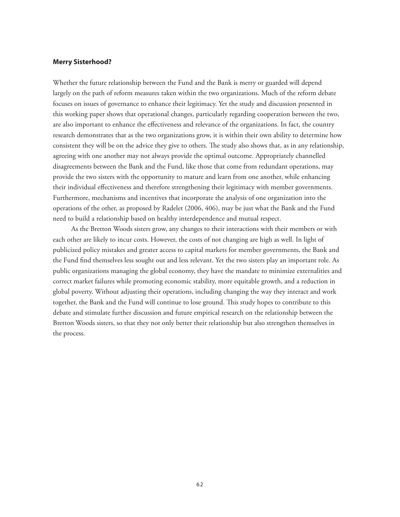#### **Merry Sisterhood?**

Whether the future relationship between the Fund and the Bank is merry or guarded will depend largely on the path of reform measures taken within the two organizations. Much of the reform debate focuses on issues of governance to enhance their legitimacy. Yet the study and discussion presented in this working paper shows that operational changes, particularly regarding cooperation between the two, are also important to enhance the effectiveness and relevance of the organizations. In fact, the country research demonstrates that as the two organizations grow, it is within their own ability to determine how consistent they will be on the advice they give to others. The study also shows that, as in any relationship, agreeing with one another may not always provide the optimal outcome. Appropriately channelled disagreements between the Bank and the Fund, like those that come from redundant operations, may provide the two sisters with the opportunity to mature and learn from one another, while enhancing their individual effectiveness and therefore strengthening their legitimacy with member governments. Furthermore, mechanisms and incentives that incorporate the analysis of one organization into the operations of the other, as proposed by Radelet (2006, 406), may be just what the Bank and the Fund need to build a relationship based on healthy interdependence and mutual respect.

As the Bretton Woods sisters grow, any changes to their interactions with their members or with each other are likely to incur costs. However, the costs of not changing are high as well. In light of publicized policy mistakes and greater access to capital markets for member governments, the Bank and the Fund find themselves less sought out and less relevant. Yet the two sisters play an important role. As public organizations managing the global economy, they have the mandate to minimize externalities and correct market failures while promoting economic stability, more equitable growth, and a reduction in global poverty. Without adjusting their operations, including changing the way they interact and work together, the Bank and the Fund will continue to lose ground. This study hopes to contribute to this debate and stimulate further discussion and future empirical research on the relationship between the Bretton Woods sisters, so that they not only better their relationship but also strengthen themselves in the process.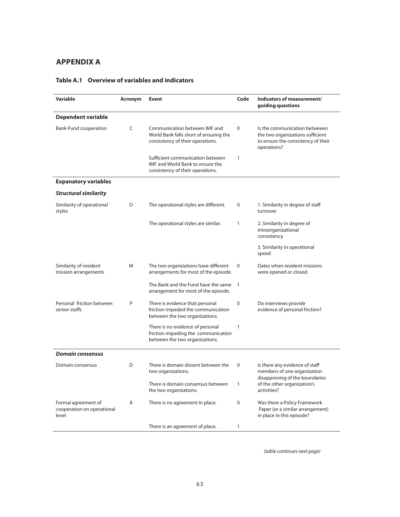# **APPENDIX A**

| <b>Variable</b>                                            | Acronym | <b>Event</b>                                                                                                    | Code         | Indicators of measurement/<br>guiding questions                                                                        |
|------------------------------------------------------------|---------|-----------------------------------------------------------------------------------------------------------------|--------------|------------------------------------------------------------------------------------------------------------------------|
| <b>Dependent variable</b>                                  |         |                                                                                                                 |              |                                                                                                                        |
| Bank-Fund cooperation                                      | C       | Communication between IMF and<br>World Bank falls short of ensuring the<br>consistency of their operations.     | $\mathbf 0$  | Is the communication betweeen<br>the two organizations sufficient<br>to ensure the consistency of their<br>operations? |
|                                                            |         | Sufficient communication between<br><b>IMF and World Bank to ensure the</b><br>consistency of their operations. | $\mathbf{1}$ |                                                                                                                        |
| <b>Expanatory variables</b>                                |         |                                                                                                                 |              |                                                                                                                        |
| <b>Structural similarity</b>                               |         |                                                                                                                 |              |                                                                                                                        |
| Similarity of operational<br>styles                        | $\circ$ | The operational styles are different.                                                                           | 0            | 1. Similarity in degree of staff<br>turnover                                                                           |
|                                                            |         | The operational styles are similar.                                                                             | 1            | 2. Similarity in degree of<br>intraorganizational<br>consistency                                                       |
|                                                            |         |                                                                                                                 |              | 3. Similarity in operational<br>speed                                                                                  |
| Similarity of resident<br>mission arrangements             | M       | The two organizations have different<br>arrangements for most of the episode.                                   | 0            | Dates when resident missions<br>were opened or closed.                                                                 |
|                                                            |         | The Bank and the Fund have the same<br>arrangement for most of the episode.                                     | $\mathbf{1}$ |                                                                                                                        |
| Personal friction between<br>senior staffs                 | P       | There is evidence that personal<br>friction impeded the communication<br>between the two organizations.         | $\Omega$     | Do interviews provide<br>evidence of personal friction?                                                                |
|                                                            |         | There is no evidence of personal<br>friction impeding the communication<br>between the two organizations.       | 1            |                                                                                                                        |
| <b>Domain consensus</b>                                    |         |                                                                                                                 |              |                                                                                                                        |
| Domain consensus                                           | D       | There is domain dissent between the<br>two organizations.                                                       | $\mathbf 0$  | Is there any evidence of staff<br>members of one organization                                                          |
|                                                            |         | There is domain consensus between<br>the two organizations.                                                     | $\mathbf{1}$ | disapproving of the boundaries<br>of the other organization's<br>activities?                                           |
| Formal agreement of<br>cooperation on operational<br>level | A       | There is no agreement in place.                                                                                 | 0            | Was there a Policy Framework<br>Paper (or a similar arrangement)<br>in place in this episode?                          |
|                                                            |         | There is an agreement of place.                                                                                 | $\mathbf{1}$ |                                                                                                                        |

# **Table A.1 Overview of variables and indicators**

(table continues next page)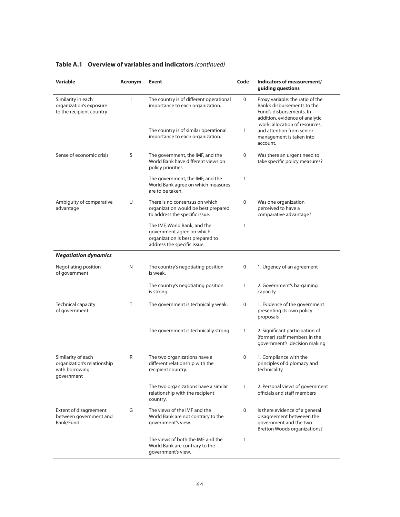| <b>Variable</b>                                                                   | Acronym | Event                                                                                                                        | Code         | Indicators of measurement/<br>guiding questions                                                                                                                 |
|-----------------------------------------------------------------------------------|---------|------------------------------------------------------------------------------------------------------------------------------|--------------|-----------------------------------------------------------------------------------------------------------------------------------------------------------------|
| Similarity in each<br>organization's exposure<br>to the recipient country         | ı       | The country is of different operational<br>importance to each organization.                                                  | 0            | Proxy variable: the ratio of the<br>Bank's disbursements to the<br>Fund's disbursements. In<br>addition, evidence of analytic<br>work, allocation of resources, |
|                                                                                   |         | The country is of similar operational<br>importance to each organization.                                                    | 1            | and attention from senior<br>management is taken into<br>account.                                                                                               |
| Sense of economic crisis                                                          | S       | The government, the IMF, and the<br>World Bank have different views on<br>policy priorities.                                 | 0            | Was there an urgent need to<br>take specific policy measures?                                                                                                   |
|                                                                                   |         | The government, the IMF, and the<br>World Bank agree on which measures<br>are to be taken.                                   | 1            |                                                                                                                                                                 |
| Ambiguity of comparative<br>advantage                                             | U       | There is no consensus on which<br>organization would be best prepared<br>to address the specific issue.                      | 0            | Was one organization<br>perceived to have a<br>comparative advantage?                                                                                           |
|                                                                                   |         | The IMF, World Bank, and the<br>government agree on which<br>organization is best prepared to<br>address the specific issue. | 1            |                                                                                                                                                                 |
| <b>Negotiation dynamics</b>                                                       |         |                                                                                                                              |              |                                                                                                                                                                 |
| Negotiating position<br>of government                                             | N       | The country's negotiating position<br>is weak.                                                                               | 0            | 1. Urgency of an agreement                                                                                                                                      |
|                                                                                   |         | The country's negotiating position<br>is strong.                                                                             | 1            | 2. Government's bargaining<br>capacity                                                                                                                          |
| <b>Technical capacity</b><br>of government                                        | Τ       | The government is technically weak.                                                                                          | 0            | 1. Evidence of the government<br>presenting its own policy<br>proposals                                                                                         |
|                                                                                   |         | The government is technically strong.                                                                                        | 1            | 2. Significant participation of<br>(former) staff members in the<br>government's decision making                                                                |
| Similarity of each<br>organization's relationship<br>with borrowing<br>government | R       | The two organizations have a<br>different relationship with the<br>recipient country.                                        | 0            | 1. Compliance with the<br>principles of diplomacy and<br>technicality                                                                                           |
|                                                                                   |         | The two organizations have a similar<br>relationship with the recipient<br>country.                                          | $\mathbf{1}$ | 2. Personal views of government<br>officials and staff members                                                                                                  |
| Extent of disagreement<br>between government and<br>Bank/Fund                     | G       | The views of the IMF and the<br>World Bank are not contrary to the<br>government's view.                                     | 0            | Is there evidence of a general<br>disagreement betweeen the<br>government and the two<br><b>Bretton Woods organizations?</b>                                    |
|                                                                                   |         | The views of both the IMF and the<br>World Bank are contrary to the<br>government's view.                                    | 1            |                                                                                                                                                                 |

# **Table A.1 Overview of variables and indicators** (continued)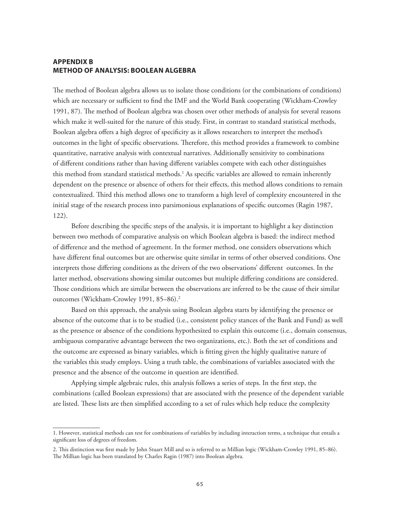# **APPENDIX B METHOD OF ANALYSIS: BOOLEAN ALGEBRA**

The method of Boolean algebra allows us to isolate those conditions (or the combinations of conditions) which are necessary or sufficient to find the IMF and the World Bank cooperating (Wickham-Crowley 1991, 87). The method of Boolean algebra was chosen over other methods of analysis for several reasons which make it well-suited for the nature of this study. First, in contrast to standard statistical methods, Boolean algebra offers a high degree of specificity as it allows researchers to interpret the method's outcomes in the light of specific observations. Therefore, this method provides a framework to combine quantitative, narrative analysis with contextual narratives. Additionally sensitivity to combinations of different conditions rather than having different variables compete with each other distinguishes this method from standard statistical methods.<sup>1</sup> As specific variables are allowed to remain inherently dependent on the presence or absence of others for their effects, this method allows conditions to remain contextualized. Third this method allows one to transform a high level of complexity encountered in the initial stage of the research process into parsimonious explanations of specific outcomes (Ragin 1987, 122).

Before describing the specific steps of the analysis, it is important to highlight a key distinction between two methods of comparative analysis on which Boolean algebra is based: the indirect method of difference and the method of agreement. In the former method, one considers observations which have different final outcomes but are otherwise quite similar in terms of other observed conditions. One interprets those differing conditions as the drivers of the two observations' different outcomes. In the latter method, observations showing similar outcomes but multiple differing conditions are considered. Those conditions which are similar between the observations are inferred to be the cause of their similar outcomes (Wickham-Crowley 1991, 85–86).<sup>2</sup>

Based on this approach, the analysis using Boolean algebra starts by identifying the presence or absence of the outcome that is to be studied (i.e., consistent policy stances of the Bank and Fund) as well as the presence or absence of the conditions hypothesized to explain this outcome (i.e., domain consensus, ambiguous comparative advantage between the two organizations, etc.). Both the set of conditions and the outcome are expressed as binary variables, which is fitting given the highly qualitative nature of the variables this study employs. Using a truth table, the combinations of variables associated with the presence and the absence of the outcome in question are identified.

Applying simple algebraic rules, this analysis follows a series of steps. In the first step, the combinations (called Boolean expressions) that are associated with the presence of the dependent variable are listed. These lists are then simplified according to a set of rules which help reduce the complexity

<sup>1.</sup> However, statistical methods can test for combinations of variables by including interaction terms, a technique that entails a significant loss of degrees of freedom.

<sup>2.</sup> This distinction was first made by John Stuart Mill and so is referred to as Millian logic (Wickham-Crowley 1991, 85–86). The Millian logic has been translated by Charles Ragin (1987) into Boolean algebra.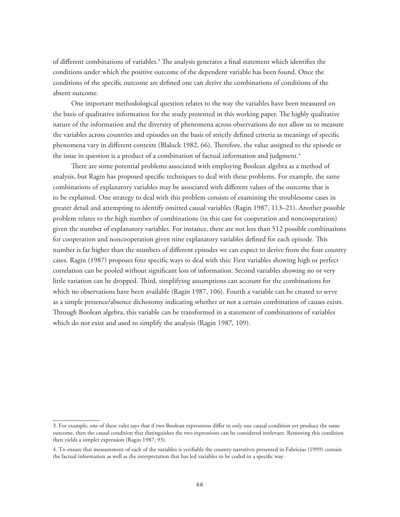of different combinations of variables.<sup>3</sup> The analysis generates a final statement which identifies the conditions under which the positive outcome of the dependent variable has been found. Once the conditions of the specific outcome are defined one can derive the combinations of conditions of the absent outcome.

One important methodological question relates to the way the variables have been measured on the basis of qualitative information for the study presented in this working paper. The highly qualitative nature of the information and the diversity of phenomena across observations do not allow us to measure the variables across countries and episodes on the basis of strictly defined criteria as meanings of specific phenomena vary in different contexts (Blalock 1982, 66). Therefore, the value assigned to the episode or the issue in question is a product of a combination of factual information and judgment.<sup>4</sup>

There are some potential problems associated with employing Boolean algebra as a method of analysis, but Ragin has proposed specific techniques to deal with these problems. For example, the same combinations of explanatory variables may be associated with different values of the outcome that is to be explained. One strategy to deal with this problem consists of examining the troublesome cases in greater detail and attempting to identify omitted causal variables (Ragin 1987, 113–21). Another possible problem relates to the high number of combinations (in this case for cooperation and noncooperation) given the number of explanatory variables. For instance, there are not less than 512 possible combinations for cooperation and noncooperation given nine explanatory variables defined for each episode. This number is far higher than the numbers of different episodes we can expect to derive from the four country cases. Ragin (1987) proposes four specific ways to deal with this: First variables showing high or perfect correlation can be pooled without significant loss of information. Second variables showing no or very little variation can be dropped. Third, simplifying assumptions can account for the combinations for which no observations have been available (Ragin 1987, 106). Fourth a variable can be created to serve as a simple presence/absence dichotomy indicating whether or not a certain combination of causes exists. Through Boolean algebra, this variable can be transformed in a statement of combinations of variables which do not exist and used to simplify the analysis (Ragin 1987, 109).

<sup>3.</sup> For example, one of these rules says that if two Boolean expressions differ in only one causal condition yet produce the same outcome, then the causal condition that distinguishes the two expressions can be considered irrelevant. Removing this condition then yields a simpler expression (Ragin 1987, 93).

<sup>4.</sup> To ensure that measurement of each of the variables is verifiable the country narratives presented in Fabricius (1999) contain the factual information as well as the interpretation that has led variables to be coded in a specific way.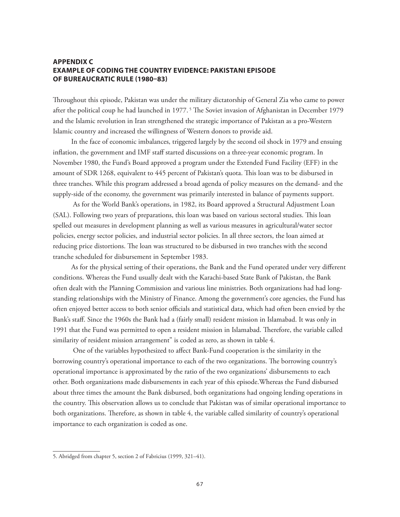# **APPENDIX C EXAMPLE OF CODING THE COUNTRY EVIDENCE: PAKISTANI EPISODE OF BUREAUCRATIC RULE (1980-83)**

Throughout this episode, Pakistan was under the military dictatorship of General Zia who came to power after the political coup he had launched in 1977.<sup>5</sup> The Soviet invasion of Afghanistan in December 1979 and the Islamic revolution in Iran strengthened the strategic importance of Pakistan as a pro-Western Islamic country and increased the willingness of Western donors to provide aid.

In the face of economic imbalances, triggered largely by the second oil shock in 1979 and ensuing inflation, the government and IMF staff started discussions on a three-year economic program. In November 1980, the Fund's Board approved a program under the Extended Fund Facility (EFF) in the amount of SDR 1268, equivalent to 445 percent of Pakistan's quota. This loan was to be disbursed in three tranches. While this program addressed a broad agenda of policy measures on the demand- and the supply-side of the economy, the government was primarily interested in balance of payments support.

 As for the World Bank's operations, in 1982, its Board approved a Structural Adjustment Loan (SAL). Following two years of preparations, this loan was based on various sectoral studies. This loan spelled out measures in development planning as well as various measures in agricultural/water sector policies, energy sector policies, and industrial sector policies. In all three sectors, the loan aimed at reducing price distortions. The loan was structured to be disbursed in two tranches with the second tranche scheduled for disbursement in September 1983.

As for the physical setting of their operations, the Bank and the Fund operated under very different conditions. Whereas the Fund usually dealt with the Karachi-based State Bank of Pakistan, the Bank often dealt with the Planning Commission and various line ministries. Both organizations had had longstanding relationships with the Ministry of Finance. Among the government's core agencies, the Fund has often enjoyed better access to both senior officials and statistical data, which had often been envied by the Bank's staff. Since the 1960s the Bank had a (fairly small) resident mission in Islamabad. It was only in 1991 that the Fund was permitted to open a resident mission in Islamabad. Therefore, the variable called similarity of resident mission arrangement" is coded as zero, as shown in table 4.

 One of the variables hypothesized to affect Bank-Fund cooperation is the similarity in the borrowing country's operational importance to each of the two organizations. The borrowing country's operational importance is approximated by the ratio of the two organizations' disbursements to each other. Both organizations made disbursements in each year of this episode.Whereas the Fund disbursed about three times the amount the Bank disbursed, both organizations had ongoing lending operations in the country. This observation allows us to conclude that Pakistan was of similar operational importance to both organizations. Therefore, as shown in table 4, the variable called similarity of country's operational importance to each organization is coded as one.

<sup>5.</sup> Abridged from chapter 5, section 2 of Fabricius (1999, 321–41).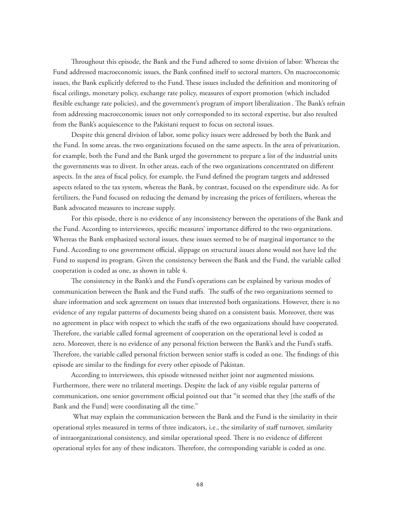Throughout this episode, the Bank and the Fund adhered to some division of labor: Whereas the Fund addressed macroeconomic issues, the Bank confined itself to sectoral matters. On macroeconomic issues, the Bank explicitly deferred to the Fund. These issues included the definition and monitoring of fiscal ceilings, monetary policy, exchange rate policy, measures of export promotion (which included flexible exchange rate policies), and the government's program of import liberalization . The Bank's refrain from addressing macroeconomic issues not only corresponded to its sectoral expertise, but also resulted from the Bank's acquiescence to the Pakistani request to focus on sectoral issues.

Despite this general division of labor, some policy issues were addressed by both the Bank and the Fund. In some areas, the two organizations focused on the same aspects. In the area of privatization, for example, both the Fund and the Bank urged the government to prepare a list of the industrial units the governments was to divest. In other areas, each of the two organizations concentrated on different aspects. In the area of fiscal policy, for example, the Fund defined the program targets and addressed aspects related to the tax system, whereas the Bank, by contrast, focused on the expenditure side. As for fertilizers, the Fund focused on reducing the demand by increasing the prices of fertilizers, whereas the Bank advocated measures to increase supply.

For this episode, there is no evidence of any inconsistency between the operations of the Bank and the Fund. According to interviewees, specific measures' importance differed to the two organizations. Whereas the Bank emphasized sectoral issues, these issues seemed to be of marginal importance to the Fund. According to one government official, slippage on structural issues alone would not have led the Fund to suspend its program. Given the consistency between the Bank and the Fund, the variable called cooperation is coded as one, as shown in table 4.

The consistency in the Bank's and the Fund's operations can be explained by various modes of communication between the Bank and the Fund staffs. The staffs of the two organizations seemed to share information and seek agreement on issues that interested both organizations. However, there is no evidence of any regular patterns of documents being shared on a consistent basis. Moreover, there was no agreement in place with respect to which the staffs of the two organizations should have cooperated. Therefore, the variable called formal agreement of cooperation on the operational level is coded as zero. Moreover, there is no evidence of any personal friction between the Bank's and the Fund's staffs. Therefore, the variable called personal friction between senior staffs is coded as one. The findings of this episode are similar to the findings for every other episode of Pakistan.

According to interviewees, this episode witnessed neither joint nor augmented missions. Furthermore, there were no trilateral meetings. Despite the lack of any visible regular patterns of communication, one senior government official pointed out that "it seemed that they [the staffs of the Bank and the Fund] were coordinating all the time."

 What may explain the communication between the Bank and the Fund is the similarity in their operational styles measured in terms of three indicators, i.e., the similarity of staff turnover, similarity of intraorganizational consistency, and similar operational speed. There is no evidence of different operational styles for any of these indicators. Therefore, the corresponding variable is coded as one.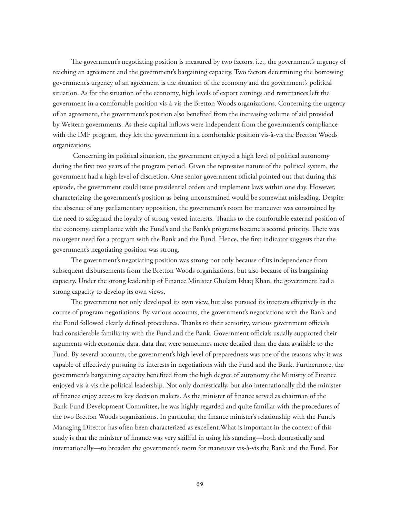The government's negotiating position is measured by two factors, i.e., the government's urgency of reaching an agreement and the government's bargaining capacity. Two factors determining the borrowing government's urgency of an agreement is the situation of the economy and the government's political situation. As for the situation of the economy, high levels of export earnings and remittances left the government in a comfortable position vis-à-vis the Bretton Woods organizations. Concerning the urgency of an agreement, the government's position also benefited from the increasing volume of aid provided by Western governments. As these capital inflows were independent from the government's compliance with the IMF program, they left the government in a comfortable position vis-à-vis the Bretton Woods organizations.

 Concerning its political situation, the government enjoyed a high level of political autonomy during the first two years of the program period. Given the repressive nature of the political system, the government had a high level of discretion. One senior government official pointed out that during this episode, the government could issue presidential orders and implement laws within one day. However, characterizing the government's position as being unconstrained would be somewhat misleading. Despite the absence of any parliamentary opposition, the government's room for maneuver was constrained by the need to safeguard the loyalty of strong vested interests. Thanks to the comfortable external position of the economy, compliance with the Fund's and the Bank's programs became a second priority. There was no urgent need for a program with the Bank and the Fund. Hence, the first indicator suggests that the government's negotiating position was strong.

The government's negotiating position was strong not only because of its independence from subsequent disbursements from the Bretton Woods organizations, but also because of its bargaining capacity. Under the strong leadership of Finance Minister Ghulam Ishaq Khan, the government had a strong capacity to develop its own views.

The government not only developed its own view, but also pursued its interests effectively in the course of program negotiations. By various accounts, the government's negotiations with the Bank and the Fund followed clearly defined procedures. Thanks to their seniority, various government officials had considerable familiarity with the Fund and the Bank. Government officials usually supported their arguments with economic data, data that were sometimes more detailed than the data available to the Fund. By several accounts, the government's high level of preparedness was one of the reasons why it was capable of effectively pursuing its interests in negotiations with the Fund and the Bank. Furthermore, the government's bargaining capacity benefited from the high degree of autonomy the Ministry of Finance enjoyed vis-à-vis the political leadership. Not only domestically, but also internationally did the minister of finance enjoy access to key decision makers. As the minister of finance served as chairman of the Bank-Fund Development Committee, he was highly regarded and quite familiar with the procedures of the two Bretton Woods organizations. In particular, the finance minister's relationship with the Fund's Managing Director has often been characterized as excellent.What is important in the context of this study is that the minister of finance was very skillful in using his standing—both domestically and internationally—to broaden the government's room for maneuver vis-à-vis the Bank and the Fund. For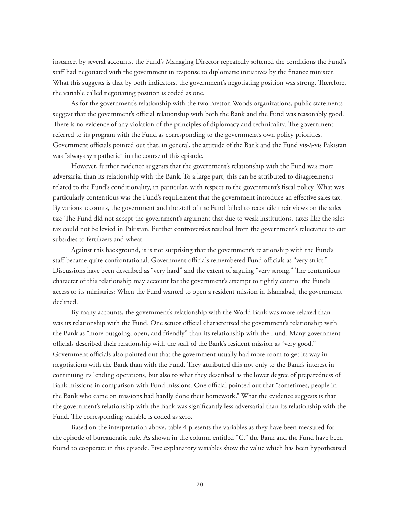instance, by several accounts, the Fund's Managing Director repeatedly softened the conditions the Fund's staff had negotiated with the government in response to diplomatic initiatives by the finance minister. What this suggests is that by both indicators, the government's negotiating position was strong. Therefore, the variable called negotiating position is coded as one.

As for the government's relationship with the two Bretton Woods organizations, public statements suggest that the government's official relationship with both the Bank and the Fund was reasonably good. There is no evidence of any violation of the principles of diplomacy and technicality. The government referred to its program with the Fund as corresponding to the government's own policy priorities. Government officials pointed out that, in general, the attitude of the Bank and the Fund vis-à-vis Pakistan was "always sympathetic" in the course of this episode.

However, further evidence suggests that the government's relationship with the Fund was more adversarial than its relationship with the Bank. To a large part, this can be attributed to disagreements related to the Fund's conditionality, in particular, with respect to the government's fiscal policy. What was particularly contentious was the Fund's requirement that the government introduce an effective sales tax. By various accounts, the government and the staff of the Fund failed to reconcile their views on the sales tax: The Fund did not accept the government's argument that due to weak institutions, taxes like the sales tax could not be levied in Pakistan. Further controversies resulted from the government's reluctance to cut subsidies to fertilizers and wheat.

Against this background, it is not surprising that the government's relationship with the Fund's staff became quite confrontational. Government officials remembered Fund officials as "very strict." Discussions have been described as "very hard" and the extent of arguing "very strong." The contentious character of this relationship may account for the government's attempt to tightly control the Fund's access to its ministries: When the Fund wanted to open a resident mission in Islamabad, the government declined.

By many accounts, the government's relationship with the World Bank was more relaxed than was its relationship with the Fund. One senior official characterized the government's relationship with the Bank as "more outgoing, open, and friendly" than its relationship with the Fund. Many government officials described their relationship with the staff of the Bank's resident mission as "very good." Government officials also pointed out that the government usually had more room to get its way in negotiations with the Bank than with the Fund. They attributed this not only to the Bank's interest in continuing its lending operations, but also to what they described as the lower degree of preparedness of Bank missions in comparison with Fund missions. One official pointed out that "sometimes, people in the Bank who came on missions had hardly done their homework." What the evidence suggests is that the government's relationship with the Bank was significantly less adversarial than its relationship with the Fund. The corresponding variable is coded as zero.

Based on the interpretation above, table 4 presents the variables as they have been measured for the episode of bureaucratic rule. As shown in the column entitled "C," the Bank and the Fund have been found to cooperate in this episode. Five explanatory variables show the value which has been hypothesized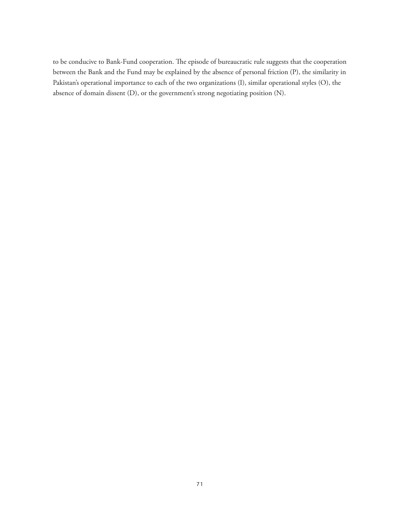to be conducive to Bank-Fund cooperation. The episode of bureaucratic rule suggests that the cooperation between the Bank and the Fund may be explained by the absence of personal friction (P), the similarity in Pakistan's operational importance to each of the two organizations (I), similar operational styles (O), the absence of domain dissent (D), or the government's strong negotiating position (N).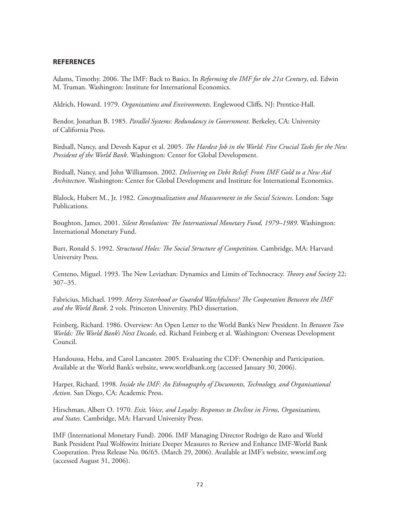# **REFERENCES**

Adams, Timothy. 2006. The IMF: Back to Basics. In *Reforming the IMF for the 21st Century*, ed. Edwin M. Truman. Washington: Institute for International Economics.

Aldrich, Howard. 1979. *Organizations and Environments*. Englewood Cliffs, NJ: Prentice-Hall.

Bendor, Jonathan B. 1985. *Parallel Systems: Redundancy in Government*. Berkeley, CA: University of California Press.

Birdsall, Nancy, and Devesh Kapur et al. 2005. *The Hardest Job in the World: Five Crucial Tasks for the New President of the World Bank*. Washington: Center for Global Development.

Birdsall, Nancy, and John Williamson. 2002. *Delivering on Debt Relief: From IMF Gold to a New Aid Architecture*. Washington: Center for Global Development and Institute for International Economics.

Blalock, Hubert M., Jr. 1982. *Conceptualization and Measurement in the Social Sciences*. London: Sage Publications.

Boughton, James. 2001. *Silent Revolution: The International Monetary Fund, 1979–1989*. Washington: International Monetary Fund.

Burt, Ronald S. 1992. *Structural Holes: The Social Structure of Competition*. Cambridge, MA: Harvard University Press.

Centeno, Miguel. 1993. The New Leviathan: Dynamics and Limits of Technocracy. *Theory and Society* 22: 307–35.

Fabricius, Michael. 1999. *Merry Sisterhood or Guarded Watchfulness? The Cooperation Between the IMF and the World Bank*. 2 vols. Princeton University. PhD dissertation.

Feinberg, Richard. 1986. Overview: An Open Letter to the World Bank's New President. In *Between Two Worlds: The World Bank's Next Decade*, ed. Richard Feinberg et al. Washington: Overseas Development Council.

Handoussa, Heba, and Carol Lancaster. 2005. Evaluating the CDF: Ownership and Participation. Available at the World Bank's website, www.worldbank.org (accessed January 30, 2006).

Harper, Richard. 1998. *Inside the IMF: An Ethnography of Documents, Technology, and Organisational Action*. San Diego, CA: Academic Press.

Hirschman, Albert O. 1970. *Exit, Voice, and Loyalty: Responses to Decline in Firms, Organizations, and States.* Cambridge, MA: Harvard University Press.

IMF (International Monetary Fund). 2006. IMF Managing Director Rodrigo de Rato and World Bank President Paul Wolfowitz Initiate Deeper Measures to Review and Enhance IMF-World Bank Cooperation. Press Release No. 06/65. (March 29, 2006). Available at IMF's website, www.imf.org (accessed August 31, 2006).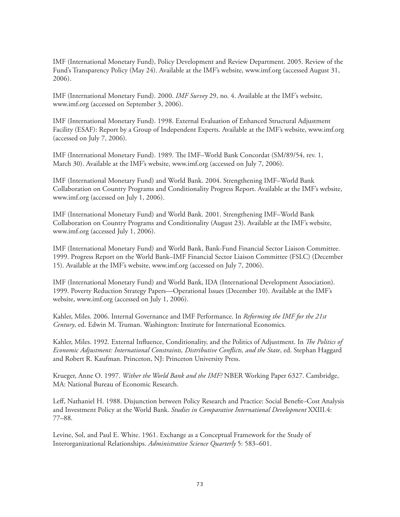IMF (International Monetary Fund), Policy Development and Review Department. 2005. Review of the Fund's Transparency Policy (May 24). Available at the IMF's website, www.imf.org (accessed August 31, 2006).

IMF (International Monetary Fund). 2000. *IMF Survey* 29, no. 4. Available at the IMF's website, www.imf.org (accessed on September 3, 2006).

IMF (International Monetary Fund). 1998. External Evaluation of Enhanced Structural Adjustment Facility (ESAF): Report by a Group of Independent Experts. Available at the IMF's website, www.imf.org (accessed on July 7, 2006).

IMF (International Monetary Fund). 1989. The IMF–World Bank Concordat (SM/89/54, rev. 1, March 30). Available at the IMF's website, www.imf.org (accessed on July 7, 2006).

IMF (International Monetary Fund) and World Bank. 2004. Strengthening IMF–World Bank Collaboration on Country Programs and Conditionality Progress Report. Available at the IMF's website, www.imf.org (accessed on July 1, 2006).

IMF (International Monetary Fund) and World Bank. 2001. Strengthening IMF–World Bank Collaboration on Country Programs and Conditionality (August 23). Available at the IMF's website, www.imf.org (accessed July 1, 2006).

IMF (International Monetary Fund) and World Bank, Bank-Fund Financial Sector Liaison Committee. 1999. Progress Report on the World Bank–IMF Financial Sector Liaison Committee (FSLC) (December 15). Available at the IMF's website, www.imf.org (accessed on July 7, 2006).

IMF (International Monetary Fund) and World Bank, IDA (International Development Association). 1999. Poverty Reduction Strategy Papers—Operational Issues (December 10). Available at the IMF's website, www.imf.org (accessed on July 1, 2006).

Kahler, Miles. 2006. Internal Governance and IMF Performance. In *Reforming the IMF for the 21st Century*, ed. Edwin M. Truman. Washington: Institute for International Economics.

Kahler, Miles. 1992. External Influence, Conditionality, and the Politics of Adjustment. In *The Politics of Economic Adjustment: International Constraints, Distributive Conflicts, and the State*, ed. Stephan Haggard and Robert R. Kaufman. Princeton, NJ: Princeton University Press.

Krueger, Anne O. 1997. *Wither the World Bank and the IMF?* NBER Working Paper 6327. Cambridge, MA: National Bureau of Economic Research.

Leff, Nathaniel H. 1988. Disjunction between Policy Research and Practice: Social Benefit–Cost Analysis and Investment Policy at the World Bank. *Studies in Comparative International Development* XXIII.4: 77–88.

Levine, Sol, and Paul E. White. 1961. Exchange as a Conceptual Framework for the Study of Interorganizational Relationships. *Administrative Science Quarterly* 5: 583–601.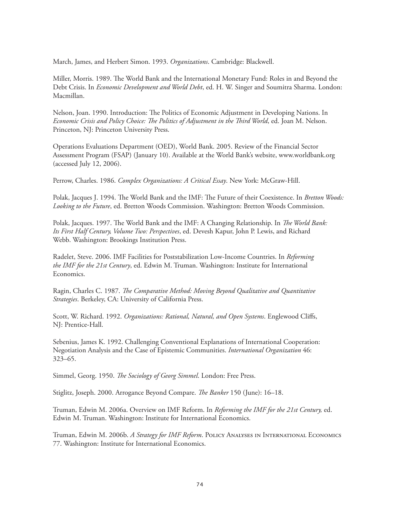March, James, and Herbert Simon. 1993. *Organizations*. Cambridge: Blackwell.

Miller, Morris. 1989. The World Bank and the International Monetary Fund: Roles in and Beyond the Debt Crisis. In *Economic Development and World Debt*, ed. H. W. Singer and Soumitra Sharma. London: Macmillan.

Nelson, Joan. 1990. Introduction: The Politics of Economic Adjustment in Developing Nations. In *Economic Crisis and Policy Choice: The Politics of Adjustment in the Third World*, ed. Joan M. Nelson. Princeton, NJ: Princeton University Press.

Operations Evaluations Department (OED), World Bank. 2005. Review of the Financial Sector Assessment Program (FSAP) (January 10). Available at the World Bank's website, www.worldbank.org (accessed July 12, 2006).

Perrow, Charles. 1986. *Complex Organizations: A Critical Essay*. New York: McGraw-Hill.

Polak, Jacques J. 1994. The World Bank and the IMF: The Future of their Coexistence. In *Bretton Woods: Looking to the Future*, ed. Bretton Woods Commission. Washington: Bretton Woods Commission.

Polak, Jacques. 1997. The World Bank and the IMF: A Changing Relationship. In *The World Bank: Its First Half Century, Volume Two: Perspectives*, ed. Devesh Kapur, John P. Lewis, and Richard Webb. Washington: Brookings Institution Press.

Radelet, Steve. 2006. IMF Facilities for Poststabilization Low-Income Countries. In *Reforming the IMF for the 21st Century*, ed. Edwin M. Truman. Washington: Institute for International Economics.

Ragin, Charles C. 1987. *The Comparative Method: Moving Beyond Qualitative and Quantitative Strategies*. Berkeley, CA: University of California Press.

Scott, W. Richard. 1992. *Organizations: Rational, Natural, and Open Systems*. Englewood Cliffs, NJ: Prentice-Hall.

Sebenius, James K. 1992. Challenging Conventional Explanations of International Cooperation: Negotiation Analysis and the Case of Epistemic Communities. *International Organization* 46: 323–65.

Simmel, Georg. 1950. *The Sociology of Georg Simmel*. London: Free Press.

Stiglitz, Joseph. 2000. Arrogance Beyond Compare. *The Banker* 150 (June): 16–18.

Truman, Edwin M. 2006a. Overview on IMF Reform. In *Reforming the IMF for the 21st Century,* ed. Edwin M. Truman. Washington: Institute for International Economics.

Truman, Edwin M. 2006b. *A Strategy for IMF Reform*. Policy Analyses in International Economics 77. Washington: Institute for International Economics.